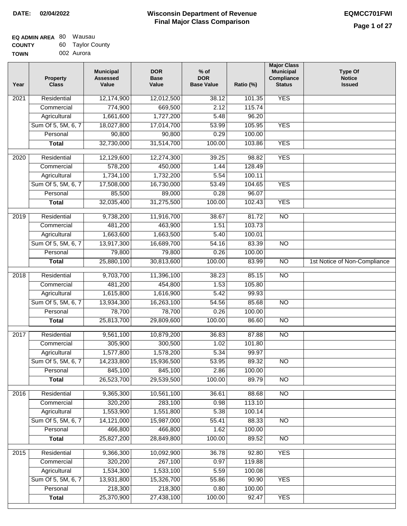| <b>EQ ADMIN AREA 80 Wausau</b> |                  |
|--------------------------------|------------------|
| <b>COUNTY</b>                  | 60 Taylor County |
| <b>TOWN</b>                    | 002 Aurora       |

| Year              | <b>Property</b><br><b>Class</b> | <b>Municipal</b><br><b>Assessed</b><br>Value | <b>DOR</b><br><b>Base</b><br>Value | $%$ of<br><b>DOR</b><br><b>Base Value</b> | Ratio (%) | <b>Major Class</b><br><b>Municipal</b><br>Compliance<br><b>Status</b> | <b>Type Of</b><br><b>Notice</b><br><b>Issued</b> |
|-------------------|---------------------------------|----------------------------------------------|------------------------------------|-------------------------------------------|-----------|-----------------------------------------------------------------------|--------------------------------------------------|
| 2021              | Residential                     | 12,174,900                                   | 12,012,500                         | 38.12                                     | 101.35    | <b>YES</b>                                                            |                                                  |
|                   | Commercial                      | 774,900                                      | 669,500                            | 2.12                                      | 115.74    |                                                                       |                                                  |
|                   | Agricultural                    | 1,661,600                                    | 1,727,200                          | 5.48                                      | 96.20     |                                                                       |                                                  |
|                   | Sum Of 5, 5M, 6, 7              | 18,027,800                                   | 17,014,700                         | 53.99                                     | 105.95    | <b>YES</b>                                                            |                                                  |
|                   | Personal                        | 90,800                                       | 90,800                             | 0.29                                      | 100.00    |                                                                       |                                                  |
|                   | <b>Total</b>                    | 32,730,000                                   | 31,514,700                         | 100.00                                    | 103.86    | <b>YES</b>                                                            |                                                  |
| 2020              | Residential                     | 12,129,600                                   | 12,274,300                         | 39.25                                     | 98.82     | <b>YES</b>                                                            |                                                  |
|                   | Commercial                      | 578,200                                      | 450,000                            | 1.44                                      | 128.49    |                                                                       |                                                  |
|                   | Agricultural                    | 1,734,100                                    | 1,732,200                          | 5.54                                      | 100.11    |                                                                       |                                                  |
|                   | Sum Of 5, 5M, 6, 7              | 17,508,000                                   | 16,730,000                         | 53.49                                     | 104.65    | <b>YES</b>                                                            |                                                  |
|                   | Personal                        | 85,500                                       | 89,000                             | 0.28                                      | 96.07     |                                                                       |                                                  |
|                   | <b>Total</b>                    | 32,035,400                                   | 31,275,500                         | 100.00                                    | 102.43    | <b>YES</b>                                                            |                                                  |
| 2019              | Residential                     | 9,738,200                                    | 11,916,700                         | 38.67                                     | 81.72     | $\overline{NO}$                                                       |                                                  |
|                   | Commercial                      | 481,200                                      | 463,900                            | 1.51                                      | 103.73    |                                                                       |                                                  |
|                   | Agricultural                    | 1,663,600                                    | 1,663,500                          | 5.40                                      | 100.01    |                                                                       |                                                  |
|                   | Sum Of 5, 5M, 6, 7              | 13,917,300                                   | 16,689,700                         | 54.16                                     | 83.39     | $\overline{NO}$                                                       |                                                  |
|                   | Personal                        | 79,800                                       | 79,800                             | 0.26                                      | 100.00    |                                                                       |                                                  |
|                   | <b>Total</b>                    | 25,880,100                                   | 30,813,600                         | 100.00                                    | 83.99     | $\overline{NO}$                                                       | 1st Notice of Non-Compliance                     |
|                   |                                 |                                              |                                    |                                           |           |                                                                       |                                                  |
| 2018              | Residential                     | 9,703,700                                    | 11,396,100                         | 38.23                                     | 85.15     | $\overline{NO}$                                                       |                                                  |
|                   | Commercial                      | 481,200                                      | 454,800                            | 1.53                                      | 105.80    |                                                                       |                                                  |
|                   | Agricultural                    | 1,615,800                                    | 1,616,900                          | 5.42                                      | 99.93     |                                                                       |                                                  |
|                   | Sum Of 5, 5M, 6, 7              | 13,934,300                                   | 16,263,100                         | 54.56                                     | 85.68     | <b>NO</b>                                                             |                                                  |
|                   | Personal                        | 78,700                                       | 78,700                             | 0.26                                      | 100.00    |                                                                       |                                                  |
|                   | <b>Total</b>                    | 25,813,700                                   | 29,809,600                         | 100.00                                    | 86.60     | <b>NO</b>                                                             |                                                  |
| 2017              | Residential                     | 9,561,100                                    | 10,879,200                         | 36.83                                     | 87.88     | $\overline{NO}$                                                       |                                                  |
|                   | Commercial                      | 305,900                                      | 300,500                            | 1.02                                      | 101.80    |                                                                       |                                                  |
|                   | Agricultural                    | 1,577,800                                    | 1,578,200                          | 5.34                                      | 99.97     |                                                                       |                                                  |
|                   | Sum Of 5, 5M, 6, 7              | 14,233,800                                   | 15,936,500                         | 53.95                                     | 89.32     | NO                                                                    |                                                  |
|                   | Personal                        | 845,100                                      | 845,100                            | 2.86                                      | 100.00    |                                                                       |                                                  |
|                   | <b>Total</b>                    | 26,523,700                                   | 29,539,500                         | 100.00                                    | 89.79     | $\overline{NO}$                                                       |                                                  |
| 2016              | Residential                     | 9,365,300                                    | 10,561,100                         | 36.61                                     | 88.68     | N <sub>O</sub>                                                        |                                                  |
|                   | Commercial                      | 320,200                                      | 283,100                            | 0.98                                      | 113.10    |                                                                       |                                                  |
|                   | Agricultural                    | 1,553,900                                    | 1,551,800                          | 5.38                                      | 100.14    |                                                                       |                                                  |
|                   | Sum Of 5, 5M, 6, 7              | 14,121,000                                   | 15,987,000                         | 55.41                                     | 88.33     | $\overline{NO}$                                                       |                                                  |
|                   | Personal                        | 466,800                                      | 466,800                            | 1.62                                      | 100.00    |                                                                       |                                                  |
|                   | <b>Total</b>                    | 25,827,200                                   | 28,849,800                         | 100.00                                    | 89.52     | N <sub>O</sub>                                                        |                                                  |
| $\overline{2015}$ | Residential                     | 9,366,300                                    | 10,092,900                         | 36.78                                     | 92.80     | <b>YES</b>                                                            |                                                  |
|                   | Commercial                      | 320,200                                      | 267,100                            | 0.97                                      | 119.88    |                                                                       |                                                  |
|                   | Agricultural                    | 1,534,300                                    | 1,533,100                          | 5.59                                      | 100.08    |                                                                       |                                                  |
|                   | Sum Of 5, 5M, 6, 7              | 13,931,800                                   | 15,326,700                         | 55.86                                     | 90.90     | <b>YES</b>                                                            |                                                  |
|                   | Personal                        | 218,300                                      | 218,300                            | 0.80                                      | 100.00    |                                                                       |                                                  |
|                   | <b>Total</b>                    | 25,370,900                                   | 27,438,100                         | 100.00                                    | 92.47     | <b>YES</b>                                                            |                                                  |
|                   |                                 |                                              |                                    |                                           |           |                                                                       |                                                  |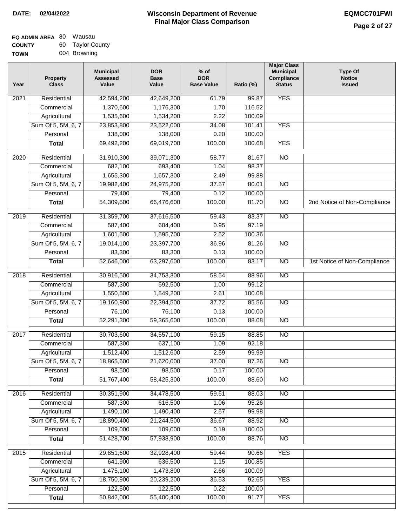# **Wisconsin Department of Revenue DATE: 02/04/2022 EQMCC701FWI Final Major Class Comparison**

| <b>EQ ADMIN AREA 80 Wausau</b> |                  |
|--------------------------------|------------------|
| <b>COUNTY</b>                  | 60 Taylor County |
| <b>TOWN</b>                    | 004 Browning     |

| Year              | <b>Property</b><br><b>Class</b> | <b>Municipal</b><br><b>Assessed</b><br>Value | <b>DOR</b><br><b>Base</b><br>Value | $%$ of<br><b>DOR</b><br><b>Base Value</b> | Ratio (%) | <b>Major Class</b><br><b>Municipal</b><br>Compliance<br><b>Status</b> | <b>Type Of</b><br><b>Notice</b><br><b>Issued</b> |
|-------------------|---------------------------------|----------------------------------------------|------------------------------------|-------------------------------------------|-----------|-----------------------------------------------------------------------|--------------------------------------------------|
| 2021              | Residential                     | 42,594,200                                   | 42,649,200                         | 61.79                                     | 99.87     | <b>YES</b>                                                            |                                                  |
|                   | Commercial                      | 1,370,600                                    | 1,176,300                          | 1.70                                      | 116.52    |                                                                       |                                                  |
|                   | Agricultural                    | 1,535,600                                    | 1,534,200                          | 2.22                                      | 100.09    |                                                                       |                                                  |
|                   | Sum Of 5, 5M, 6, 7              | 23,853,800                                   | 23,522,000                         | 34.08                                     | 101.41    | <b>YES</b>                                                            |                                                  |
|                   | Personal                        | 138,000                                      | 138,000                            | 0.20                                      | 100.00    |                                                                       |                                                  |
|                   | <b>Total</b>                    | 69,492,200                                   | 69,019,700                         | 100.00                                    | 100.68    | <b>YES</b>                                                            |                                                  |
| $\overline{2020}$ | Residential                     | 31,910,300                                   | 39,071,300                         | 58.77                                     | 81.67     | $\overline{NO}$                                                       |                                                  |
|                   | Commercial                      | 682,100                                      | 693,400                            | 1.04                                      | 98.37     |                                                                       |                                                  |
|                   | Agricultural                    | 1,655,300                                    | 1,657,300                          | 2.49                                      | 99.88     |                                                                       |                                                  |
|                   | Sum Of 5, 5M, 6, 7              | 19,982,400                                   | 24,975,200                         | 37.57                                     | 80.01     | <b>NO</b>                                                             |                                                  |
|                   | Personal                        | 79,400                                       | 79,400                             | 0.12                                      | 100.00    |                                                                       |                                                  |
|                   | <b>Total</b>                    | 54,309,500                                   | 66,476,600                         | 100.00                                    | 81.70     | $\overline{NO}$                                                       | 2nd Notice of Non-Compliance                     |
| 2019              | Residential                     | 31,359,700                                   | 37,616,500                         | 59.43                                     | 83.37     | $\overline{NO}$                                                       |                                                  |
|                   | Commercial                      | 587,400                                      | 604,400                            | 0.95                                      | 97.19     |                                                                       |                                                  |
|                   | Agricultural                    | 1,601,500                                    | 1,595,700                          | 2.52                                      | 100.36    |                                                                       |                                                  |
|                   | Sum Of 5, 5M, 6, 7              | 19,014,100                                   | 23,397,700                         | 36.96                                     | 81.26     | $\overline{NO}$                                                       |                                                  |
|                   | Personal                        | 83,300                                       | 83,300                             | 0.13                                      | 100.00    |                                                                       |                                                  |
|                   | <b>Total</b>                    | 52,646,000                                   | 63,297,600                         | 100.00                                    | 83.17     | $\overline{NO}$                                                       | 1st Notice of Non-Compliance                     |
|                   |                                 |                                              |                                    |                                           |           |                                                                       |                                                  |
| 2018              | Residential                     | 30,916,500                                   | 34,753,300                         | 58.54                                     | 88.96     | $\overline{NO}$                                                       |                                                  |
|                   | Commercial                      | 587,300                                      | 592,500                            | 1.00                                      | 99.12     |                                                                       |                                                  |
|                   | Agricultural                    | 1,550,500                                    | 1,549,200                          | 2.61                                      | 100.08    |                                                                       |                                                  |
|                   | Sum Of 5, 5M, 6, 7              | 19,160,900                                   | 22,394,500                         | 37.72                                     | 85.56     | $\overline{NO}$                                                       |                                                  |
|                   | Personal                        | 76,100                                       | 76,100                             | 0.13                                      | 100.00    |                                                                       |                                                  |
|                   | <b>Total</b>                    | 52,291,300                                   | 59,365,600                         | 100.00                                    | 88.08     | NO                                                                    |                                                  |
| 2017              | Residential                     | 30,703,600                                   | 34,557,100                         | 59.15                                     | 88.85     | <b>NO</b>                                                             |                                                  |
|                   | Commercial                      | 587,300                                      | 637,100                            | 1.09                                      | 92.18     |                                                                       |                                                  |
|                   | Agricultural                    | 1,512,400                                    | 1,512,600                          | 2.59                                      | 99.99     |                                                                       |                                                  |
|                   | Sum Of 5, 5M, 6, 7              | 18,865,600                                   | 21,620,000                         | 37.00                                     | 87.26     | $\overline{NO}$                                                       |                                                  |
|                   | Personal                        | 98,500                                       | 98,500                             | 0.17                                      | 100.00    |                                                                       |                                                  |
|                   | <b>Total</b>                    | 51,767,400                                   | 58,425,300                         | 100.00                                    | 88.60     | $\overline{NO}$                                                       |                                                  |
| 2016              | Residential                     | 30,351,900                                   | 34,478,500                         | 59.51                                     | 88.03     | N <sub>O</sub>                                                        |                                                  |
|                   | Commercial                      | 587,300                                      | 616,500                            | 1.06                                      | 95.26     |                                                                       |                                                  |
|                   | Agricultural                    | 1,490,100                                    | 1,490,400                          | 2.57                                      | 99.98     |                                                                       |                                                  |
|                   | Sum Of 5, 5M, 6, 7              | 18,890,400                                   | 21,244,500                         | 36.67                                     | 88.92     | <b>NO</b>                                                             |                                                  |
|                   | Personal                        | 109,000                                      | 109,000                            | 0.19                                      | 100.00    |                                                                       |                                                  |
|                   | <b>Total</b>                    | 51,428,700                                   | 57,938,900                         | 100.00                                    | 88.76     | $\overline{NO}$                                                       |                                                  |
| 2015              | Residential                     | 29,851,600                                   | 32,928,400                         | 59.44                                     | 90.66     | <b>YES</b>                                                            |                                                  |
|                   | Commercial                      | 641,900                                      | 636,500                            | 1.15                                      | 100.85    |                                                                       |                                                  |
|                   | Agricultural                    | 1,475,100                                    | 1,473,800                          | 2.66                                      | 100.09    |                                                                       |                                                  |
|                   | Sum Of 5, 5M, 6, 7              | 18,750,900                                   | 20,239,200                         | 36.53                                     | 92.65     | <b>YES</b>                                                            |                                                  |
|                   | Personal                        | 122,500                                      | 122,500                            | 0.22                                      | 100.00    |                                                                       |                                                  |
|                   | <b>Total</b>                    | 50,842,000                                   | 55,400,400                         | 100.00                                    | 91.77     | <b>YES</b>                                                            |                                                  |
|                   |                                 |                                              |                                    |                                           |           |                                                                       |                                                  |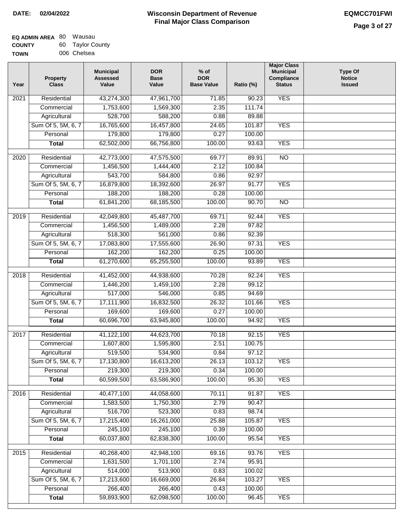| EQ ADMIN AREA 80 | Wausau           |
|------------------|------------------|
| <b>COUNTY</b>    | 60 Taylor County |
| <b>TOWN</b>      | 006 Chelsea      |

| Year              | <b>Property</b><br><b>Class</b> | <b>Municipal</b><br><b>Assessed</b><br>Value | <b>DOR</b><br><b>Base</b><br>Value | $%$ of<br><b>DOR</b><br><b>Base Value</b> | Ratio (%) | <b>Major Class</b><br><b>Municipal</b><br>Compliance<br><b>Status</b> | <b>Type Of</b><br><b>Notice</b><br><b>Issued</b> |
|-------------------|---------------------------------|----------------------------------------------|------------------------------------|-------------------------------------------|-----------|-----------------------------------------------------------------------|--------------------------------------------------|
| $\overline{202}1$ | Residential                     | 43,274,300                                   | 47,961,700                         | 71.85                                     | 90.23     | <b>YES</b>                                                            |                                                  |
|                   | Commercial                      | 1,753,600                                    | 1,569,300                          | 2.35                                      | 111.74    |                                                                       |                                                  |
|                   | Agricultural                    | 528,700                                      | 588,200                            | 0.88                                      | 89.88     |                                                                       |                                                  |
|                   | Sum Of 5, 5M, 6, 7              | 16,765,600                                   | 16,457,800                         | 24.65                                     | 101.87    | <b>YES</b>                                                            |                                                  |
|                   | Personal                        | 179,800                                      | 179,800                            | 0.27                                      | 100.00    |                                                                       |                                                  |
|                   | <b>Total</b>                    | 62,502,000                                   | 66,756,800                         | 100.00                                    | 93.63     | <b>YES</b>                                                            |                                                  |
| $\overline{2020}$ | Residential                     | 42,773,000                                   | 47,575,500                         | 69.77                                     | 89.91     | $\overline{NO}$                                                       |                                                  |
|                   | Commercial                      | 1,456,500                                    | 1,444,400                          | 2.12                                      | 100.84    |                                                                       |                                                  |
|                   | Agricultural                    | 543,700                                      | 584,800                            | 0.86                                      | 92.97     |                                                                       |                                                  |
|                   | Sum Of 5, 5M, 6, 7              | 16,879,800                                   | 18,392,600                         | 26.97                                     | 91.77     | <b>YES</b>                                                            |                                                  |
|                   | Personal                        | 188,200                                      | 188,200                            | 0.28                                      | 100.00    |                                                                       |                                                  |
|                   | <b>Total</b>                    | 61,841,200                                   | 68,185,500                         | 100.00                                    | 90.70     | $\overline{NO}$                                                       |                                                  |
| 2019              | Residential                     | 42,049,800                                   | 45,487,700                         | 69.71                                     | 92.44     | <b>YES</b>                                                            |                                                  |
|                   | Commercial                      | 1,456,500                                    | 1,489,000                          | 2.28                                      | 97.82     |                                                                       |                                                  |
|                   | Agricultural                    | 518,300                                      | 561,000                            | 0.86                                      | 92.39     |                                                                       |                                                  |
|                   | Sum Of 5, 5M, 6, 7              | 17,083,800                                   | 17,555,600                         | 26.90                                     | 97.31     | <b>YES</b>                                                            |                                                  |
|                   | Personal                        | 162,200                                      | 162,200                            | 0.25                                      | 100.00    |                                                                       |                                                  |
|                   | <b>Total</b>                    | 61,270,600                                   | 65,255,500                         | 100.00                                    | 93.89     | <b>YES</b>                                                            |                                                  |
|                   |                                 |                                              |                                    |                                           |           |                                                                       |                                                  |
| 2018              | Residential                     | 41,452,000                                   | 44,938,600                         | 70.28                                     | 92.24     | <b>YES</b>                                                            |                                                  |
|                   | Commercial                      | 1,446,200                                    | 1,459,100                          | 2.28                                      | 99.12     |                                                                       |                                                  |
|                   | Agricultural                    | 517,000                                      | 546,000                            | 0.85                                      | 94.69     |                                                                       |                                                  |
|                   | Sum Of 5, 5M, 6, 7              | 17,111,900                                   | 16,832,500                         | 26.32                                     | 101.66    | <b>YES</b>                                                            |                                                  |
|                   | Personal                        | 169,600                                      | 169,600                            | 0.27                                      | 100.00    |                                                                       |                                                  |
|                   | <b>Total</b>                    | 60,696,700                                   | 63,945,800                         | 100.00                                    | 94.92     | <b>YES</b>                                                            |                                                  |
| 2017              | Residential                     | 41,122,100                                   | 44,623,700                         | 70.18                                     | 92.15     | <b>YES</b>                                                            |                                                  |
|                   | Commercial                      | 1,607,800                                    | 1,595,800                          | 2.51                                      | 100.75    |                                                                       |                                                  |
|                   | Agricultural                    | 519,500                                      | 534,900                            | 0.84                                      | 97.12     |                                                                       |                                                  |
|                   | Sum Of 5, 5M, 6, 7              | 17,130,800                                   | 16,613,200                         | 26.13                                     | 103.12    | <b>YES</b>                                                            |                                                  |
|                   | Personal                        | 219,300                                      | 219,300                            | 0.34                                      | 100.00    |                                                                       |                                                  |
|                   | <b>Total</b>                    | 60,599,500                                   | 63,586,900                         | 100.00                                    | 95.30     | <b>YES</b>                                                            |                                                  |
| 2016              | Residential                     | 40,477,100                                   | 44,058,600                         | 70.11                                     | 91.87     | <b>YES</b>                                                            |                                                  |
|                   | Commercial                      | 1,583,500                                    | 1,750,300                          | 2.79                                      | 90.47     |                                                                       |                                                  |
|                   | Agricultural                    | 516,700                                      | 523,300                            | 0.83                                      | 98.74     |                                                                       |                                                  |
|                   | Sum Of 5, 5M, 6, 7              | 17,215,400                                   | 16,261,000                         | 25.88                                     | 105.87    | <b>YES</b>                                                            |                                                  |
|                   | Personal                        | 245,100                                      | 245,100                            | 0.39                                      | 100.00    |                                                                       |                                                  |
|                   | <b>Total</b>                    | 60,037,800                                   | 62,838,300                         | 100.00                                    | 95.54     | <b>YES</b>                                                            |                                                  |
| 2015              | Residential                     | 40,268,400                                   | 42,948,100                         | 69.16                                     | 93.76     | <b>YES</b>                                                            |                                                  |
|                   | Commercial                      | 1,631,500                                    | 1,701,100                          | 2.74                                      | 95.91     |                                                                       |                                                  |
|                   | Agricultural                    | 514,000                                      | 513,900                            | 0.83                                      | 100.02    |                                                                       |                                                  |
|                   | Sum Of 5, 5M, 6, 7              | 17,213,600                                   | 16,669,000                         | 26.84                                     | 103.27    | <b>YES</b>                                                            |                                                  |
|                   | Personal                        | 266,400                                      | 266,400                            | 0.43                                      | 100.00    |                                                                       |                                                  |
|                   | <b>Total</b>                    | 59,893,900                                   | 62,098,500                         | 100.00                                    | 96.45     | <b>YES</b>                                                            |                                                  |
|                   |                                 |                                              |                                    |                                           |           |                                                                       |                                                  |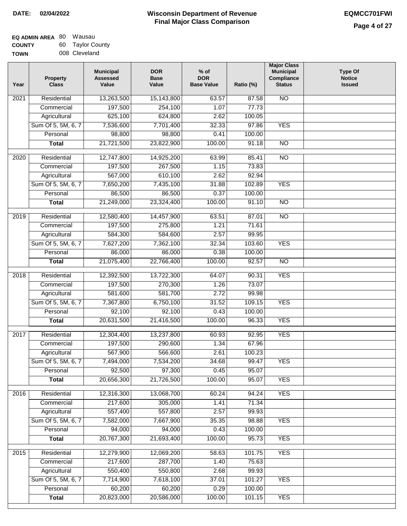# **Wisconsin Department of Revenue DATE: 02/04/2022 EQMCC701FWI Final Major Class Comparison**

| EQ ADMIN AREA 80 | Wausau           |
|------------------|------------------|
| <b>COUNTY</b>    | 60 Taylor County |
| <b>TOWN</b>      | 008 Cleveland    |

| Year | <b>Property</b><br><b>Class</b> | <b>Municipal</b><br><b>Assessed</b><br>Value | <b>DOR</b><br><b>Base</b><br>Value | $%$ of<br><b>DOR</b><br><b>Base Value</b> | Ratio (%) | <b>Major Class</b><br><b>Municipal</b><br>Compliance<br><b>Status</b> | <b>Type Of</b><br><b>Notice</b><br><b>Issued</b> |
|------|---------------------------------|----------------------------------------------|------------------------------------|-------------------------------------------|-----------|-----------------------------------------------------------------------|--------------------------------------------------|
| 2021 | Residential                     | 13,263,500                                   | 15,143,800                         | 63.57                                     | 87.58     | N <sub>O</sub>                                                        |                                                  |
|      | Commercial                      | 197,500                                      | 254,100                            | 1.07                                      | 77.73     |                                                                       |                                                  |
|      | Agricultural                    | 625,100                                      | 624,800                            | 2.62                                      | 100.05    |                                                                       |                                                  |
|      | Sum Of 5, 5M, 6, 7              | 7,536,600                                    | 7,701,400                          | 32.33                                     | 97.86     | <b>YES</b>                                                            |                                                  |
|      | Personal                        | 98,800                                       | 98,800                             | 0.41                                      | 100.00    |                                                                       |                                                  |
|      | <b>Total</b>                    | 21,721,500                                   | 23,822,900                         | 100.00                                    | 91.18     | $\overline{NO}$                                                       |                                                  |
| 2020 | Residential                     | 12,747,800                                   | 14,925,200                         | 63.99                                     | 85.41     | $\overline{NO}$                                                       |                                                  |
|      | Commercial                      | 197,500                                      | 267,500                            | 1.15                                      | 73.83     |                                                                       |                                                  |
|      | Agricultural                    | 567,000                                      | 610,100                            | 2.62                                      | 92.94     |                                                                       |                                                  |
|      | Sum Of 5, 5M, 6, 7              | 7,650,200                                    | 7,435,100                          | 31.88                                     | 102.89    | <b>YES</b>                                                            |                                                  |
|      | Personal                        | 86,500                                       | 86,500                             | 0.37                                      | 100.00    |                                                                       |                                                  |
|      | <b>Total</b>                    | 21,249,000                                   | 23,324,400                         | 100.00                                    | 91.10     | $\overline{NO}$                                                       |                                                  |
|      |                                 |                                              |                                    |                                           |           |                                                                       |                                                  |
| 2019 | Residential                     | 12,580,400                                   | 14,457,900                         | 63.51                                     | 87.01     | $\overline{10}$                                                       |                                                  |
|      | Commercial                      | 197,500                                      | 275,800                            | 1.21                                      | 71.61     |                                                                       |                                                  |
|      | Agricultural                    | 584,300                                      | 584,600                            | 2.57                                      | 99.95     |                                                                       |                                                  |
|      | Sum Of 5, 5M, 6, 7              | 7,627,200                                    | 7,362,100                          | 32.34                                     | 103.60    | <b>YES</b>                                                            |                                                  |
|      | Personal                        | 86,000                                       | 86,000                             | 0.38                                      | 100.00    |                                                                       |                                                  |
|      | <b>Total</b>                    | 21,075,400                                   | 22,766,400                         | 100.00                                    | 92.57     | $\overline{NO}$                                                       |                                                  |
| 2018 | Residential                     | 12,392,500                                   | 13,722,300                         | 64.07                                     | 90.31     | <b>YES</b>                                                            |                                                  |
|      | Commercial                      | 197,500                                      | 270,300                            | 1.26                                      | 73.07     |                                                                       |                                                  |
|      | Agricultural                    | 581,600                                      | 581,700                            | 2.72                                      | 99.98     |                                                                       |                                                  |
|      | Sum Of 5, 5M, 6, 7              | 7,367,800                                    | 6,750,100                          | 31.52                                     | 109.15    | <b>YES</b>                                                            |                                                  |
|      | Personal                        | 92,100                                       | 92,100                             | 0.43                                      | 100.00    |                                                                       |                                                  |
|      | <b>Total</b>                    | 20,631,500                                   | 21,416,500                         | 100.00                                    | 96.33     | <b>YES</b>                                                            |                                                  |
| 2017 | Residential                     | 12,304,400                                   | 13,237,800                         | 60.93                                     | 92.95     | <b>YES</b>                                                            |                                                  |
|      | Commercial                      | 197,500                                      | 290,600                            | 1.34                                      | 67.96     |                                                                       |                                                  |
|      | Agricultural                    | 567,900                                      | 566,600                            | 2.61                                      | 100.23    |                                                                       |                                                  |
|      | Sum Of 5, 5M, 6, 7              | 7,494,000                                    | 7,534,200                          | 34.68                                     | 99.47     | <b>YES</b>                                                            |                                                  |
|      | Personal                        | 92,500                                       | 97,300                             | 0.45                                      | 95.07     |                                                                       |                                                  |
|      | <b>Total</b>                    | 20,656,300                                   | 21,726,500                         | 100.00                                    | 95.07     | <b>YES</b>                                                            |                                                  |
| 2016 | Residential                     | 12,316,300                                   | 13,068,700                         | 60.24                                     | 94.24     | <b>YES</b>                                                            |                                                  |
|      | Commercial                      | 217,600                                      | 305,000                            | 1.41                                      | 71.34     |                                                                       |                                                  |
|      | Agricultural                    | 557,400                                      | 557,800                            | 2.57                                      | 99.93     |                                                                       |                                                  |
|      | Sum Of 5, 5M, 6, 7              | 7,582,000                                    | 7,667,900                          | 35.35                                     | 98.88     | <b>YES</b>                                                            |                                                  |
|      | Personal                        | 94,000                                       | 94,000                             | 0.43                                      | 100.00    |                                                                       |                                                  |
|      | <b>Total</b>                    | 20,767,300                                   | 21,693,400                         | 100.00                                    | 95.73     | <b>YES</b>                                                            |                                                  |
| 2015 | Residential                     | 12,279,900                                   | 12,069,200                         | 58.63                                     | 101.75    | <b>YES</b>                                                            |                                                  |
|      | Commercial                      | 217,600                                      | 287,700                            | 1.40                                      | 75.63     |                                                                       |                                                  |
|      | Agricultural                    | 550,400                                      | 550,800                            | 2.68                                      | 99.93     |                                                                       |                                                  |
|      | Sum Of 5, 5M, 6, 7              | 7,714,900                                    | 7,618,100                          | 37.01                                     | 101.27    | <b>YES</b>                                                            |                                                  |
|      | Personal                        | 60,200                                       | 60,200                             | 0.29                                      | 100.00    |                                                                       |                                                  |
|      | <b>Total</b>                    | 20,823,000                                   | 20,586,000                         | 100.00                                    | 101.15    | <b>YES</b>                                                            |                                                  |
|      |                                 |                                              |                                    |                                           |           |                                                                       |                                                  |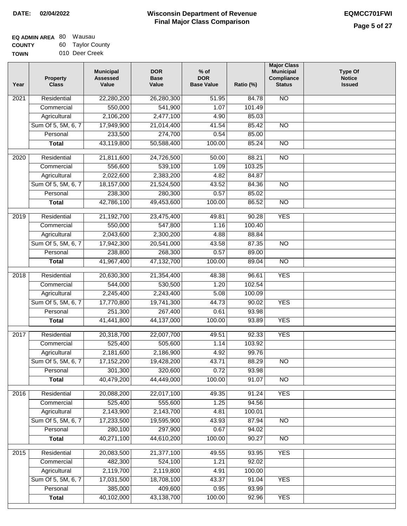| <b>EQ ADMIN AREA 80 Wausau</b> |                  |
|--------------------------------|------------------|
| <b>COUNTY</b>                  | 60 Taylor County |
| <b>TOWN</b>                    | 010 Deer Creek   |

| ັບ | rayior Oodiny  |
|----|----------------|
|    | 010 Deer Creek |

| Year             | <b>Property</b><br><b>Class</b>    | <b>Municipal</b><br><b>Assessed</b><br>Value | <b>DOR</b><br><b>Base</b><br>Value | $%$ of<br><b>DOR</b><br><b>Base Value</b> | Ratio (%)      | <b>Major Class</b><br><b>Municipal</b><br>Compliance<br><b>Status</b> | <b>Type Of</b><br><b>Notice</b><br><b>Issued</b> |
|------------------|------------------------------------|----------------------------------------------|------------------------------------|-------------------------------------------|----------------|-----------------------------------------------------------------------|--------------------------------------------------|
| 2021             | Residential                        | 22,280,200                                   | 26,280,300                         | 51.95                                     | 84.78          | $\overline{NO}$                                                       |                                                  |
|                  | Commercial                         | 550,000                                      | 541,900                            | 1.07                                      | 101.49         |                                                                       |                                                  |
|                  | Agricultural                       | 2,106,200                                    | 2,477,100                          | 4.90                                      | 85.03          |                                                                       |                                                  |
|                  | Sum Of 5, 5M, 6, 7                 | 17,949,900                                   | 21,014,400                         | 41.54                                     | 85.42          | $\overline{NO}$                                                       |                                                  |
|                  | Personal                           | 233,500                                      | 274,700                            | 0.54                                      | 85.00          |                                                                       |                                                  |
|                  | <b>Total</b>                       | 43,119,800                                   | 50,588,400                         | 100.00                                    | 85.24          | $\overline{NO}$                                                       |                                                  |
| $\frac{1}{2020}$ | Residential                        | 21,811,600                                   | 24,726,500                         | 50.00                                     | 88.21          | $\overline{NO}$                                                       |                                                  |
|                  | Commercial                         | 556,600                                      | 539,100                            | 1.09                                      | 103.25         |                                                                       |                                                  |
|                  | Agricultural                       | 2,022,600                                    | 2,383,200                          | 4.82                                      | 84.87          |                                                                       |                                                  |
|                  | Sum Of 5, 5M, 6, 7                 | 18,157,000                                   | 21,524,500                         | 43.52                                     | 84.36          | <b>NO</b>                                                             |                                                  |
|                  | Personal                           | 238,300                                      | 280,300                            | 0.57                                      | 85.02          |                                                                       |                                                  |
|                  | <b>Total</b>                       | 42,786,100                                   | 49,453,600                         | 100.00                                    | 86.52          | $\overline{NO}$                                                       |                                                  |
| $\frac{1}{2019}$ | Residential                        |                                              | 23,475,400                         |                                           | 90.28          | <b>YES</b>                                                            |                                                  |
|                  | Commercial                         | 21,192,700<br>550,000                        | 547,800                            | 49.81<br>1.16                             | 100.40         |                                                                       |                                                  |
|                  |                                    | 2,043,600                                    | 2,300,200                          | 4.88                                      | 88.84          |                                                                       |                                                  |
|                  | Agricultural<br>Sum Of 5, 5M, 6, 7 | 17,942,300                                   | 20,541,000                         | 43.58                                     | 87.35          | $\overline{NO}$                                                       |                                                  |
|                  | Personal                           |                                              |                                    | 0.57                                      | 89.00          |                                                                       |                                                  |
|                  |                                    | 238,800<br>41,967,400                        | 268,300<br>47,132,700              | 100.00                                    | 89.04          | $\overline{NO}$                                                       |                                                  |
|                  | <b>Total</b>                       |                                              |                                    |                                           |                |                                                                       |                                                  |
| 2018             | Residential                        | 20,630,300                                   | 21,354,400                         | 48.38                                     | 96.61          | <b>YES</b>                                                            |                                                  |
|                  | Commercial                         | 544,000                                      | 530,500                            | 1.20                                      | 102.54         |                                                                       |                                                  |
|                  | Agricultural                       | 2,245,400                                    | 2,243,400                          | 5.08                                      | 100.09         |                                                                       |                                                  |
|                  | Sum Of 5, 5M, 6, 7                 | 17,770,800                                   | 19,741,300                         | 44.73                                     | 90.02          | <b>YES</b>                                                            |                                                  |
|                  | Personal                           | 251,300                                      | 267,400                            | 0.61                                      | 93.98          |                                                                       |                                                  |
|                  | <b>Total</b>                       | 41,441,800                                   | 44,137,000                         | 100.00                                    | 93.89          | <b>YES</b>                                                            |                                                  |
| 2017             | Residential                        | 20,318,700                                   | 22,007,700                         | 49.51                                     | 92.33          | <b>YES</b>                                                            |                                                  |
|                  | Commercial                         | 525,400                                      | 505,600                            | 1.14                                      | 103.92         |                                                                       |                                                  |
|                  | Agricultural                       | 2,181,600                                    | 2,186,900                          | 4.92                                      | 99.76          |                                                                       |                                                  |
|                  | Sum Of 5, 5M, 6, 7                 | 17,152,200                                   | 19,428,200                         | 43.71                                     | 88.29          | $\overline{NO}$                                                       |                                                  |
|                  | Personal                           | 301,300                                      | 320,600                            | 0.72                                      | 93.98          |                                                                       |                                                  |
|                  | <b>Total</b>                       | 40,479,200                                   | 44,449,000                         | 100.00                                    | 91.07          | $\overline{N}$                                                        |                                                  |
| 2016             | Residential                        | 20,088,200                                   | 22,017,100                         | 49.35                                     | 91.24          | <b>YES</b>                                                            |                                                  |
|                  | Commercial                         | 525,400                                      | 555,600                            | 1.25                                      | 94.56          |                                                                       |                                                  |
|                  | Agricultural                       | 2,143,900                                    | 2,143,700                          | 4.81                                      | 100.01         |                                                                       |                                                  |
|                  | Sum Of 5, 5M, 6, 7                 | 17,233,500                                   | 19,595,900                         | 43.93                                     | 87.94          | N <sub>O</sub>                                                        |                                                  |
|                  | Personal                           | 280,100                                      | 297,900                            | 0.67                                      | 94.02          |                                                                       |                                                  |
|                  | <b>Total</b>                       | 40,271,100                                   | 44,610,200                         | 100.00                                    | 90.27          | $\overline{NO}$                                                       |                                                  |
|                  |                                    |                                              |                                    |                                           |                |                                                                       |                                                  |
| 2015             | Residential                        | 20,083,500                                   | 21,377,100                         | 49.55                                     | 93.95          | <b>YES</b>                                                            |                                                  |
|                  | Commercial                         | 482,300                                      | 524,100                            | 1.21                                      | 92.02          |                                                                       |                                                  |
|                  | Agricultural                       | 2,119,700                                    | 2,119,800                          | 4.91                                      | 100.00         |                                                                       |                                                  |
|                  | Sum Of 5, 5M, 6, 7<br>Personal     | 17,031,500<br>385,000                        | 18,708,100<br>409,600              | 43.37<br>0.95                             | 91.04          | <b>YES</b>                                                            |                                                  |
|                  | <b>Total</b>                       | 40,102,000                                   | 43,138,700                         | 100.00                                    | 93.99<br>92.96 | <b>YES</b>                                                            |                                                  |
|                  |                                    |                                              |                                    |                                           |                |                                                                       |                                                  |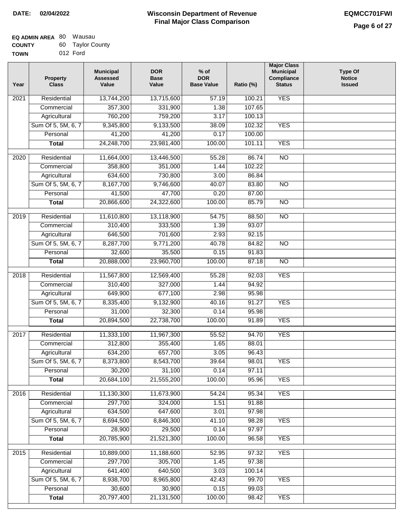# **Wisconsin Department of Revenue DATE: 02/04/2022 EQMCC701FWI Final Major Class Comparison**

| <b>EQ ADMIN AREA 80 Wausau</b> |                  |
|--------------------------------|------------------|
| <b>COUNTY</b>                  | 60 Taylor County |
| <b>TOWN</b>                    | 012 Ford         |

| Year              | <b>Property</b><br><b>Class</b>    | <b>Municipal</b><br><b>Assessed</b><br>Value | <b>DOR</b><br><b>Base</b><br>Value | % of<br><b>DOR</b><br><b>Base Value</b> | Ratio (%) | <b>Major Class</b><br><b>Municipal</b><br>Compliance<br><b>Status</b> | <b>Type Of</b><br><b>Notice</b><br><b>Issued</b> |
|-------------------|------------------------------------|----------------------------------------------|------------------------------------|-----------------------------------------|-----------|-----------------------------------------------------------------------|--------------------------------------------------|
| 2021              | Residential                        | 13,744,200                                   | 13,715,600                         | 57.19                                   | 100.21    | <b>YES</b>                                                            |                                                  |
|                   | Commercial                         | 357,300                                      | 331,900                            | 1.38                                    | 107.65    |                                                                       |                                                  |
|                   | Agricultural                       | 760,200                                      | 759,200                            | 3.17                                    | 100.13    |                                                                       |                                                  |
|                   | Sum Of 5, 5M, 6, 7                 | 9,345,800                                    | 9,133,500                          | 38.09                                   | 102.32    | <b>YES</b>                                                            |                                                  |
|                   | Personal                           | 41,200                                       | 41,200                             | 0.17                                    | 100.00    |                                                                       |                                                  |
|                   | <b>Total</b>                       | 24,248,700                                   | 23,981,400                         | 100.00                                  | 101.11    | <b>YES</b>                                                            |                                                  |
| $\overline{2020}$ | Residential                        |                                              | 13,446,500                         | 55.28                                   | 86.74     | $\overline{NO}$                                                       |                                                  |
|                   | Commercial                         | 11,664,000<br>358,800                        | 351,000                            | 1.44                                    | 102.22    |                                                                       |                                                  |
|                   |                                    | 634,600                                      | 730,800                            | 3.00                                    | 86.84     |                                                                       |                                                  |
|                   | Agricultural<br>Sum Of 5, 5M, 6, 7 | 8,167,700                                    | 9,746,600                          | 40.07                                   | 83.80     | $\overline{NO}$                                                       |                                                  |
|                   | Personal                           | 41,500                                       | 47,700                             | 0.20                                    | 87.00     |                                                                       |                                                  |
|                   | <b>Total</b>                       | 20,866,600                                   | 24,322,600                         | 100.00                                  | 85.79     | $\overline{NO}$                                                       |                                                  |
|                   |                                    |                                              |                                    |                                         |           |                                                                       |                                                  |
| 2019              | Residential                        | 11,610,800                                   | 13,118,900                         | 54.75                                   | 88.50     | $\overline{10}$                                                       |                                                  |
|                   | Commercial                         | 310,400                                      | 333,500                            | 1.39                                    | 93.07     |                                                                       |                                                  |
|                   | Agricultural                       | 646,500                                      | 701,600                            | 2.93                                    | 92.15     |                                                                       |                                                  |
|                   | Sum Of 5, 5M, 6, 7                 | 8,287,700                                    | 9,771,200                          | 40.78                                   | 84.82     | $\overline{NO}$                                                       |                                                  |
|                   | Personal                           | 32,600                                       | 35,500                             | 0.15                                    | 91.83     |                                                                       |                                                  |
|                   | <b>Total</b>                       | 20,888,000                                   | 23,960,700                         | 100.00                                  | 87.18     | $\overline{NO}$                                                       |                                                  |
| 2018              | Residential                        | 11,567,800                                   | 12,569,400                         | 55.28                                   | 92.03     | <b>YES</b>                                                            |                                                  |
|                   | Commercial                         | 310,400                                      | 327,000                            | 1.44                                    | 94.92     |                                                                       |                                                  |
|                   | Agricultural                       | 649,900                                      | 677,100                            | 2.98                                    | 95.98     |                                                                       |                                                  |
|                   | Sum Of 5, 5M, 6, 7                 | 8,335,400                                    | 9,132,900                          | 40.16                                   | 91.27     | <b>YES</b>                                                            |                                                  |
|                   | Personal                           | 31,000                                       | 32,300                             | 0.14                                    | 95.98     |                                                                       |                                                  |
|                   | <b>Total</b>                       | 20,894,500                                   | 22,738,700                         | 100.00                                  | 91.89     | <b>YES</b>                                                            |                                                  |
| 2017              | Residential                        | 11,333,100                                   | 11,967,300                         | 55.52                                   | 94.70     | <b>YES</b>                                                            |                                                  |
|                   | Commercial                         | 312,800                                      | 355,400                            | 1.65                                    | 88.01     |                                                                       |                                                  |
|                   | Agricultural                       | 634,200                                      | 657,700                            | 3.05                                    | 96.43     |                                                                       |                                                  |
|                   | Sum Of 5, 5M, 6, 7                 | 8,373,800                                    | 8,543,700                          | 39.64                                   | 98.01     | <b>YES</b>                                                            |                                                  |
|                   | Personal                           | 30,200                                       | 31,100                             | 0.14                                    | 97.11     |                                                                       |                                                  |
|                   | <b>Total</b>                       | 20,684,100                                   | 21,555,200                         | 100.00                                  | 95.96     | <b>YES</b>                                                            |                                                  |
| 2016              | Residential                        | 11,130,300                                   | 11,673,900                         | 54.24                                   | 95.34     | <b>YES</b>                                                            |                                                  |
|                   | Commercial                         | 297,700                                      | 324,000                            | 1.51                                    | 91.88     |                                                                       |                                                  |
|                   | Agricultural                       | 634,500                                      | 647,600                            | 3.01                                    | 97.98     |                                                                       |                                                  |
|                   | Sum Of 5, 5M, 6, 7                 | 8,694,500                                    | 8,846,300                          | 41.10                                   | 98.28     | <b>YES</b>                                                            |                                                  |
|                   | Personal                           | 28,900                                       | 29,500                             | 0.14                                    | 97.97     |                                                                       |                                                  |
|                   | <b>Total</b>                       | 20,785,900                                   | 21,521,300                         | 100.00                                  | 96.58     | <b>YES</b>                                                            |                                                  |
| 2015              | Residential                        | 10,889,000                                   | 11,188,600                         | 52.95                                   | 97.32     | <b>YES</b>                                                            |                                                  |
|                   | Commercial                         | 297,700                                      | 305,700                            | 1.45                                    | 97.38     |                                                                       |                                                  |
|                   | Agricultural                       | 641,400                                      | 640,500                            | 3.03                                    | 100.14    |                                                                       |                                                  |
|                   | Sum Of 5, 5M, 6, 7                 | 8,938,700                                    | 8,965,800                          | 42.43                                   | 99.70     | <b>YES</b>                                                            |                                                  |
|                   | Personal                           | 30,600                                       | 30,900                             | 0.15                                    | 99.03     |                                                                       |                                                  |
|                   | <b>Total</b>                       | 20,797,400                                   | 21, 131, 500                       | 100.00                                  | 98.42     | <b>YES</b>                                                            |                                                  |
|                   |                                    |                                              |                                    |                                         |           |                                                                       |                                                  |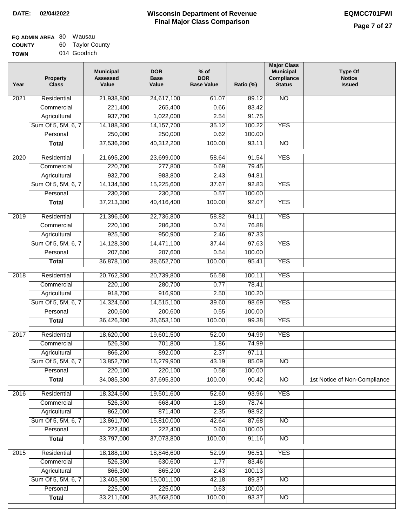| <b>EQ ADMIN AREA 80 Wausau</b> |                  |
|--------------------------------|------------------|
| <b>COUNTY</b>                  | 60 Taylor County |
| <b>TOWN</b>                    | 014 Goodrich     |

| 014 Goodrich<br>'N |  |
|--------------------|--|

| Year              | <b>Property</b><br><b>Class</b> | <b>Municipal</b><br><b>Assessed</b><br>Value | <b>DOR</b><br><b>Base</b><br>Value | % of<br><b>DOR</b><br><b>Base Value</b> | Ratio (%) | <b>Major Class</b><br><b>Municipal</b><br>Compliance<br><b>Status</b> | <b>Type Of</b><br><b>Notice</b><br><b>Issued</b> |
|-------------------|---------------------------------|----------------------------------------------|------------------------------------|-----------------------------------------|-----------|-----------------------------------------------------------------------|--------------------------------------------------|
| $\overline{202}1$ | Residential                     | 21,938,800                                   | 24,617,100                         | 61.07                                   | 89.12     | $\overline{NO}$                                                       |                                                  |
|                   | Commercial                      | 221,400                                      | 265,400                            | 0.66                                    | 83.42     |                                                                       |                                                  |
|                   | Agricultural                    | 937,700                                      | 1,022,000                          | 2.54                                    | 91.75     |                                                                       |                                                  |
|                   | Sum Of 5, 5M, 6, 7              | 14,188,300                                   | 14, 157, 700                       | 35.12                                   | 100.22    | <b>YES</b>                                                            |                                                  |
|                   | Personal                        | 250,000                                      | 250,000                            | 0.62                                    | 100.00    |                                                                       |                                                  |
|                   | <b>Total</b>                    | 37,536,200                                   | 40,312,200                         | 100.00                                  | 93.11     | $\overline{NO}$                                                       |                                                  |
| $\overline{2020}$ | Residential                     | 21,695,200                                   | 23,699,000                         | 58.64                                   | 91.54     | <b>YES</b>                                                            |                                                  |
|                   | Commercial                      | 220,700                                      | 277,800                            | 0.69                                    | 79.45     |                                                                       |                                                  |
|                   | Agricultural                    | 932,700                                      | 983,800                            | 2.43                                    | 94.81     |                                                                       |                                                  |
|                   | Sum Of 5, 5M, 6, 7              | 14,134,500                                   | 15,225,600                         | 37.67                                   | 92.83     | <b>YES</b>                                                            |                                                  |
|                   | Personal                        | 230,200                                      | 230,200                            | 0.57                                    | 100.00    |                                                                       |                                                  |
|                   | <b>Total</b>                    | 37,213,300                                   | 40,416,400                         | 100.00                                  | 92.07     | <b>YES</b>                                                            |                                                  |
| 2019              | Residential                     | 21,396,600                                   | 22,736,800                         | 58.82                                   | 94.11     | <b>YES</b>                                                            |                                                  |
|                   | Commercial                      | 220,100                                      | 286,300                            | 0.74                                    | 76.88     |                                                                       |                                                  |
|                   | Agricultural                    | 925,500                                      | 950,900                            | 2.46                                    | 97.33     |                                                                       |                                                  |
|                   | Sum Of 5, 5M, 6, 7              | 14,128,300                                   | 14,471,100                         | 37.44                                   | 97.63     | <b>YES</b>                                                            |                                                  |
|                   | Personal                        | 207,600                                      | 207,600                            | 0.54                                    | 100.00    |                                                                       |                                                  |
|                   | <b>Total</b>                    | 36,878,100                                   | 38,652,700                         | 100.00                                  | 95.41     | <b>YES</b>                                                            |                                                  |
|                   |                                 |                                              |                                    |                                         |           |                                                                       |                                                  |
| 2018              | Residential                     | 20,762,300                                   | 20,739,800                         | 56.58                                   | 100.11    | <b>YES</b>                                                            |                                                  |
|                   | Commercial                      | 220,100                                      | 280,700                            | 0.77                                    | 78.41     |                                                                       |                                                  |
|                   | Agricultural                    | 918,700                                      | 916,900                            | 2.50                                    | 100.20    |                                                                       |                                                  |
|                   | Sum Of 5, 5M, 6, 7              | 14,324,600                                   | 14,515,100                         | 39.60                                   | 98.69     | <b>YES</b>                                                            |                                                  |
|                   | Personal                        | 200,600                                      | 200,600                            | 0.55                                    | 100.00    |                                                                       |                                                  |
|                   | <b>Total</b>                    | 36,426,300                                   | 36,653,100                         | 100.00                                  | 99.38     | <b>YES</b>                                                            |                                                  |
| 2017              | Residential                     | 18,620,000                                   | 19,601,500                         | 52.00                                   | 94.99     | <b>YES</b>                                                            |                                                  |
|                   | Commercial                      | 526,300                                      | 701,800                            | 1.86                                    | 74.99     |                                                                       |                                                  |
|                   | Agricultural                    | 866,200                                      | 892,000                            | 2.37                                    | 97.11     |                                                                       |                                                  |
|                   | Sum Of 5, 5M, 6, 7              | 13,852,700                                   | 16,279,900                         | 43.19                                   | 85.09     | N <sub>O</sub>                                                        |                                                  |
|                   | Personal                        | 220,100                                      | 220,100                            | 0.58                                    | 100.00    |                                                                       |                                                  |
|                   | <b>Total</b>                    | 34,085,300                                   | 37,695,300                         | 100.00                                  | 90.42     | <b>NO</b>                                                             | 1st Notice of Non-Compliance                     |
| 2016              | Residential                     | 18,324,600                                   | 19,501,600                         | 52.60                                   | 93.96     | <b>YES</b>                                                            |                                                  |
|                   | Commercial                      | 526,300                                      | 668,400                            | 1.80                                    | 78.74     |                                                                       |                                                  |
|                   | Agricultural                    | 862,000                                      | 871,400                            | 2.35                                    | 98.92     |                                                                       |                                                  |
|                   | Sum Of 5, 5M, 6, 7              | 13,861,700                                   | 15,810,000                         | 42.64                                   | 87.68     | $\overline{NO}$                                                       |                                                  |
|                   | Personal                        | 222,400                                      | 222,400                            | 0.60                                    | 100.00    |                                                                       |                                                  |
|                   | <b>Total</b>                    | 33,797,000                                   | 37,073,800                         | 100.00                                  | 91.16     | N <sub>O</sub>                                                        |                                                  |
| 2015              | Residential                     | 18,188,100                                   | 18,846,600                         | 52.99                                   | 96.51     | <b>YES</b>                                                            |                                                  |
|                   | Commercial                      | 526,300                                      | 630,600                            | 1.77                                    | 83.46     |                                                                       |                                                  |
|                   | Agricultural                    | 866,300                                      | 865,200                            | 2.43                                    | 100.13    |                                                                       |                                                  |
|                   | Sum Of 5, 5M, 6, 7              | 13,405,900                                   | 15,001,100                         | 42.18                                   | 89.37     | $\overline{NO}$                                                       |                                                  |
|                   | Personal                        | 225,000                                      | 225,000                            | 0.63                                    | 100.00    |                                                                       |                                                  |
|                   | <b>Total</b>                    | 33,211,600                                   | 35,568,500                         | 100.00                                  | 93.37     | NO                                                                    |                                                  |
|                   |                                 |                                              |                                    |                                         |           |                                                                       |                                                  |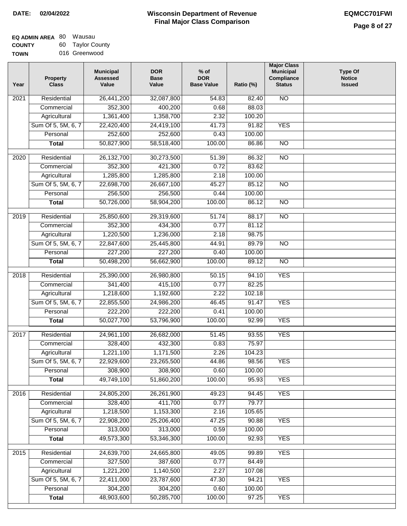# **Wisconsin Department of Revenue DATE: 02/04/2022 EQMCC701FWI Final Major Class Comparison**

| <b>EQ ADMIN AREA 80 Wausau</b> |                  |
|--------------------------------|------------------|
| <b>COUNTY</b>                  | 60 Taylor County |
|                                |                  |

**TOWN** 016 Greenwood

| Year              | <b>Property</b><br><b>Class</b> | <b>Municipal</b><br><b>Assessed</b><br>Value | <b>DOR</b><br><b>Base</b><br>Value | $%$ of<br><b>DOR</b><br><b>Base Value</b> | Ratio (%) | <b>Major Class</b><br><b>Municipal</b><br>Compliance<br><b>Status</b> | <b>Type Of</b><br><b>Notice</b><br><b>Issued</b> |
|-------------------|---------------------------------|----------------------------------------------|------------------------------------|-------------------------------------------|-----------|-----------------------------------------------------------------------|--------------------------------------------------|
| 2021              | Residential                     | 26,441,200                                   | 32,087,800                         | 54.83                                     | 82.40     | $\overline{NO}$                                                       |                                                  |
|                   | Commercial                      | 352,300                                      | 400,200                            | 0.68                                      | 88.03     |                                                                       |                                                  |
|                   | Agricultural                    | 1,361,400                                    | 1,358,700                          | 2.32                                      | 100.20    |                                                                       |                                                  |
|                   | Sum Of 5, 5M, 6, 7              | 22,420,400                                   | 24,419,100                         | 41.73                                     | 91.82     | <b>YES</b>                                                            |                                                  |
|                   | Personal                        | 252,600                                      | 252,600                            | 0.43                                      | 100.00    |                                                                       |                                                  |
|                   | <b>Total</b>                    | 50,827,900                                   | 58,518,400                         | 100.00                                    | 86.86     | $\overline{NO}$                                                       |                                                  |
| 2020              | Residential                     | 26,132,700                                   | 30,273,500                         | 51.39                                     | 86.32     | $\overline{NO}$                                                       |                                                  |
|                   | Commercial                      | 352,300                                      | 421,300                            | 0.72                                      | 83.62     |                                                                       |                                                  |
|                   | Agricultural                    | 1,285,800                                    | 1,285,800                          | 2.18                                      | 100.00    |                                                                       |                                                  |
|                   | Sum Of 5, 5M, 6, 7              | 22,698,700                                   | 26,667,100                         | 45.27                                     | 85.12     | $\overline{NO}$                                                       |                                                  |
|                   | Personal                        | 256,500                                      | 256,500                            | 0.44                                      | 100.00    |                                                                       |                                                  |
|                   | <b>Total</b>                    | 50,726,000                                   | 58,904,200                         | 100.00                                    | 86.12     | $\overline{NO}$                                                       |                                                  |
|                   |                                 |                                              |                                    |                                           |           |                                                                       |                                                  |
| 2019              | Residential                     | 25,850,600                                   | 29,319,600                         | 51.74                                     | 88.17     | <b>NO</b>                                                             |                                                  |
|                   | Commercial                      | 352,300                                      | 434,300                            | 0.77                                      | 81.12     |                                                                       |                                                  |
|                   | Agricultural                    | 1,220,500                                    | 1,236,000                          | 2.18                                      | 98.75     |                                                                       |                                                  |
|                   | Sum Of 5, 5M, 6, 7              | 22,847,600                                   | 25,445,800                         | 44.91                                     | 89.79     | $\overline{NO}$                                                       |                                                  |
|                   | Personal                        | 227,200                                      | 227,200                            | 0.40                                      | 100.00    |                                                                       |                                                  |
|                   | <b>Total</b>                    | 50,498,200                                   | 56,662,900                         | 100.00                                    | 89.12     | $\overline{NO}$                                                       |                                                  |
| $\overline{2018}$ | Residential                     | 25,390,000                                   | 26,980,800                         | 50.15                                     | 94.10     | <b>YES</b>                                                            |                                                  |
|                   | Commercial                      | 341,400                                      | 415,100                            | 0.77                                      | 82.25     |                                                                       |                                                  |
|                   | Agricultural                    | 1,218,600                                    | 1,192,600                          | 2.22                                      | 102.18    |                                                                       |                                                  |
|                   | Sum Of 5, 5M, 6, 7              | 22,855,500                                   | 24,986,200                         | 46.45                                     | 91.47     | <b>YES</b>                                                            |                                                  |
|                   | Personal                        | 222,200                                      | 222,200                            | 0.41                                      | 100.00    |                                                                       |                                                  |
|                   | <b>Total</b>                    | 50,027,700                                   | 53,796,900                         | 100.00                                    | 92.99     | <b>YES</b>                                                            |                                                  |
| 2017              | Residential                     | 24,961,100                                   | 26,682,000                         | 51.45                                     | 93.55     | <b>YES</b>                                                            |                                                  |
|                   | Commercial                      | 328,400                                      | 432,300                            | 0.83                                      | 75.97     |                                                                       |                                                  |
|                   | Agricultural                    | 1,221,100                                    | 1,171,500                          | 2.26                                      | 104.23    |                                                                       |                                                  |
|                   | Sum Of 5, 5M, 6, 7              | 22,929,600                                   | 23,265,500                         | 44.86                                     | 98.56     | YES                                                                   |                                                  |
|                   | Personal                        | 308,900                                      | 308,900                            | 0.60                                      | 100.00    |                                                                       |                                                  |
|                   | <b>Total</b>                    | 49,749,100                                   | 51,860,200                         | 100.00                                    | 95.93     | <b>YES</b>                                                            |                                                  |
| 2016              | Residential                     | 24,805,200                                   | 26,261,900                         | 49.23                                     | 94.45     | <b>YES</b>                                                            |                                                  |
|                   | Commercial                      | 328,400                                      | 411,700                            | 0.77                                      | 79.77     |                                                                       |                                                  |
|                   |                                 | 1,218,500                                    |                                    | 2.16                                      | 105.65    |                                                                       |                                                  |
|                   | Agricultural                    |                                              | 1,153,300                          | 47.25                                     | 90.88     | <b>YES</b>                                                            |                                                  |
|                   | Sum Of 5, 5M, 6, 7<br>Personal  | 22,908,200<br>313,000                        | 25,206,400<br>313,000              |                                           |           |                                                                       |                                                  |
|                   |                                 |                                              | 53,346,300                         | 0.59                                      | 100.00    |                                                                       |                                                  |
|                   | <b>Total</b>                    | 49,573,300                                   |                                    | 100.00                                    | 92.93     | <b>YES</b>                                                            |                                                  |
| $\overline{2015}$ | Residential                     | 24,639,700                                   | 24,665,800                         | 49.05                                     | 99.89     | <b>YES</b>                                                            |                                                  |
|                   | Commercial                      | 327,500                                      | 387,600                            | 0.77                                      | 84.49     |                                                                       |                                                  |
|                   | Agricultural                    | 1,221,200                                    | 1,140,500                          | 2.27                                      | 107.08    |                                                                       |                                                  |
|                   | Sum Of 5, 5M, 6, 7              | 22,411,000                                   | 23,787,600                         | 47.30                                     | 94.21     | <b>YES</b>                                                            |                                                  |
|                   | Personal                        | 304,200                                      | 304,200                            | 0.60                                      | 100.00    |                                                                       |                                                  |
|                   | <b>Total</b>                    | 48,903,600                                   | 50,285,700                         | 100.00                                    | 97.25     | <b>YES</b>                                                            |                                                  |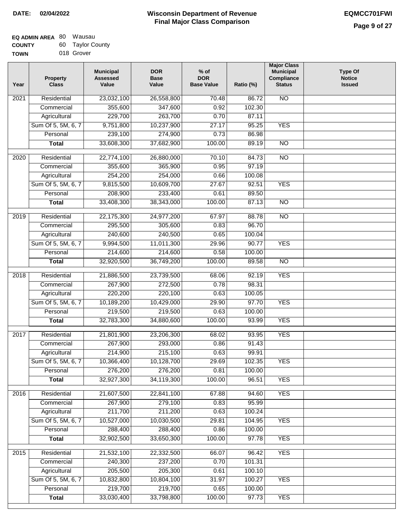| <b>EQ ADMIN AREA 80 Wausau</b> |                  |
|--------------------------------|------------------|
| <b>COUNTY</b>                  | 60 Taylor County |
| <b>TOWN</b>                    | 018 Grover       |

|  | 018 Grover |  |
|--|------------|--|

| Year              | <b>Property</b><br><b>Class</b> | <b>Municipal</b><br><b>Assessed</b><br>Value | <b>DOR</b><br><b>Base</b><br>Value | % of<br><b>DOR</b><br><b>Base Value</b> | Ratio (%) | <b>Major Class</b><br><b>Municipal</b><br>Compliance<br><b>Status</b> | <b>Type Of</b><br><b>Notice</b><br><b>Issued</b> |
|-------------------|---------------------------------|----------------------------------------------|------------------------------------|-----------------------------------------|-----------|-----------------------------------------------------------------------|--------------------------------------------------|
| $\overline{202}1$ | Residential                     | 23,032,100                                   | 26,558,800                         | $\frac{1}{70.48}$                       | 86.72     | N <sub>O</sub>                                                        |                                                  |
|                   | Commercial                      | 355,600                                      | 347,600                            | 0.92                                    | 102.30    |                                                                       |                                                  |
|                   | Agricultural                    | 229,700                                      | 263,700                            | 0.70                                    | 87.11     |                                                                       |                                                  |
|                   | Sum Of 5, 5M, 6, 7              | 9,751,800                                    | 10,237,900                         | 27.17                                   | 95.25     | <b>YES</b>                                                            |                                                  |
|                   | Personal                        | 239,100                                      | 274,900                            | 0.73                                    | 86.98     |                                                                       |                                                  |
|                   | <b>Total</b>                    | 33,608,300                                   | 37,682,900                         | 100.00                                  | 89.19     | $\overline{NO}$                                                       |                                                  |
| 2020              | Residential                     | 22,774,100                                   | 26,880,000                         | 70.10                                   | 84.73     | $\overline{NO}$                                                       |                                                  |
|                   | Commercial                      | 355,600                                      | 365,900                            | 0.95                                    | 97.19     |                                                                       |                                                  |
|                   | Agricultural                    | 254,200                                      | 254,000                            | 0.66                                    | 100.08    |                                                                       |                                                  |
|                   | Sum Of 5, 5M, 6, 7              | 9,815,500                                    | 10,609,700                         | 27.67                                   | 92.51     | <b>YES</b>                                                            |                                                  |
|                   | Personal                        | 208,900                                      | 233,400                            | 0.61                                    | 89.50     |                                                                       |                                                  |
|                   | <b>Total</b>                    | 33,408,300                                   | 38,343,000                         | 100.00                                  | 87.13     | $\overline{NO}$                                                       |                                                  |
| 2019              | Residential                     | 22,175,300                                   | 24,977,200                         | 67.97                                   | 88.78     | $\overline{10}$                                                       |                                                  |
|                   | Commercial                      | 295,500                                      | 305,600                            | 0.83                                    | 96.70     |                                                                       |                                                  |
|                   | Agricultural                    | 240,600                                      | 240,500                            | 0.65                                    | 100.04    |                                                                       |                                                  |
|                   | Sum Of 5, 5M, 6, 7              | 9,994,500                                    | 11,011,300                         | 29.96                                   | 90.77     | <b>YES</b>                                                            |                                                  |
|                   | Personal                        | 214,600                                      | 214,600                            | 0.58                                    | 100.00    |                                                                       |                                                  |
|                   | <b>Total</b>                    | 32,920,500                                   | 36,749,200                         | 100.00                                  | 89.58     | $\overline{NO}$                                                       |                                                  |
| 2018              | Residential                     | 21,886,500                                   | 23,739,500                         | 68.06                                   | 92.19     | <b>YES</b>                                                            |                                                  |
|                   | Commercial                      | 267,900                                      | 272,500                            | 0.78                                    | 98.31     |                                                                       |                                                  |
|                   | Agricultural                    | 220,200                                      | 220,100                            | 0.63                                    | 100.05    |                                                                       |                                                  |
|                   | Sum Of 5, 5M, 6, 7              | 10,189,200                                   | 10,429,000                         | 29.90                                   | 97.70     | <b>YES</b>                                                            |                                                  |
|                   | Personal                        | 219,500                                      | 219,500                            | 0.63                                    | 100.00    |                                                                       |                                                  |
|                   | <b>Total</b>                    | 32,783,300                                   | 34,880,600                         | 100.00                                  | 93.99     | <b>YES</b>                                                            |                                                  |
| 2017              | Residential                     | 21,801,900                                   | 23,206,300                         | 68.02                                   | 93.95     | <b>YES</b>                                                            |                                                  |
|                   | Commercial                      | 267,900                                      | 293,000                            | 0.86                                    | 91.43     |                                                                       |                                                  |
|                   | Agricultural                    | 214,900                                      | 215,100                            | 0.63                                    | 99.91     |                                                                       |                                                  |
|                   | Sum Of 5, 5M, 6, 7              | 10,366,400                                   | 10,128,700                         | 29.69                                   | 102.35    | <b>YES</b>                                                            |                                                  |
|                   | Personal                        | 276,200                                      | 276,200                            | 0.81                                    | 100.00    |                                                                       |                                                  |
|                   | <b>Total</b>                    | 32,927,300                                   | 34,119,300                         | 100.00                                  | 96.51     | <b>YES</b>                                                            |                                                  |
| 2016              | Residential                     | 21,607,500                                   | 22,841,100                         | 67.88                                   | 94.60     | <b>YES</b>                                                            |                                                  |
|                   | Commercial                      | 267,900                                      | 279,100                            | 0.83                                    | 95.99     |                                                                       |                                                  |
|                   | Agricultural                    | 211,700                                      | 211,200                            | 0.63                                    | 100.24    |                                                                       |                                                  |
|                   | Sum Of 5, 5M, 6, 7              | 10,527,000                                   | 10,030,500                         | 29.81                                   | 104.95    | <b>YES</b>                                                            |                                                  |
|                   | Personal                        | 288,400                                      | 288,400                            | 0.86                                    | 100.00    |                                                                       |                                                  |
|                   | <b>Total</b>                    | 32,902,500                                   | 33,650,300                         | 100.00                                  | 97.78     | <b>YES</b>                                                            |                                                  |
| 2015              | Residential                     | 21,532,100                                   | 22,332,500                         | 66.07                                   | 96.42     | <b>YES</b>                                                            |                                                  |
|                   | Commercial                      | 240,300                                      | 237,200                            | 0.70                                    | 101.31    |                                                                       |                                                  |
|                   | Agricultural                    | 205,500                                      | 205,300                            | 0.61                                    | 100.10    |                                                                       |                                                  |
|                   | Sum Of 5, 5M, 6, 7              | 10,832,800                                   | 10,804,100                         | 31.97                                   | 100.27    | <b>YES</b>                                                            |                                                  |
|                   | Personal                        | 219,700                                      | 219,700                            | 0.65                                    | 100.00    |                                                                       |                                                  |
|                   | <b>Total</b>                    | 33,030,400                                   | 33,798,800                         | 100.00                                  | 97.73     | <b>YES</b>                                                            |                                                  |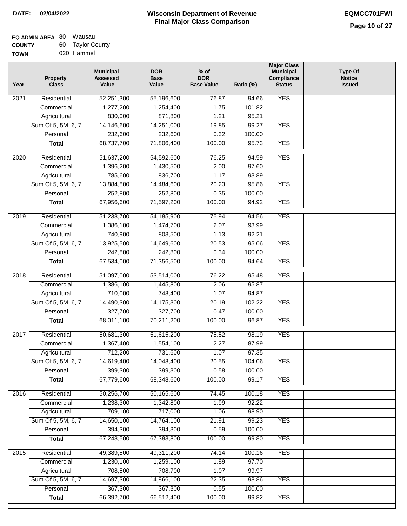| <b>EQ ADMIN AREA 80 Wausau</b> |                  |
|--------------------------------|------------------|
| <b>COUNTY</b>                  | 60 Taylor County |
| <b>TOWN</b>                    | 020 Hammel       |

| Year             | <b>Property</b><br><b>Class</b> | <b>Municipal</b><br><b>Assessed</b><br>Value | <b>DOR</b><br><b>Base</b><br>Value | $%$ of<br><b>DOR</b><br><b>Base Value</b> | Ratio (%) | <b>Major Class</b><br><b>Municipal</b><br>Compliance<br><b>Status</b> | <b>Type Of</b><br><b>Notice</b><br><b>Issued</b> |
|------------------|---------------------------------|----------------------------------------------|------------------------------------|-------------------------------------------|-----------|-----------------------------------------------------------------------|--------------------------------------------------|
| 2021             | Residential                     | 52,251,300                                   | 55,196,600                         | 76.87                                     | 94.66     | <b>YES</b>                                                            |                                                  |
|                  | Commercial                      | 1,277,200                                    | 1,254,400                          | 1.75                                      | 101.82    |                                                                       |                                                  |
|                  | Agricultural                    | 830,000                                      | 871,800                            | 1.21                                      | 95.21     |                                                                       |                                                  |
|                  | Sum Of 5, 5M, 6, 7              | 14,146,600                                   | 14,251,000                         | 19.85                                     | 99.27     | <b>YES</b>                                                            |                                                  |
|                  | Personal                        | 232,600                                      | 232,600                            | 0.32                                      | 100.00    |                                                                       |                                                  |
|                  | <b>Total</b>                    | 68,737,700                                   | 71,806,400                         | 100.00                                    | 95.73     | <b>YES</b>                                                            |                                                  |
| 2020             | Residential                     | 51,637,200                                   | 54,592,600                         | 76.25                                     | 94.59     | <b>YES</b>                                                            |                                                  |
|                  | Commercial                      | 1,396,200                                    | 1,430,500                          | 2.00                                      | 97.60     |                                                                       |                                                  |
|                  | Agricultural                    | 785,600                                      | 836,700                            | 1.17                                      | 93.89     |                                                                       |                                                  |
|                  | Sum Of 5, 5M, 6, 7              | 13,884,800                                   | 14,484,600                         | 20.23                                     | 95.86     | <b>YES</b>                                                            |                                                  |
|                  | Personal                        | 252,800                                      | 252,800                            | 0.35                                      | 100.00    |                                                                       |                                                  |
|                  | <b>Total</b>                    | 67,956,600                                   | 71,597,200                         | 100.00                                    | 94.92     | <b>YES</b>                                                            |                                                  |
|                  |                                 |                                              |                                    |                                           |           |                                                                       |                                                  |
| $\frac{1}{2019}$ | Residential                     | 51,238,700                                   | 54,185,900                         | 75.94                                     | 94.56     | <b>YES</b>                                                            |                                                  |
|                  | Commercial                      | 1,386,100                                    | 1,474,700                          | 2.07                                      | 93.99     |                                                                       |                                                  |
|                  | Agricultural                    | 740,900                                      | 803,500                            | 1.13                                      | 92.21     |                                                                       |                                                  |
|                  | Sum Of 5, 5M, 6, 7              | 13,925,500                                   | 14,649,600                         | 20.53                                     | 95.06     | <b>YES</b>                                                            |                                                  |
|                  | Personal                        | 242,800                                      | 242,800                            | 0.34                                      | 100.00    |                                                                       |                                                  |
|                  | <b>Total</b>                    | 67,534,000                                   | 71,356,500                         | 100.00                                    | 94.64     | <b>YES</b>                                                            |                                                  |
| 2018             | Residential                     | 51,097,000                                   | 53,514,000                         | 76.22                                     | 95.48     | <b>YES</b>                                                            |                                                  |
|                  | Commercial                      | 1,386,100                                    | 1,445,800                          | 2.06                                      | 95.87     |                                                                       |                                                  |
|                  | Agricultural                    | 710,000                                      | 748,400                            | 1.07                                      | 94.87     |                                                                       |                                                  |
|                  | Sum Of 5, 5M, 6, 7              | 14,490,300                                   | 14,175,300                         | 20.19                                     | 102.22    | <b>YES</b>                                                            |                                                  |
|                  | Personal                        | 327,700                                      | 327,700                            | 0.47                                      | 100.00    |                                                                       |                                                  |
|                  | <b>Total</b>                    | 68,011,100                                   | 70,211,200                         | 100.00                                    | 96.87     | <b>YES</b>                                                            |                                                  |
| 2017             | Residential                     | 50,681,300                                   | 51,615,200                         | 75.52                                     | 98.19     | <b>YES</b>                                                            |                                                  |
|                  | Commercial                      | 1,367,400                                    | 1,554,100                          | 2.27                                      | 87.99     |                                                                       |                                                  |
|                  | Agricultural                    | 712,200                                      | 731,600                            | 1.07                                      | 97.35     |                                                                       |                                                  |
|                  | Sum Of 5, 5M, 6, 7              | 14,619,400                                   | 14,048,400                         | 20.55                                     | 104.06    | YES                                                                   |                                                  |
|                  | Personal                        | 399,300                                      | 399,300                            | 0.58                                      | 100.00    |                                                                       |                                                  |
|                  | <b>Total</b>                    | 67,779,600                                   | 68,348,600                         | 100.00                                    | 99.17     | <b>YES</b>                                                            |                                                  |
|                  | Residential                     | 50,256,700                                   | 50,165,600                         | 74.45                                     | 100.18    | <b>YES</b>                                                            |                                                  |
| 2016             | Commercial                      | 1,238,300                                    | 1,342,800                          | 1.99                                      | 92.22     |                                                                       |                                                  |
|                  |                                 | 709,100                                      | 717,000                            | 1.06                                      | 98.90     |                                                                       |                                                  |
|                  | Agricultural                    | 14,650,100                                   |                                    |                                           | 99.23     | <b>YES</b>                                                            |                                                  |
|                  | Sum Of 5, 5M, 6, 7<br>Personal  | 394,300                                      | 14,764,100<br>394,300              | 21.91<br>0.59                             | 100.00    |                                                                       |                                                  |
|                  | <b>Total</b>                    | 67,248,500                                   | 67,383,800                         |                                           | 99.80     | <b>YES</b>                                                            |                                                  |
|                  |                                 |                                              |                                    | 100.00                                    |           |                                                                       |                                                  |
| 2015             | Residential                     | 49,389,500                                   | 49,311,200                         | 74.14                                     | 100.16    | <b>YES</b>                                                            |                                                  |
|                  | Commercial                      | 1,230,100                                    | 1,259,100                          | 1.89                                      | 97.70     |                                                                       |                                                  |
|                  | Agricultural                    | 708,500                                      | 708,700                            | 1.07                                      | 99.97     |                                                                       |                                                  |
|                  | Sum Of 5, 5M, 6, 7              | 14,697,300                                   | 14,866,100                         | 22.35                                     | 98.86     | <b>YES</b>                                                            |                                                  |
|                  | Personal                        | 367,300                                      | 367,300                            | 0.55                                      | 100.00    |                                                                       |                                                  |
|                  | <b>Total</b>                    | 66,392,700                                   | 66,512,400                         | 100.00                                    | 99.82     | <b>YES</b>                                                            |                                                  |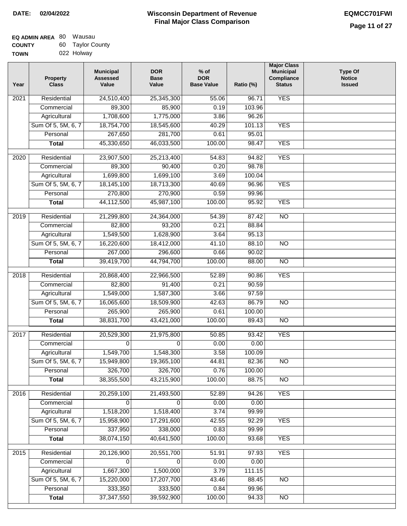| EQ ADMIN AREA 80 | Wausau           |
|------------------|------------------|
| <b>COUNTY</b>    | 60 Taylor County |
| <b>TOWN</b>      | 022 Holway       |

| Year              | <b>Property</b><br><b>Class</b> | <b>Municipal</b><br><b>Assessed</b><br>Value | <b>DOR</b><br><b>Base</b><br>Value | $%$ of<br><b>DOR</b><br><b>Base Value</b> | Ratio (%) | <b>Major Class</b><br><b>Municipal</b><br>Compliance<br><b>Status</b> | <b>Type Of</b><br><b>Notice</b><br><b>Issued</b> |
|-------------------|---------------------------------|----------------------------------------------|------------------------------------|-------------------------------------------|-----------|-----------------------------------------------------------------------|--------------------------------------------------|
| 2021              | Residential                     | 24,510,400                                   | 25,345,300                         | 55.06                                     | 96.71     | <b>YES</b>                                                            |                                                  |
|                   | Commercial                      | 89,300                                       | 85,900                             | 0.19                                      | 103.96    |                                                                       |                                                  |
|                   | Agricultural                    | 1,708,600                                    | 1,775,000                          | 3.86                                      | 96.26     |                                                                       |                                                  |
|                   | Sum Of 5, 5M, 6, 7              | 18,754,700                                   | 18,545,600                         | 40.29                                     | 101.13    | <b>YES</b>                                                            |                                                  |
|                   | Personal                        | 267,650                                      | 281,700                            | 0.61                                      | 95.01     |                                                                       |                                                  |
|                   | <b>Total</b>                    | 45,330,650                                   | 46,033,500                         | 100.00                                    | 98.47     | <b>YES</b>                                                            |                                                  |
| $\overline{2020}$ | Residential                     | 23,907,500                                   | 25,213,400                         | 54.83                                     | 94.82     | <b>YES</b>                                                            |                                                  |
|                   | Commercial                      | 89,300                                       | 90,400                             | 0.20                                      | 98.78     |                                                                       |                                                  |
|                   | Agricultural                    | 1,699,800                                    | 1,699,100                          | 3.69                                      | 100.04    |                                                                       |                                                  |
|                   | Sum Of 5, 5M, 6, 7              | 18,145,100                                   | 18,713,300                         | 40.69                                     | 96.96     | <b>YES</b>                                                            |                                                  |
|                   | Personal                        | 270,800                                      | 270,900                            | 0.59                                      | 99.96     |                                                                       |                                                  |
|                   | <b>Total</b>                    | 44,112,500                                   | 45,987,100                         | 100.00                                    | 95.92     | <b>YES</b>                                                            |                                                  |
|                   |                                 |                                              |                                    |                                           |           |                                                                       |                                                  |
| 2019              | Residential                     | 21,299,800                                   | 24,364,000                         | 54.39                                     | 87.42     | $\overline{NO}$                                                       |                                                  |
|                   | Commercial                      | 82,800                                       | 93,200                             | 0.21                                      | 88.84     |                                                                       |                                                  |
|                   | Agricultural                    | 1,549,500                                    | 1,628,900                          | 3.64                                      | 95.13     |                                                                       |                                                  |
|                   | Sum Of 5, 5M, 6, 7              | 16,220,600                                   | 18,412,000                         | 41.10                                     | 88.10     | $\overline{NO}$                                                       |                                                  |
|                   | Personal                        | 267,000                                      | 296,600                            | 0.66                                      | 90.02     |                                                                       |                                                  |
|                   | <b>Total</b>                    | 39,419,700                                   | 44,794,700                         | 100.00                                    | 88.00     | $\overline{NO}$                                                       |                                                  |
| 2018              | Residential                     | 20,868,400                                   | 22,966,500                         | 52.89                                     | 90.86     | <b>YES</b>                                                            |                                                  |
|                   | Commercial                      | 82,800                                       | 91,400                             | 0.21                                      | 90.59     |                                                                       |                                                  |
|                   | Agricultural                    | 1,549,000                                    | 1,587,300                          | 3.66                                      | 97.59     |                                                                       |                                                  |
|                   | Sum Of 5, 5M, 6, 7              | 16,065,600                                   | 18,509,900                         | 42.63                                     | 86.79     | $\overline{NO}$                                                       |                                                  |
|                   | Personal                        | 265,900                                      | 265,900                            | 0.61                                      | 100.00    |                                                                       |                                                  |
|                   | <b>Total</b>                    | 38,831,700                                   | 43,421,000                         | 100.00                                    | 89.43     | NO                                                                    |                                                  |
|                   |                                 |                                              |                                    |                                           |           |                                                                       |                                                  |
| 2017              | Residential                     | 20,529,300                                   | 21,975,800                         | 50.85                                     | 93.42     | <b>YES</b>                                                            |                                                  |
|                   | Commercial                      | $\Omega$                                     | $\Omega$                           | 0.00                                      | 0.00      |                                                                       |                                                  |
|                   | Agricultural                    | 1,549,700                                    | 1,548,300                          | 3.58                                      | 100.09    |                                                                       |                                                  |
|                   | Sum Of 5, 5M, 6, 7              | 15,949,800                                   | 19,365,100                         | 44.81                                     | 82.36     | $\overline{NO}$                                                       |                                                  |
|                   | Personal                        | 326,700                                      | 326,700                            | 0.76                                      | 100.00    |                                                                       |                                                  |
|                   | <b>Total</b>                    | 38,355,500                                   | 43,215,900                         | 100.00                                    | 88.75     | $\overline{NO}$                                                       |                                                  |
| 2016              | Residential                     | 20,259,100                                   | 21,493,500                         | 52.89                                     | 94.26     | <b>YES</b>                                                            |                                                  |
|                   | Commercial                      | 0                                            | 0                                  | 0.00                                      | 0.00      |                                                                       |                                                  |
|                   | Agricultural                    | 1,518,200                                    | 1,518,400                          | 3.74                                      | 99.99     |                                                                       |                                                  |
|                   | Sum Of 5, 5M, 6, 7              | 15,958,900                                   | 17,291,600                         | 42.55                                     | 92.29     | <b>YES</b>                                                            |                                                  |
|                   | Personal                        | 337,950                                      | 338,000                            | 0.83                                      | 99.99     |                                                                       |                                                  |
|                   | <b>Total</b>                    | 38,074,150                                   | 40,641,500                         | 100.00                                    | 93.68     | <b>YES</b>                                                            |                                                  |
|                   |                                 |                                              |                                    |                                           |           |                                                                       |                                                  |
| 2015              | Residential                     | 20,126,900                                   | 20,551,700                         | 51.91                                     | 97.93     | <b>YES</b>                                                            |                                                  |
|                   | Commercial                      | $\mathbf 0$                                  | $\Omega$                           | 0.00                                      | 0.00      |                                                                       |                                                  |
|                   | Agricultural                    | 1,667,300                                    | 1,500,000                          | 3.79                                      | 111.15    |                                                                       |                                                  |
|                   | Sum Of 5, 5M, 6, 7              | 15,220,000                                   | 17,207,700                         | 43.46                                     | 88.45     | $\overline{NO}$                                                       |                                                  |
|                   | Personal                        | 333,350                                      | 333,500                            | 0.84                                      | 99.96     |                                                                       |                                                  |
|                   | <b>Total</b>                    | 37,347,550                                   | 39,592,900                         | 100.00                                    | 94.33     | $\overline{NO}$                                                       |                                                  |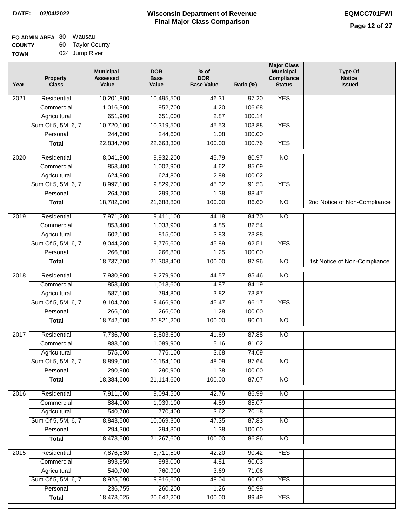| EQ ADMIN AREA 80 | Wausau           |
|------------------|------------------|
| <b>COUNTY</b>    | 60 Taylor County |
| <b>TOWN</b>      | 024 Jump River   |

| Year              | <b>Property</b><br><b>Class</b> | <b>Municipal</b><br><b>Assessed</b><br>Value | <b>DOR</b><br><b>Base</b><br>Value | $%$ of<br><b>DOR</b><br><b>Base Value</b> | Ratio (%) | <b>Major Class</b><br><b>Municipal</b><br>Compliance<br><b>Status</b> | <b>Type Of</b><br><b>Notice</b><br><b>Issued</b> |
|-------------------|---------------------------------|----------------------------------------------|------------------------------------|-------------------------------------------|-----------|-----------------------------------------------------------------------|--------------------------------------------------|
| $\overline{202}1$ | Residential                     | 10,201,800                                   | 10,495,500                         | 46.31                                     | 97.20     | <b>YES</b>                                                            |                                                  |
|                   | Commercial                      | 1,016,300                                    | 952,700                            | 4.20                                      | 106.68    |                                                                       |                                                  |
|                   | Agricultural                    | 651,900                                      | 651,000                            | 2.87                                      | 100.14    |                                                                       |                                                  |
|                   | Sum Of 5, 5M, 6, 7              | 10,720,100                                   | 10,319,500                         | 45.53                                     | 103.88    | <b>YES</b>                                                            |                                                  |
|                   | Personal                        | 244,600                                      | 244,600                            | 1.08                                      | 100.00    |                                                                       |                                                  |
|                   | <b>Total</b>                    | 22,834,700                                   | 22,663,300                         | 100.00                                    | 100.76    | <b>YES</b>                                                            |                                                  |
| $\overline{2020}$ | Residential                     | 8,041,900                                    | 9,932,200                          | 45.79                                     | 80.97     | $\overline{NO}$                                                       |                                                  |
|                   | Commercial                      | 853,400                                      | 1,002,900                          | 4.62                                      | 85.09     |                                                                       |                                                  |
|                   | Agricultural                    | 624,900                                      | 624,800                            | 2.88                                      | 100.02    |                                                                       |                                                  |
|                   | Sum Of 5, 5M, 6, 7              | 8,997,100                                    | 9,829,700                          | 45.32                                     | 91.53     | <b>YES</b>                                                            |                                                  |
|                   | Personal                        | 264,700                                      | 299,200                            | 1.38                                      | 88.47     |                                                                       |                                                  |
|                   | <b>Total</b>                    | 18,782,000                                   | 21,688,800                         | 100.00                                    | 86.60     | $\overline{NO}$                                                       | 2nd Notice of Non-Compliance                     |
| 2019              | Residential                     | 7,971,200                                    | 9,411,100                          | 44.18                                     | 84.70     | $\overline{10}$                                                       |                                                  |
|                   | Commercial                      | 853,400                                      | 1,033,900                          | 4.85                                      | 82.54     |                                                                       |                                                  |
|                   | Agricultural                    | 602,100                                      | 815,000                            | 3.83                                      | 73.88     |                                                                       |                                                  |
|                   | Sum Of 5, 5M, 6, 7              | 9,044,200                                    | 9,776,600                          | 45.89                                     | 92.51     | <b>YES</b>                                                            |                                                  |
|                   | Personal                        | 266,800                                      | 266,800                            | 1.25                                      | 100.00    |                                                                       |                                                  |
|                   | <b>Total</b>                    | 18,737,700                                   | 21,303,400                         | 100.00                                    | 87.96     | $\overline{NO}$                                                       | 1st Notice of Non-Compliance                     |
| 2018              | Residential                     | 7,930,800                                    | 9,279,900                          | 44.57                                     | 85.46     | $\overline{10}$                                                       |                                                  |
|                   | Commercial                      | 853,400                                      | 1,013,600                          | 4.87                                      | 84.19     |                                                                       |                                                  |
|                   | Agricultural                    | 587,100                                      | 794,800                            | 3.82                                      | 73.87     |                                                                       |                                                  |
|                   | Sum Of 5, 5M, 6, 7              | 9,104,700                                    | 9,466,900                          | 45.47                                     | 96.17     | <b>YES</b>                                                            |                                                  |
|                   | Personal                        | 266,000                                      | 266,000                            | 1.28                                      | 100.00    |                                                                       |                                                  |
|                   | <b>Total</b>                    | 18,742,000                                   | 20,821,200                         | 100.00                                    | 90.01     | <b>NO</b>                                                             |                                                  |
| 2017              | Residential                     | 7,736,700                                    | 8,803,600                          | 41.69                                     | 87.88     | <b>NO</b>                                                             |                                                  |
|                   | Commercial                      | 883,000                                      | 1,089,900                          | 5.16                                      | 81.02     |                                                                       |                                                  |
|                   | Agricultural                    | 575,000                                      | 776,100                            | 3.68                                      | 74.09     |                                                                       |                                                  |
|                   | Sum Of 5, 5M, 6, 7              | 8,899,000                                    | 10,154,100                         | 48.09                                     | 87.64     | <b>NO</b>                                                             |                                                  |
|                   | Personal                        | 290,900                                      | 290,900                            | 1.38                                      | 100.00    |                                                                       |                                                  |
|                   | <b>Total</b>                    | 18,384,600                                   | 21,114,600                         | 100.00                                    | 87.07     | <b>NO</b>                                                             |                                                  |
| 2016              | Residential                     | 7,911,000                                    | 9,094,500                          | 42.76                                     | 86.99     | $\overline{NO}$                                                       |                                                  |
|                   | Commercial                      | 884,000                                      | 1,039,100                          | 4.89                                      | 85.07     |                                                                       |                                                  |
|                   | Agricultural                    | 540,700                                      | 770,400                            | 3.62                                      | 70.18     |                                                                       |                                                  |
|                   | Sum Of 5, 5M, 6, 7              | 8,843,500                                    | 10,069,300                         | 47.35                                     | 87.83     | $\overline{NO}$                                                       |                                                  |
|                   | Personal                        | 294,300                                      | 294,300                            | 1.38                                      | 100.00    |                                                                       |                                                  |
|                   | <b>Total</b>                    | 18,473,500                                   | 21,267,600                         | 100.00                                    | 86.86     | $\overline{NO}$                                                       |                                                  |
| 2015              | Residential                     | 7,876,530                                    | 8,711,500                          | 42.20                                     | 90.42     | <b>YES</b>                                                            |                                                  |
|                   | Commercial                      | 893,950                                      | 993,000                            | 4.81                                      | 90.03     |                                                                       |                                                  |
|                   | Agricultural                    | 540,700                                      | 760,900                            | 3.69                                      | 71.06     |                                                                       |                                                  |
|                   | Sum Of 5, 5M, 6, 7              | 8,925,090                                    | 9,916,600                          | 48.04                                     | 90.00     | <b>YES</b>                                                            |                                                  |
|                   | Personal                        | 236,755                                      | 260,200                            | 1.26                                      | 90.99     |                                                                       |                                                  |
|                   | <b>Total</b>                    | 18,473,025                                   | 20,642,200                         | 100.00                                    | 89.49     | <b>YES</b>                                                            |                                                  |
|                   |                                 |                                              |                                    |                                           |           |                                                                       |                                                  |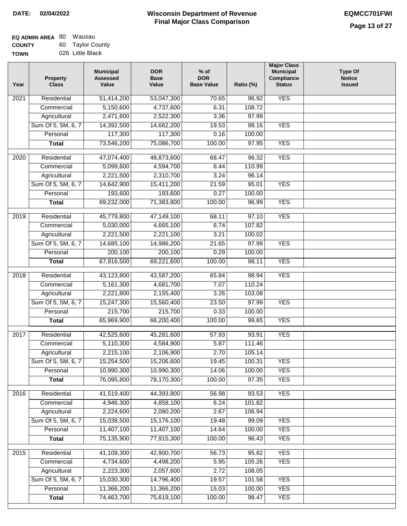# **Wisconsin Department of Revenue DATE: 02/04/2022 EQMCC701FWI Final Major Class Comparison**

| EQ ADMIN AREA 80 | Wausau           |
|------------------|------------------|
| <b>COUNTY</b>    | 60 Taylor County |
| <b>TOWN</b>      | 026 Little Black |

| Year              | <b>Property</b><br><b>Class</b> | <b>Municipal</b><br><b>Assessed</b><br>Value | <b>DOR</b><br><b>Base</b><br>Value | $%$ of<br><b>DOR</b><br><b>Base Value</b> | Ratio (%) | <b>Major Class</b><br><b>Municipal</b><br>Compliance<br><b>Status</b> | <b>Type Of</b><br><b>Notice</b><br><b>Issued</b> |
|-------------------|---------------------------------|----------------------------------------------|------------------------------------|-------------------------------------------|-----------|-----------------------------------------------------------------------|--------------------------------------------------|
| $\overline{202}1$ | Residential                     | 51,414,200                                   | 53,047,300                         | 70.65                                     | 96.92     | <b>YES</b>                                                            |                                                  |
|                   | Commercial                      | 5,150,600                                    | 4,737,600                          | 6.31                                      | 108.72    |                                                                       |                                                  |
|                   | Agricultural                    | 2,471,600                                    | 2,522,300                          | 3.36                                      | 97.99     |                                                                       |                                                  |
|                   | Sum Of 5, 5M, 6, 7              | 14,392,500                                   | 14,662,200                         | 19.53                                     | 98.16     | <b>YES</b>                                                            |                                                  |
|                   | Personal                        | 117,300                                      | 117,300                            | 0.16                                      | 100.00    |                                                                       |                                                  |
|                   | <b>Total</b>                    | 73,546,200                                   | 75,086,700                         | 100.00                                    | 97.95     | <b>YES</b>                                                            |                                                  |
| $\overline{2020}$ | Residential                     | 47,074,400                                   | 48,873,600                         | 68.47                                     | 96.32     | <b>YES</b>                                                            |                                                  |
|                   | Commercial                      | 5,099,600                                    | 4,594,700                          | 6.44                                      | 110.99    |                                                                       |                                                  |
|                   | Agricultural                    | 2,221,500                                    | 2,310,700                          | 3.24                                      | 96.14     |                                                                       |                                                  |
|                   | Sum Of 5, 5M, 6, 7              | 14,642,900                                   | 15,411,200                         | 21.59                                     | 95.01     | <b>YES</b>                                                            |                                                  |
|                   | Personal                        | 193,600                                      | 193,600                            | 0.27                                      | 100.00    |                                                                       |                                                  |
|                   | <b>Total</b>                    | 69,232,000                                   | 71,383,800                         | 100.00                                    | 96.99     | <b>YES</b>                                                            |                                                  |
|                   |                                 |                                              |                                    |                                           |           |                                                                       |                                                  |
| 2019              | Residential                     | 45,779,800                                   | 47,149,100                         | 68.11                                     | 97.10     | <b>YES</b>                                                            |                                                  |
|                   | Commercial                      | 5,030,000                                    | 4,665,100                          | 6.74                                      | 107.82    |                                                                       |                                                  |
|                   | Agricultural                    | 2,221,500                                    | 2,221,100                          | 3.21                                      | 100.02    |                                                                       |                                                  |
|                   | Sum Of 5, 5M, 6, 7              | 14,685,100                                   | 14,986,200                         | 21.65                                     | 97.99     | <b>YES</b>                                                            |                                                  |
|                   | Personal                        | 200,100                                      | 200,100                            | 0.29                                      | 100.00    |                                                                       |                                                  |
|                   | <b>Total</b>                    | 67,916,500                                   | 69,221,600                         | 100.00                                    | 98.11     | <b>YES</b>                                                            |                                                  |
| 2018              | Residential                     | 43,123,800                                   | 43,587,200                         | 65.84                                     | 98.94     | <b>YES</b>                                                            |                                                  |
|                   | Commercial                      | 5,161,300                                    | 4,681,700                          | 7.07                                      | 110.24    |                                                                       |                                                  |
|                   | Agricultural                    | 2,221,800                                    | 2,155,400                          | 3.26                                      | 103.08    |                                                                       |                                                  |
|                   | Sum Of 5, 5M, 6, 7              | 15,247,300                                   | 15,560,400                         | 23.50                                     | 97.99     | <b>YES</b>                                                            |                                                  |
|                   | Personal                        | 215,700                                      | 215,700                            | 0.33                                      | 100.00    |                                                                       |                                                  |
|                   | <b>Total</b>                    | 65,969,900                                   | 66,200,400                         | 100.00                                    | 99.65     | <b>YES</b>                                                            |                                                  |
| 2017              | Residential                     | 42,525,600                                   | 45,281,600                         | 57.93                                     | 93.91     | <b>YES</b>                                                            |                                                  |
|                   | Commercial                      | 5,110,300                                    | 4,584,900                          | 5.87                                      | 111.46    |                                                                       |                                                  |
|                   | Agricultural                    | 2,215,100                                    | 2,106,900                          | 2.70                                      | 105.14    |                                                                       |                                                  |
|                   | Sum Of 5, 5M, 6, 7              | 15,254,500                                   | 15,206,600                         | 19.45                                     | 100.31    | <b>YES</b>                                                            |                                                  |
|                   | Personal                        | 10,990,300                                   | 10,990,300                         | 14.06                                     | 100.00    | <b>YES</b>                                                            |                                                  |
|                   | <b>Total</b>                    | 76,095,800                                   | 78,170,300                         | 100.00                                    | 97.35     | <b>YES</b>                                                            |                                                  |
|                   |                                 |                                              |                                    |                                           |           |                                                                       |                                                  |
| 2016              | Residential                     | 41,519,400                                   | 44,393,800                         | 56.98                                     | 93.53     | <b>YES</b>                                                            |                                                  |
|                   | Commercial                      | 4,946,300                                    | 4,858,100                          | 6.24                                      | 101.82    |                                                                       |                                                  |
|                   | Agricultural                    | 2,224,600                                    | 2,080,200                          | 2.67                                      | 106.94    |                                                                       |                                                  |
|                   | Sum Of 5, 5M, 6, 7              | 15,038,500                                   | 15,176,100                         | 19.48                                     | 99.09     | <b>YES</b>                                                            |                                                  |
|                   | Personal                        | 11,407,100                                   | 11,407,100                         | 14.64                                     | 100.00    | <b>YES</b>                                                            |                                                  |
|                   | <b>Total</b>                    | 75,135,900                                   | 77,915,300                         | 100.00                                    | 96.43     | <b>YES</b>                                                            |                                                  |
| 2015              | Residential                     | 41,109,300                                   | 42,900,700                         | 56.73                                     | 95.82     | <b>YES</b>                                                            |                                                  |
|                   | Commercial                      | 4,734,600                                    | 4,498,200                          | 5.95                                      | 105.26    | <b>YES</b>                                                            |                                                  |
|                   | Agricultural                    | 2,223,300                                    | 2,057,600                          | 2.72                                      | 108.05    |                                                                       |                                                  |
|                   | Sum Of 5, 5M, 6, 7              | 15,030,300                                   | 14,796,400                         | 19.57                                     | 101.58    | <b>YES</b>                                                            |                                                  |
|                   | Personal                        | 11,366,200                                   | 11,366,200                         | 15.03                                     | 100.00    | <b>YES</b>                                                            |                                                  |
|                   | <b>Total</b>                    | 74,463,700                                   | 75,619,100                         | 100.00                                    | 98.47     | <b>YES</b>                                                            |                                                  |
|                   |                                 |                                              |                                    |                                           |           |                                                                       |                                                  |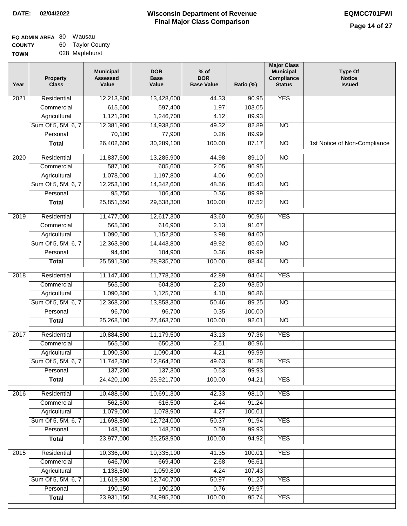| EQ ADMIN AREA 80 | Wausau           |
|------------------|------------------|
| <b>COUNTY</b>    | 60 Taylor County |
| <b>TOWN</b>      | 028 Maplehurst   |

| Year              | <b>Property</b><br><b>Class</b> | <b>Municipal</b><br><b>Assessed</b><br>Value | <b>DOR</b><br><b>Base</b><br>Value | $%$ of<br><b>DOR</b><br><b>Base Value</b> | Ratio (%) | <b>Major Class</b><br><b>Municipal</b><br>Compliance<br><b>Status</b> | <b>Type Of</b><br><b>Notice</b><br><b>Issued</b> |
|-------------------|---------------------------------|----------------------------------------------|------------------------------------|-------------------------------------------|-----------|-----------------------------------------------------------------------|--------------------------------------------------|
| $\overline{202}1$ | Residential                     | 12,213,800                                   | 13,428,600                         | 44.33                                     | 90.95     | <b>YES</b>                                                            |                                                  |
|                   | Commercial                      | 615,600                                      | 597,400                            | 1.97                                      | 103.05    |                                                                       |                                                  |
|                   | Agricultural                    | 1,121,200                                    | 1,246,700                          | 4.12                                      | 89.93     |                                                                       |                                                  |
|                   | Sum Of 5, 5M, 6, 7              | 12,381,900                                   | 14,938,500                         | 49.32                                     | 82.89     | $\overline{NO}$                                                       |                                                  |
|                   | Personal                        | 70,100                                       | 77,900                             | 0.26                                      | 89.99     |                                                                       |                                                  |
|                   | <b>Total</b>                    | 26,402,600                                   | 30,289,100                         | 100.00                                    | 87.17     | $\overline{NO}$                                                       | 1st Notice of Non-Compliance                     |
| $\overline{2020}$ | Residential                     | 11,837,600                                   | 13,285,900                         | 44.98                                     | 89.10     | $\overline{NO}$                                                       |                                                  |
|                   | Commercial                      | 587,100                                      | 605,600                            | 2.05                                      | 96.95     |                                                                       |                                                  |
|                   | Agricultural                    | 1,078,000                                    | 1,197,800                          | 4.06                                      | 90.00     |                                                                       |                                                  |
|                   | Sum Of 5, 5M, 6, 7              | 12,253,100                                   | 14,342,600                         | 48.56                                     | 85.43     | $\overline{NO}$                                                       |                                                  |
|                   | Personal                        | 95,750                                       | 106,400                            | 0.36                                      | 89.99     |                                                                       |                                                  |
|                   | <b>Total</b>                    | 25,851,550                                   | 29,538,300                         | 100.00                                    | 87.52     | $\overline{NO}$                                                       |                                                  |
| 2019              | Residential                     | 11,477,000                                   | 12,617,300                         | 43.60                                     | 90.96     | <b>YES</b>                                                            |                                                  |
|                   | Commercial                      | 565,500                                      | 616,900                            | 2.13                                      | 91.67     |                                                                       |                                                  |
|                   | Agricultural                    | 1,090,500                                    | 1,152,800                          | 3.98                                      | 94.60     |                                                                       |                                                  |
|                   | Sum Of 5, 5M, 6, 7              | 12,363,900                                   | 14,443,800                         | 49.92                                     | 85.60     | $\overline{NO}$                                                       |                                                  |
|                   | Personal                        | 94,400                                       | 104,900                            | 0.36                                      | 89.99     |                                                                       |                                                  |
|                   | <b>Total</b>                    | 25,591,300                                   | 28,935,700                         | 100.00                                    | 88.44     | $\overline{NO}$                                                       |                                                  |
| 2018              | Residential                     | 11,147,400                                   | 11,778,200                         | 42.89                                     | 94.64     | <b>YES</b>                                                            |                                                  |
|                   | Commercial                      | 565,500                                      | 604,800                            | 2.20                                      | 93.50     |                                                                       |                                                  |
|                   | Agricultural                    | 1,090,300                                    | 1,125,700                          | 4.10                                      | 96.86     |                                                                       |                                                  |
|                   | Sum Of 5, 5M, 6, 7              | 12,368,200                                   | 13,858,300                         | 50.46                                     | 89.25     | $\overline{10}$                                                       |                                                  |
|                   | Personal                        | 96,700                                       | 96,700                             | 0.35                                      | 100.00    |                                                                       |                                                  |
|                   | <b>Total</b>                    | 25,268,100                                   | 27,463,700                         | 100.00                                    | 92.01     | <b>NO</b>                                                             |                                                  |
| 2017              | Residential                     | 10,884,800                                   | 11,179,500                         | 43.13                                     | 97.36     | <b>YES</b>                                                            |                                                  |
|                   | Commercial                      | 565,500                                      | 650,300                            | 2.51                                      | 86.96     |                                                                       |                                                  |
|                   | Agricultural                    | 1,090,300                                    | 1,090,400                          | 4.21                                      | 99.99     |                                                                       |                                                  |
|                   | Sum Of 5, 5M, 6, 7              | 11,742,300                                   | 12,864,200                         | 49.63                                     | 91.28     | <b>YES</b>                                                            |                                                  |
|                   | Personal                        | 137,200                                      | 137,300                            | 0.53                                      | 99.93     |                                                                       |                                                  |
|                   | <b>Total</b>                    | 24,420,100                                   | 25,921,700                         | 100.00                                    | 94.21     | <b>YES</b>                                                            |                                                  |
| 2016              | Residential                     | 10,488,600                                   | 10,691,300                         | 42.33                                     | 98.10     | <b>YES</b>                                                            |                                                  |
|                   | Commercial                      | 562,500                                      | 616,500                            | 2.44                                      | 91.24     |                                                                       |                                                  |
|                   | Agricultural                    | 1,079,000                                    | 1,078,900                          | 4.27                                      | 100.01    |                                                                       |                                                  |
|                   | Sum Of 5, 5M, 6, 7              | 11,698,800                                   | 12,724,000                         | 50.37                                     | 91.94     | <b>YES</b>                                                            |                                                  |
|                   | Personal                        | 148,100                                      | 148,200                            | 0.59                                      | 99.93     |                                                                       |                                                  |
|                   | <b>Total</b>                    | 23,977,000                                   | 25,258,900                         | 100.00                                    | 94.92     | <b>YES</b>                                                            |                                                  |
| 2015              | Residential                     | 10,336,000                                   | 10,335,100                         | 41.35                                     | 100.01    | <b>YES</b>                                                            |                                                  |
|                   | Commercial                      | 646,700                                      | 669,400                            | 2.68                                      | 96.61     |                                                                       |                                                  |
|                   | Agricultural                    | 1,138,500                                    | 1,059,800                          | 4.24                                      | 107.43    |                                                                       |                                                  |
|                   | Sum Of 5, 5M, 6, 7              | 11,619,800                                   | 12,740,700                         | 50.97                                     | 91.20     | <b>YES</b>                                                            |                                                  |
|                   | Personal                        | 190,150                                      | 190,200                            | 0.76                                      | 99.97     |                                                                       |                                                  |
|                   | <b>Total</b>                    | 23,931,150                                   | 24,995,200                         | 100.00                                    | 95.74     | <b>YES</b>                                                            |                                                  |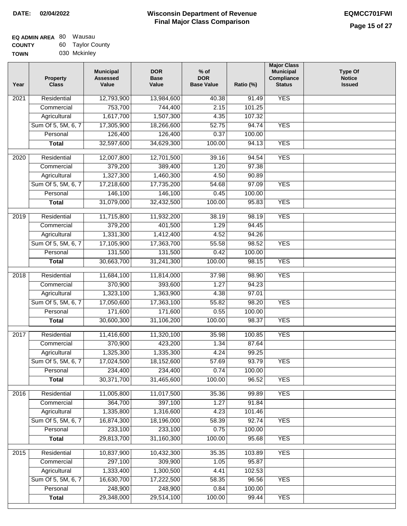| EQ ADMIN AREA 80 | Wausau           |
|------------------|------------------|
| <b>COUNTY</b>    | 60 Taylor County |
| <b>TOWN</b>      | 030 Mckinley     |

| Year              | <b>Property</b><br><b>Class</b> | <b>Municipal</b><br><b>Assessed</b><br>Value | <b>DOR</b><br><b>Base</b><br>Value | $%$ of<br><b>DOR</b><br><b>Base Value</b> | Ratio (%) | <b>Major Class</b><br><b>Municipal</b><br>Compliance<br><b>Status</b> | <b>Type Of</b><br><b>Notice</b><br><b>Issued</b> |
|-------------------|---------------------------------|----------------------------------------------|------------------------------------|-------------------------------------------|-----------|-----------------------------------------------------------------------|--------------------------------------------------|
| 2021              | Residential                     | 12,793,900                                   | 13,984,600                         | 40.38                                     | 91.49     | <b>YES</b>                                                            |                                                  |
|                   | Commercial                      | 753,700                                      | 744,400                            | 2.15                                      | 101.25    |                                                                       |                                                  |
|                   | Agricultural                    | 1,617,700                                    | 1,507,300                          | 4.35                                      | 107.32    |                                                                       |                                                  |
|                   | Sum Of 5, 5M, 6, 7              | 17,305,900                                   | 18,266,600                         | 52.75                                     | 94.74     | <b>YES</b>                                                            |                                                  |
|                   | Personal                        | 126,400                                      | 126,400                            | 0.37                                      | 100.00    |                                                                       |                                                  |
|                   | <b>Total</b>                    | 32,597,600                                   | 34,629,300                         | 100.00                                    | 94.13     | <b>YES</b>                                                            |                                                  |
| 2020              | Residential                     | 12,007,800                                   | 12,701,500                         | 39.16                                     | 94.54     | <b>YES</b>                                                            |                                                  |
|                   | Commercial                      | 379,200                                      | 389,400                            | 1.20                                      | 97.38     |                                                                       |                                                  |
|                   | Agricultural                    | 1,327,300                                    | 1,460,300                          | 4.50                                      | 90.89     |                                                                       |                                                  |
|                   | Sum Of 5, 5M, 6, 7              | 17,218,600                                   | 17,735,200                         | 54.68                                     | 97.09     | <b>YES</b>                                                            |                                                  |
|                   | Personal                        | 146,100                                      | 146,100                            | 0.45                                      | 100.00    |                                                                       |                                                  |
|                   | <b>Total</b>                    | 31,079,000                                   | 32,432,500                         | 100.00                                    | 95.83     | <b>YES</b>                                                            |                                                  |
|                   |                                 |                                              |                                    |                                           |           |                                                                       |                                                  |
| 2019              | Residential                     | 11,715,800                                   | 11,932,200                         | 38.19                                     | 98.19     | <b>YES</b>                                                            |                                                  |
|                   | Commercial                      | 379,200                                      | 401,500                            | 1.29                                      | 94.45     |                                                                       |                                                  |
|                   | Agricultural                    | 1,331,300                                    | 1,412,400                          | 4.52                                      | 94.26     |                                                                       |                                                  |
|                   | Sum Of 5, 5M, 6, 7              | 17,105,900                                   | 17,363,700                         | 55.58                                     | 98.52     | <b>YES</b>                                                            |                                                  |
|                   | Personal                        | 131,500                                      | 131,500                            | 0.42                                      | 100.00    |                                                                       |                                                  |
|                   | <b>Total</b>                    | 30,663,700                                   | 31,241,300                         | 100.00                                    | 98.15     | <b>YES</b>                                                            |                                                  |
| $\overline{2018}$ | Residential                     | 11,684,100                                   | 11,814,000                         | 37.98                                     | 98.90     | <b>YES</b>                                                            |                                                  |
|                   | Commercial                      | 370,900                                      | 393,600                            | 1.27                                      | 94.23     |                                                                       |                                                  |
|                   | Agricultural                    | 1,323,100                                    | 1,363,900                          | 4.38                                      | 97.01     |                                                                       |                                                  |
|                   | Sum Of 5, 5M, 6, 7              | 17,050,600                                   | 17,363,100                         | 55.82                                     | 98.20     | <b>YES</b>                                                            |                                                  |
|                   | Personal                        | 171,600                                      | 171,600                            | 0.55                                      | 100.00    |                                                                       |                                                  |
|                   | <b>Total</b>                    | 30,600,300                                   | 31,106,200                         | 100.00                                    | 98.37     | <b>YES</b>                                                            |                                                  |
| 2017              | Residential                     | 11,416,600                                   | 11,320,100                         | 35.98                                     | 100.85    | <b>YES</b>                                                            |                                                  |
|                   | Commercial                      | 370,900                                      | 423,200                            | 1.34                                      | 87.64     |                                                                       |                                                  |
|                   | Agricultural                    | 1,325,300                                    | 1,335,300                          | 4.24                                      | 99.25     |                                                                       |                                                  |
|                   | Sum Of 5, 5M, 6, 7              | 17,024,500                                   | 18,152,600                         | 57.69                                     | 93.79     | <b>YES</b>                                                            |                                                  |
|                   | Personal                        | 234,400                                      | 234,400                            | 0.74                                      | 100.00    |                                                                       |                                                  |
|                   | <b>Total</b>                    | 30,371,700                                   | 31,465,600                         | 100.00                                    | 96.52     | <b>YES</b>                                                            |                                                  |
| 2016              | Residential                     | 11,005,800                                   | 11,017,500                         | 35.36                                     | 99.89     | <b>YES</b>                                                            |                                                  |
|                   | Commercial                      | 364,700                                      | 397,100                            | 1.27                                      | 91.84     |                                                                       |                                                  |
|                   | Agricultural                    | 1,335,800                                    | 1,316,600                          | 4.23                                      | 101.46    |                                                                       |                                                  |
|                   | Sum Of 5, 5M, 6, 7              | 16,874,300                                   | 18,196,000                         | 58.39                                     | 92.74     | <b>YES</b>                                                            |                                                  |
|                   | Personal                        | 233,100                                      | 233,100                            | 0.75                                      | 100.00    |                                                                       |                                                  |
|                   |                                 | 29,813,700                                   | 31,160,300                         | 100.00                                    | 95.68     | <b>YES</b>                                                            |                                                  |
|                   | <b>Total</b>                    |                                              |                                    |                                           |           |                                                                       |                                                  |
| 2015              | Residential                     | 10,837,900                                   | 10,432,300                         | 35.35                                     | 103.89    | <b>YES</b>                                                            |                                                  |
|                   | Commercial                      | 297,100                                      | 309,900                            | 1.05                                      | 95.87     |                                                                       |                                                  |
|                   | Agricultural                    | 1,333,400                                    | 1,300,500                          | 4.41                                      | 102.53    |                                                                       |                                                  |
|                   | Sum Of 5, 5M, 6, 7              | 16,630,700                                   | 17,222,500                         | 58.35                                     | 96.56     | <b>YES</b>                                                            |                                                  |
|                   | Personal                        | 248,900                                      | 248,900                            | 0.84                                      | 100.00    |                                                                       |                                                  |
|                   | <b>Total</b>                    | 29,348,000                                   | 29,514,100                         | 100.00                                    | 99.44     | <b>YES</b>                                                            |                                                  |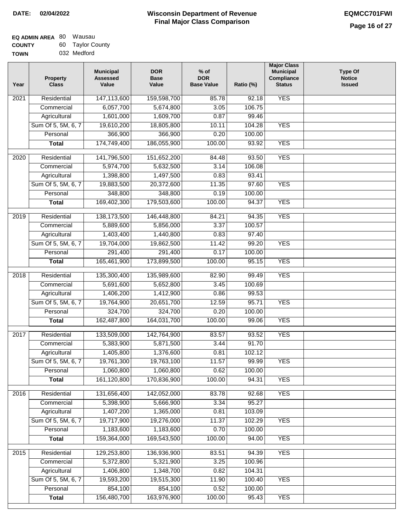| <b>EQ ADMIN AREA 80 Wausau</b> |                  |
|--------------------------------|------------------|
| <b>COUNTY</b>                  | 60 Taylor County |
| <b>TOWN</b>                    | 032 Medford      |

| Year              | <b>Property</b><br><b>Class</b> | <b>Municipal</b><br><b>Assessed</b><br>Value | <b>DOR</b><br><b>Base</b><br>Value | % of<br><b>DOR</b><br><b>Base Value</b> | Ratio (%) | <b>Major Class</b><br><b>Municipal</b><br>Compliance<br><b>Status</b> | <b>Type Of</b><br><b>Notice</b><br><b>Issued</b> |
|-------------------|---------------------------------|----------------------------------------------|------------------------------------|-----------------------------------------|-----------|-----------------------------------------------------------------------|--------------------------------------------------|
| $\overline{202}1$ | Residential                     | 147,113,600                                  | 159,598,700                        | 85.78                                   | 92.18     | <b>YES</b>                                                            |                                                  |
|                   | Commercial                      | 6,057,700                                    | 5,674,800                          | 3.05                                    | 106.75    |                                                                       |                                                  |
|                   | Agricultural                    | 1,601,000                                    | 1,609,700                          | 0.87                                    | 99.46     |                                                                       |                                                  |
|                   | Sum Of 5, 5M, 6, 7              | 19,610,200                                   | 18,805,800                         | 10.11                                   | 104.28    | <b>YES</b>                                                            |                                                  |
|                   | Personal                        | 366,900                                      | 366,900                            | 0.20                                    | 100.00    |                                                                       |                                                  |
|                   | <b>Total</b>                    | 174,749,400                                  | 186,055,900                        | 100.00                                  | 93.92     | <b>YES</b>                                                            |                                                  |
| $\overline{2020}$ | Residential                     | 141,796,500                                  | 151,652,200                        | 84.48                                   | 93.50     | <b>YES</b>                                                            |                                                  |
|                   | Commercial                      | 5,974,700                                    | 5,632,500                          | 3.14                                    | 106.08    |                                                                       |                                                  |
|                   | Agricultural                    | 1,398,800                                    | 1,497,500                          | 0.83                                    | 93.41     |                                                                       |                                                  |
|                   | Sum Of 5, 5M, 6, 7              | 19,883,500                                   | 20,372,600                         | 11.35                                   | 97.60     | <b>YES</b>                                                            |                                                  |
|                   | Personal                        | 348,800                                      | 348,800                            | 0.19                                    | 100.00    |                                                                       |                                                  |
|                   | <b>Total</b>                    | 169,402,300                                  | 179,503,600                        | 100.00                                  | 94.37     | <b>YES</b>                                                            |                                                  |
| $\frac{2019}{ }$  | Residential                     | 138,173,500                                  | 146,448,800                        | 84.21                                   | 94.35     | <b>YES</b>                                                            |                                                  |
|                   | Commercial                      | 5,889,600                                    | 5,856,000                          | 3.37                                    | 100.57    |                                                                       |                                                  |
|                   | Agricultural                    | 1,403,400                                    | 1,440,800                          | 0.83                                    | 97.40     |                                                                       |                                                  |
|                   | Sum Of 5, 5M, 6, 7              | 19,704,000                                   | 19,862,500                         | 11.42                                   | 99.20     | <b>YES</b>                                                            |                                                  |
|                   | Personal                        | 291,400                                      | 291,400                            | 0.17                                    | 100.00    |                                                                       |                                                  |
|                   | <b>Total</b>                    | 165,461,900                                  | 173,899,500                        | 100.00                                  | 95.15     | <b>YES</b>                                                            |                                                  |
| 2018              | Residential                     | 135,300,400                                  | 135,989,600                        | 82.90                                   | 99.49     | <b>YES</b>                                                            |                                                  |
|                   | Commercial                      | 5,691,600                                    | 5,652,800                          | 3.45                                    | 100.69    |                                                                       |                                                  |
|                   | Agricultural                    | 1,406,200                                    | 1,412,900                          | 0.86                                    | 99.53     |                                                                       |                                                  |
|                   | Sum Of 5, 5M, 6, 7              | 19,764,900                                   | 20,651,700                         | 12.59                                   | 95.71     | <b>YES</b>                                                            |                                                  |
|                   | Personal                        | 324,700                                      | 324,700                            | 0.20                                    | 100.00    |                                                                       |                                                  |
|                   | <b>Total</b>                    | 162,487,800                                  | 164,031,700                        | 100.00                                  | 99.06     | <b>YES</b>                                                            |                                                  |
| $\overline{2017}$ | Residential                     | 133,509,000                                  | 142,764,900                        | 83.57                                   | 93.52     | <b>YES</b>                                                            |                                                  |
|                   | Commercial                      | 5,383,900                                    | 5,871,500                          | 3.44                                    | 91.70     |                                                                       |                                                  |
|                   | Agricultural                    | 1,405,800                                    | 1,376,600                          | 0.81                                    | 102.12    |                                                                       |                                                  |
|                   | Sum Of 5, 5M, 6, 7              | 19,761,300                                   | 19,763,100                         | 11.57                                   | 99.99     | <b>YES</b>                                                            |                                                  |
|                   | Personal                        | 1,060,800                                    | 1,060,800                          | 0.62                                    | 100.00    |                                                                       |                                                  |
|                   | <b>Total</b>                    | 161,120,800                                  | 170,836,900                        | 100.00                                  | 94.31     | <b>YES</b>                                                            |                                                  |
| 2016              | Residential                     | 131,656,400                                  | 142,052,000                        | 83.78                                   | 92.68     | <b>YES</b>                                                            |                                                  |
|                   | Commercial                      | 5,398,900                                    | 5,666,900                          | 3.34                                    | 95.27     |                                                                       |                                                  |
|                   | Agricultural                    | 1,407,200                                    | 1,365,000                          | 0.81                                    | 103.09    |                                                                       |                                                  |
|                   | Sum Of 5, 5M, 6, 7              | 19,717,900                                   | 19,276,000                         | 11.37                                   | 102.29    | <b>YES</b>                                                            |                                                  |
|                   | Personal                        | 1,183,600                                    | 1,183,600                          | 0.70                                    | 100.00    |                                                                       |                                                  |
|                   | <b>Total</b>                    | 159,364,000                                  | 169,543,500                        | 100.00                                  | 94.00     | <b>YES</b>                                                            |                                                  |
| 2015              | Residential                     | 129,253,800                                  | 136,936,900                        | 83.51                                   | 94.39     | <b>YES</b>                                                            |                                                  |
|                   | Commercial                      | 5,372,800                                    | 5,321,900                          | 3.25                                    | 100.96    |                                                                       |                                                  |
|                   | Agricultural                    | 1,406,800                                    | 1,348,700                          | 0.82                                    | 104.31    |                                                                       |                                                  |
|                   | Sum Of 5, 5M, 6, 7              | 19,593,200                                   | 19,515,300                         | 11.90                                   | 100.40    | <b>YES</b>                                                            |                                                  |
|                   | Personal                        | 854,100                                      | 854,100                            | 0.52                                    | 100.00    |                                                                       |                                                  |
|                   | <b>Total</b>                    | 156,480,700                                  | 163,976,900                        | 100.00                                  | 95.43     | <b>YES</b>                                                            |                                                  |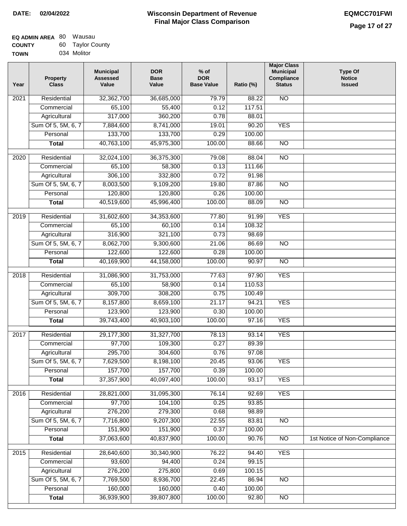| <b>EQ ADMIN AREA 80 Wausau</b> |                  |
|--------------------------------|------------------|
| <b>COUNTY</b>                  | 60 Taylor County |
| <b>TOWN</b>                    | 034 Molitor      |

| <b>NO</b><br>2021<br>Residential<br>32,362,700<br>36,685,000<br>79.79<br>88.22<br>65,100<br>55,400<br>0.12<br>117.51<br>Commercial<br>Agricultural<br>317,000<br>360,200<br>0.78<br>88.01<br>Sum Of 5, 5M, 6, 7<br>8,741,000<br>7,884,600<br>19.01<br>90.20<br><b>YES</b><br>133,700<br>133,700<br>100.00<br>Personal<br>0.29<br>40,763,100<br>45,975,300<br>100.00<br>88.66<br>$\overline{NO}$<br><b>Total</b><br>$\overline{NO}$<br>2020<br>Residential<br>32,024,100<br>36,375,300<br>79.08<br>88.04<br>65,100<br>58,300<br>0.13<br>111.66<br>Commercial<br>306,100<br>332,800<br>0.72<br>91.98<br>Agricultural<br>Sum Of 5, 5M, 6, 7<br>8,003,500<br>9,109,200<br>19.80<br>87.86<br><b>NO</b><br>120,800<br>120,800<br>0.26<br>100.00<br>Personal<br>40,519,600<br>100.00<br>45,996,400<br>$\overline{NO}$<br>88.09<br><b>Total</b><br><b>YES</b><br>2019<br>Residential<br>31,602,600<br>34,353,600<br>77.80<br>91.99<br>65,100<br>60,100<br>0.14<br>108.32<br>Commercial<br>316,900<br>321,100<br>0.73<br>98.69<br>Agricultural<br>Sum Of 5, 5M, 6, 7<br>8,062,700<br>9,300,600<br>21.06<br>86.69<br>$\overline{NO}$<br>122,600<br>122,600<br>0.28<br>Personal<br>100.00<br>40,169,900<br>100.00<br>44,158,000<br>90.97<br>$\overline{NO}$<br><b>Total</b><br>Residential<br>31,086,900<br>31,753,000<br>77.63<br>97.90<br><b>YES</b><br>2018<br>Commercial<br>65,100<br>58,900<br>0.14<br>110.53<br>309,700<br>308,200<br>Agricultural<br>0.75<br>100.49<br>Sum Of 5, 5M, 6, 7<br>8,157,800<br>8,659,100<br>21.17<br>94.21<br><b>YES</b><br>Personal<br>123,900<br>123,900<br>0.30<br>100.00<br>39,743,400<br>40,903,100<br>100.00<br>97.16<br><b>YES</b><br><b>Total</b><br>2017<br>Residential<br>29,177,300<br>78.13<br>93.14<br><b>YES</b><br>31,327,700<br>0.27<br>Commercial<br>97,700<br>109,300<br>89.39<br>295,700<br>0.76<br>304,600<br>97.08<br>Agricultural<br>7,629,500<br>8,198,100<br>20.45<br>Sum Of 5, 5M, 6, 7<br>93.06<br><b>YES</b><br>157,700<br>0.39<br>Personal<br>157,700<br>100.00<br>37,357,900<br>40,097,400<br>100.00<br>93.17<br><b>YES</b><br><b>Total</b><br>31,095,300<br><b>YES</b><br>Residential<br>28,821,000<br>76.14<br>2016<br>92.69<br>Commercial<br>97,700<br>104,100<br>0.25<br>93.85<br>276,200<br>279,300<br>Agricultural<br>0.68<br>98.89<br>Sum Of 5, 5M, 6, 7<br>7,716,800<br>9,207,300<br>22.55<br>$\overline{NO}$<br>83.81<br>151,900<br>151,900<br>0.37<br>100.00<br>Personal<br>37,063,600<br>40,837,900<br>100.00<br>90.76<br>$\overline{NO}$<br>1st Notice of Non-Compliance<br><b>Total</b><br><b>YES</b><br>Residential<br>28,640,600<br>30,340,900<br>76.22<br>94.40<br>2015<br>93,600<br>94,400<br>0.24<br>99.15<br>Commercial<br>276,200<br>275,800<br>0.69<br>Agricultural<br>100.15<br>Sum Of 5, 5M, 6, 7<br>7,769,500<br>8,936,700<br>22.45<br>86.94<br><b>NO</b><br>160,000<br>160,000<br>0.40<br>Personal<br>100.00 | Year | <b>Property</b><br><b>Class</b> | <b>Municipal</b><br><b>Assessed</b><br>Value | <b>DOR</b><br><b>Base</b><br>Value | $%$ of<br><b>DOR</b><br><b>Base Value</b> | Ratio (%) | <b>Major Class</b><br><b>Municipal</b><br>Compliance<br><b>Status</b> | <b>Type Of</b><br><b>Notice</b><br><b>Issued</b> |
|-------------------------------------------------------------------------------------------------------------------------------------------------------------------------------------------------------------------------------------------------------------------------------------------------------------------------------------------------------------------------------------------------------------------------------------------------------------------------------------------------------------------------------------------------------------------------------------------------------------------------------------------------------------------------------------------------------------------------------------------------------------------------------------------------------------------------------------------------------------------------------------------------------------------------------------------------------------------------------------------------------------------------------------------------------------------------------------------------------------------------------------------------------------------------------------------------------------------------------------------------------------------------------------------------------------------------------------------------------------------------------------------------------------------------------------------------------------------------------------------------------------------------------------------------------------------------------------------------------------------------------------------------------------------------------------------------------------------------------------------------------------------------------------------------------------------------------------------------------------------------------------------------------------------------------------------------------------------------------------------------------------------------------------------------------------------------------------------------------------------------------------------------------------------------------------------------------------------------------------------------------------------------------------------------------------------------------------------------------------------------------------------------------------------------------------------------------------------------------------------------------------------------------------------------------------------------------------------------------------------------------------------------------------------------------------------------------------------------------------------------------------------------------------------------------------------------------------------------------------------------------------------|------|---------------------------------|----------------------------------------------|------------------------------------|-------------------------------------------|-----------|-----------------------------------------------------------------------|--------------------------------------------------|
|                                                                                                                                                                                                                                                                                                                                                                                                                                                                                                                                                                                                                                                                                                                                                                                                                                                                                                                                                                                                                                                                                                                                                                                                                                                                                                                                                                                                                                                                                                                                                                                                                                                                                                                                                                                                                                                                                                                                                                                                                                                                                                                                                                                                                                                                                                                                                                                                                                                                                                                                                                                                                                                                                                                                                                                                                                                                                           |      |                                 |                                              |                                    |                                           |           |                                                                       |                                                  |
|                                                                                                                                                                                                                                                                                                                                                                                                                                                                                                                                                                                                                                                                                                                                                                                                                                                                                                                                                                                                                                                                                                                                                                                                                                                                                                                                                                                                                                                                                                                                                                                                                                                                                                                                                                                                                                                                                                                                                                                                                                                                                                                                                                                                                                                                                                                                                                                                                                                                                                                                                                                                                                                                                                                                                                                                                                                                                           |      |                                 |                                              |                                    |                                           |           |                                                                       |                                                  |
|                                                                                                                                                                                                                                                                                                                                                                                                                                                                                                                                                                                                                                                                                                                                                                                                                                                                                                                                                                                                                                                                                                                                                                                                                                                                                                                                                                                                                                                                                                                                                                                                                                                                                                                                                                                                                                                                                                                                                                                                                                                                                                                                                                                                                                                                                                                                                                                                                                                                                                                                                                                                                                                                                                                                                                                                                                                                                           |      |                                 |                                              |                                    |                                           |           |                                                                       |                                                  |
|                                                                                                                                                                                                                                                                                                                                                                                                                                                                                                                                                                                                                                                                                                                                                                                                                                                                                                                                                                                                                                                                                                                                                                                                                                                                                                                                                                                                                                                                                                                                                                                                                                                                                                                                                                                                                                                                                                                                                                                                                                                                                                                                                                                                                                                                                                                                                                                                                                                                                                                                                                                                                                                                                                                                                                                                                                                                                           |      |                                 |                                              |                                    |                                           |           |                                                                       |                                                  |
|                                                                                                                                                                                                                                                                                                                                                                                                                                                                                                                                                                                                                                                                                                                                                                                                                                                                                                                                                                                                                                                                                                                                                                                                                                                                                                                                                                                                                                                                                                                                                                                                                                                                                                                                                                                                                                                                                                                                                                                                                                                                                                                                                                                                                                                                                                                                                                                                                                                                                                                                                                                                                                                                                                                                                                                                                                                                                           |      |                                 |                                              |                                    |                                           |           |                                                                       |                                                  |
|                                                                                                                                                                                                                                                                                                                                                                                                                                                                                                                                                                                                                                                                                                                                                                                                                                                                                                                                                                                                                                                                                                                                                                                                                                                                                                                                                                                                                                                                                                                                                                                                                                                                                                                                                                                                                                                                                                                                                                                                                                                                                                                                                                                                                                                                                                                                                                                                                                                                                                                                                                                                                                                                                                                                                                                                                                                                                           |      |                                 |                                              |                                    |                                           |           |                                                                       |                                                  |
|                                                                                                                                                                                                                                                                                                                                                                                                                                                                                                                                                                                                                                                                                                                                                                                                                                                                                                                                                                                                                                                                                                                                                                                                                                                                                                                                                                                                                                                                                                                                                                                                                                                                                                                                                                                                                                                                                                                                                                                                                                                                                                                                                                                                                                                                                                                                                                                                                                                                                                                                                                                                                                                                                                                                                                                                                                                                                           |      |                                 |                                              |                                    |                                           |           |                                                                       |                                                  |
|                                                                                                                                                                                                                                                                                                                                                                                                                                                                                                                                                                                                                                                                                                                                                                                                                                                                                                                                                                                                                                                                                                                                                                                                                                                                                                                                                                                                                                                                                                                                                                                                                                                                                                                                                                                                                                                                                                                                                                                                                                                                                                                                                                                                                                                                                                                                                                                                                                                                                                                                                                                                                                                                                                                                                                                                                                                                                           |      |                                 |                                              |                                    |                                           |           |                                                                       |                                                  |
|                                                                                                                                                                                                                                                                                                                                                                                                                                                                                                                                                                                                                                                                                                                                                                                                                                                                                                                                                                                                                                                                                                                                                                                                                                                                                                                                                                                                                                                                                                                                                                                                                                                                                                                                                                                                                                                                                                                                                                                                                                                                                                                                                                                                                                                                                                                                                                                                                                                                                                                                                                                                                                                                                                                                                                                                                                                                                           |      |                                 |                                              |                                    |                                           |           |                                                                       |                                                  |
|                                                                                                                                                                                                                                                                                                                                                                                                                                                                                                                                                                                                                                                                                                                                                                                                                                                                                                                                                                                                                                                                                                                                                                                                                                                                                                                                                                                                                                                                                                                                                                                                                                                                                                                                                                                                                                                                                                                                                                                                                                                                                                                                                                                                                                                                                                                                                                                                                                                                                                                                                                                                                                                                                                                                                                                                                                                                                           |      |                                 |                                              |                                    |                                           |           |                                                                       |                                                  |
|                                                                                                                                                                                                                                                                                                                                                                                                                                                                                                                                                                                                                                                                                                                                                                                                                                                                                                                                                                                                                                                                                                                                                                                                                                                                                                                                                                                                                                                                                                                                                                                                                                                                                                                                                                                                                                                                                                                                                                                                                                                                                                                                                                                                                                                                                                                                                                                                                                                                                                                                                                                                                                                                                                                                                                                                                                                                                           |      |                                 |                                              |                                    |                                           |           |                                                                       |                                                  |
|                                                                                                                                                                                                                                                                                                                                                                                                                                                                                                                                                                                                                                                                                                                                                                                                                                                                                                                                                                                                                                                                                                                                                                                                                                                                                                                                                                                                                                                                                                                                                                                                                                                                                                                                                                                                                                                                                                                                                                                                                                                                                                                                                                                                                                                                                                                                                                                                                                                                                                                                                                                                                                                                                                                                                                                                                                                                                           |      |                                 |                                              |                                    |                                           |           |                                                                       |                                                  |
|                                                                                                                                                                                                                                                                                                                                                                                                                                                                                                                                                                                                                                                                                                                                                                                                                                                                                                                                                                                                                                                                                                                                                                                                                                                                                                                                                                                                                                                                                                                                                                                                                                                                                                                                                                                                                                                                                                                                                                                                                                                                                                                                                                                                                                                                                                                                                                                                                                                                                                                                                                                                                                                                                                                                                                                                                                                                                           |      |                                 |                                              |                                    |                                           |           |                                                                       |                                                  |
|                                                                                                                                                                                                                                                                                                                                                                                                                                                                                                                                                                                                                                                                                                                                                                                                                                                                                                                                                                                                                                                                                                                                                                                                                                                                                                                                                                                                                                                                                                                                                                                                                                                                                                                                                                                                                                                                                                                                                                                                                                                                                                                                                                                                                                                                                                                                                                                                                                                                                                                                                                                                                                                                                                                                                                                                                                                                                           |      |                                 |                                              |                                    |                                           |           |                                                                       |                                                  |
|                                                                                                                                                                                                                                                                                                                                                                                                                                                                                                                                                                                                                                                                                                                                                                                                                                                                                                                                                                                                                                                                                                                                                                                                                                                                                                                                                                                                                                                                                                                                                                                                                                                                                                                                                                                                                                                                                                                                                                                                                                                                                                                                                                                                                                                                                                                                                                                                                                                                                                                                                                                                                                                                                                                                                                                                                                                                                           |      |                                 |                                              |                                    |                                           |           |                                                                       |                                                  |
|                                                                                                                                                                                                                                                                                                                                                                                                                                                                                                                                                                                                                                                                                                                                                                                                                                                                                                                                                                                                                                                                                                                                                                                                                                                                                                                                                                                                                                                                                                                                                                                                                                                                                                                                                                                                                                                                                                                                                                                                                                                                                                                                                                                                                                                                                                                                                                                                                                                                                                                                                                                                                                                                                                                                                                                                                                                                                           |      |                                 |                                              |                                    |                                           |           |                                                                       |                                                  |
|                                                                                                                                                                                                                                                                                                                                                                                                                                                                                                                                                                                                                                                                                                                                                                                                                                                                                                                                                                                                                                                                                                                                                                                                                                                                                                                                                                                                                                                                                                                                                                                                                                                                                                                                                                                                                                                                                                                                                                                                                                                                                                                                                                                                                                                                                                                                                                                                                                                                                                                                                                                                                                                                                                                                                                                                                                                                                           |      |                                 |                                              |                                    |                                           |           |                                                                       |                                                  |
|                                                                                                                                                                                                                                                                                                                                                                                                                                                                                                                                                                                                                                                                                                                                                                                                                                                                                                                                                                                                                                                                                                                                                                                                                                                                                                                                                                                                                                                                                                                                                                                                                                                                                                                                                                                                                                                                                                                                                                                                                                                                                                                                                                                                                                                                                                                                                                                                                                                                                                                                                                                                                                                                                                                                                                                                                                                                                           |      |                                 |                                              |                                    |                                           |           |                                                                       |                                                  |
|                                                                                                                                                                                                                                                                                                                                                                                                                                                                                                                                                                                                                                                                                                                                                                                                                                                                                                                                                                                                                                                                                                                                                                                                                                                                                                                                                                                                                                                                                                                                                                                                                                                                                                                                                                                                                                                                                                                                                                                                                                                                                                                                                                                                                                                                                                                                                                                                                                                                                                                                                                                                                                                                                                                                                                                                                                                                                           |      |                                 |                                              |                                    |                                           |           |                                                                       |                                                  |
|                                                                                                                                                                                                                                                                                                                                                                                                                                                                                                                                                                                                                                                                                                                                                                                                                                                                                                                                                                                                                                                                                                                                                                                                                                                                                                                                                                                                                                                                                                                                                                                                                                                                                                                                                                                                                                                                                                                                                                                                                                                                                                                                                                                                                                                                                                                                                                                                                                                                                                                                                                                                                                                                                                                                                                                                                                                                                           |      |                                 |                                              |                                    |                                           |           |                                                                       |                                                  |
|                                                                                                                                                                                                                                                                                                                                                                                                                                                                                                                                                                                                                                                                                                                                                                                                                                                                                                                                                                                                                                                                                                                                                                                                                                                                                                                                                                                                                                                                                                                                                                                                                                                                                                                                                                                                                                                                                                                                                                                                                                                                                                                                                                                                                                                                                                                                                                                                                                                                                                                                                                                                                                                                                                                                                                                                                                                                                           |      |                                 |                                              |                                    |                                           |           |                                                                       |                                                  |
|                                                                                                                                                                                                                                                                                                                                                                                                                                                                                                                                                                                                                                                                                                                                                                                                                                                                                                                                                                                                                                                                                                                                                                                                                                                                                                                                                                                                                                                                                                                                                                                                                                                                                                                                                                                                                                                                                                                                                                                                                                                                                                                                                                                                                                                                                                                                                                                                                                                                                                                                                                                                                                                                                                                                                                                                                                                                                           |      |                                 |                                              |                                    |                                           |           |                                                                       |                                                  |
|                                                                                                                                                                                                                                                                                                                                                                                                                                                                                                                                                                                                                                                                                                                                                                                                                                                                                                                                                                                                                                                                                                                                                                                                                                                                                                                                                                                                                                                                                                                                                                                                                                                                                                                                                                                                                                                                                                                                                                                                                                                                                                                                                                                                                                                                                                                                                                                                                                                                                                                                                                                                                                                                                                                                                                                                                                                                                           |      |                                 |                                              |                                    |                                           |           |                                                                       |                                                  |
|                                                                                                                                                                                                                                                                                                                                                                                                                                                                                                                                                                                                                                                                                                                                                                                                                                                                                                                                                                                                                                                                                                                                                                                                                                                                                                                                                                                                                                                                                                                                                                                                                                                                                                                                                                                                                                                                                                                                                                                                                                                                                                                                                                                                                                                                                                                                                                                                                                                                                                                                                                                                                                                                                                                                                                                                                                                                                           |      |                                 |                                              |                                    |                                           |           |                                                                       |                                                  |
|                                                                                                                                                                                                                                                                                                                                                                                                                                                                                                                                                                                                                                                                                                                                                                                                                                                                                                                                                                                                                                                                                                                                                                                                                                                                                                                                                                                                                                                                                                                                                                                                                                                                                                                                                                                                                                                                                                                                                                                                                                                                                                                                                                                                                                                                                                                                                                                                                                                                                                                                                                                                                                                                                                                                                                                                                                                                                           |      |                                 |                                              |                                    |                                           |           |                                                                       |                                                  |
|                                                                                                                                                                                                                                                                                                                                                                                                                                                                                                                                                                                                                                                                                                                                                                                                                                                                                                                                                                                                                                                                                                                                                                                                                                                                                                                                                                                                                                                                                                                                                                                                                                                                                                                                                                                                                                                                                                                                                                                                                                                                                                                                                                                                                                                                                                                                                                                                                                                                                                                                                                                                                                                                                                                                                                                                                                                                                           |      |                                 |                                              |                                    |                                           |           |                                                                       |                                                  |
|                                                                                                                                                                                                                                                                                                                                                                                                                                                                                                                                                                                                                                                                                                                                                                                                                                                                                                                                                                                                                                                                                                                                                                                                                                                                                                                                                                                                                                                                                                                                                                                                                                                                                                                                                                                                                                                                                                                                                                                                                                                                                                                                                                                                                                                                                                                                                                                                                                                                                                                                                                                                                                                                                                                                                                                                                                                                                           |      |                                 |                                              |                                    |                                           |           |                                                                       |                                                  |
|                                                                                                                                                                                                                                                                                                                                                                                                                                                                                                                                                                                                                                                                                                                                                                                                                                                                                                                                                                                                                                                                                                                                                                                                                                                                                                                                                                                                                                                                                                                                                                                                                                                                                                                                                                                                                                                                                                                                                                                                                                                                                                                                                                                                                                                                                                                                                                                                                                                                                                                                                                                                                                                                                                                                                                                                                                                                                           |      |                                 |                                              |                                    |                                           |           |                                                                       |                                                  |
|                                                                                                                                                                                                                                                                                                                                                                                                                                                                                                                                                                                                                                                                                                                                                                                                                                                                                                                                                                                                                                                                                                                                                                                                                                                                                                                                                                                                                                                                                                                                                                                                                                                                                                                                                                                                                                                                                                                                                                                                                                                                                                                                                                                                                                                                                                                                                                                                                                                                                                                                                                                                                                                                                                                                                                                                                                                                                           |      |                                 |                                              |                                    |                                           |           |                                                                       |                                                  |
|                                                                                                                                                                                                                                                                                                                                                                                                                                                                                                                                                                                                                                                                                                                                                                                                                                                                                                                                                                                                                                                                                                                                                                                                                                                                                                                                                                                                                                                                                                                                                                                                                                                                                                                                                                                                                                                                                                                                                                                                                                                                                                                                                                                                                                                                                                                                                                                                                                                                                                                                                                                                                                                                                                                                                                                                                                                                                           |      |                                 |                                              |                                    |                                           |           |                                                                       |                                                  |
|                                                                                                                                                                                                                                                                                                                                                                                                                                                                                                                                                                                                                                                                                                                                                                                                                                                                                                                                                                                                                                                                                                                                                                                                                                                                                                                                                                                                                                                                                                                                                                                                                                                                                                                                                                                                                                                                                                                                                                                                                                                                                                                                                                                                                                                                                                                                                                                                                                                                                                                                                                                                                                                                                                                                                                                                                                                                                           |      |                                 |                                              |                                    |                                           |           |                                                                       |                                                  |
|                                                                                                                                                                                                                                                                                                                                                                                                                                                                                                                                                                                                                                                                                                                                                                                                                                                                                                                                                                                                                                                                                                                                                                                                                                                                                                                                                                                                                                                                                                                                                                                                                                                                                                                                                                                                                                                                                                                                                                                                                                                                                                                                                                                                                                                                                                                                                                                                                                                                                                                                                                                                                                                                                                                                                                                                                                                                                           |      |                                 |                                              |                                    |                                           |           |                                                                       |                                                  |
|                                                                                                                                                                                                                                                                                                                                                                                                                                                                                                                                                                                                                                                                                                                                                                                                                                                                                                                                                                                                                                                                                                                                                                                                                                                                                                                                                                                                                                                                                                                                                                                                                                                                                                                                                                                                                                                                                                                                                                                                                                                                                                                                                                                                                                                                                                                                                                                                                                                                                                                                                                                                                                                                                                                                                                                                                                                                                           |      |                                 |                                              |                                    |                                           |           |                                                                       |                                                  |
|                                                                                                                                                                                                                                                                                                                                                                                                                                                                                                                                                                                                                                                                                                                                                                                                                                                                                                                                                                                                                                                                                                                                                                                                                                                                                                                                                                                                                                                                                                                                                                                                                                                                                                                                                                                                                                                                                                                                                                                                                                                                                                                                                                                                                                                                                                                                                                                                                                                                                                                                                                                                                                                                                                                                                                                                                                                                                           |      |                                 |                                              |                                    |                                           |           |                                                                       |                                                  |
|                                                                                                                                                                                                                                                                                                                                                                                                                                                                                                                                                                                                                                                                                                                                                                                                                                                                                                                                                                                                                                                                                                                                                                                                                                                                                                                                                                                                                                                                                                                                                                                                                                                                                                                                                                                                                                                                                                                                                                                                                                                                                                                                                                                                                                                                                                                                                                                                                                                                                                                                                                                                                                                                                                                                                                                                                                                                                           |      |                                 |                                              |                                    |                                           |           |                                                                       |                                                  |
|                                                                                                                                                                                                                                                                                                                                                                                                                                                                                                                                                                                                                                                                                                                                                                                                                                                                                                                                                                                                                                                                                                                                                                                                                                                                                                                                                                                                                                                                                                                                                                                                                                                                                                                                                                                                                                                                                                                                                                                                                                                                                                                                                                                                                                                                                                                                                                                                                                                                                                                                                                                                                                                                                                                                                                                                                                                                                           |      |                                 |                                              |                                    |                                           |           |                                                                       |                                                  |
|                                                                                                                                                                                                                                                                                                                                                                                                                                                                                                                                                                                                                                                                                                                                                                                                                                                                                                                                                                                                                                                                                                                                                                                                                                                                                                                                                                                                                                                                                                                                                                                                                                                                                                                                                                                                                                                                                                                                                                                                                                                                                                                                                                                                                                                                                                                                                                                                                                                                                                                                                                                                                                                                                                                                                                                                                                                                                           |      |                                 |                                              |                                    |                                           |           |                                                                       |                                                  |
|                                                                                                                                                                                                                                                                                                                                                                                                                                                                                                                                                                                                                                                                                                                                                                                                                                                                                                                                                                                                                                                                                                                                                                                                                                                                                                                                                                                                                                                                                                                                                                                                                                                                                                                                                                                                                                                                                                                                                                                                                                                                                                                                                                                                                                                                                                                                                                                                                                                                                                                                                                                                                                                                                                                                                                                                                                                                                           |      |                                 |                                              |                                    |                                           |           |                                                                       |                                                  |
|                                                                                                                                                                                                                                                                                                                                                                                                                                                                                                                                                                                                                                                                                                                                                                                                                                                                                                                                                                                                                                                                                                                                                                                                                                                                                                                                                                                                                                                                                                                                                                                                                                                                                                                                                                                                                                                                                                                                                                                                                                                                                                                                                                                                                                                                                                                                                                                                                                                                                                                                                                                                                                                                                                                                                                                                                                                                                           |      |                                 |                                              |                                    |                                           |           |                                                                       |                                                  |
|                                                                                                                                                                                                                                                                                                                                                                                                                                                                                                                                                                                                                                                                                                                                                                                                                                                                                                                                                                                                                                                                                                                                                                                                                                                                                                                                                                                                                                                                                                                                                                                                                                                                                                                                                                                                                                                                                                                                                                                                                                                                                                                                                                                                                                                                                                                                                                                                                                                                                                                                                                                                                                                                                                                                                                                                                                                                                           |      |                                 |                                              |                                    |                                           |           |                                                                       |                                                  |
|                                                                                                                                                                                                                                                                                                                                                                                                                                                                                                                                                                                                                                                                                                                                                                                                                                                                                                                                                                                                                                                                                                                                                                                                                                                                                                                                                                                                                                                                                                                                                                                                                                                                                                                                                                                                                                                                                                                                                                                                                                                                                                                                                                                                                                                                                                                                                                                                                                                                                                                                                                                                                                                                                                                                                                                                                                                                                           |      |                                 |                                              |                                    |                                           |           |                                                                       |                                                  |
|                                                                                                                                                                                                                                                                                                                                                                                                                                                                                                                                                                                                                                                                                                                                                                                                                                                                                                                                                                                                                                                                                                                                                                                                                                                                                                                                                                                                                                                                                                                                                                                                                                                                                                                                                                                                                                                                                                                                                                                                                                                                                                                                                                                                                                                                                                                                                                                                                                                                                                                                                                                                                                                                                                                                                                                                                                                                                           |      |                                 |                                              |                                    |                                           |           |                                                                       |                                                  |
| 39,807,800<br>100.00<br>92.80<br><b>Total</b><br>NO                                                                                                                                                                                                                                                                                                                                                                                                                                                                                                                                                                                                                                                                                                                                                                                                                                                                                                                                                                                                                                                                                                                                                                                                                                                                                                                                                                                                                                                                                                                                                                                                                                                                                                                                                                                                                                                                                                                                                                                                                                                                                                                                                                                                                                                                                                                                                                                                                                                                                                                                                                                                                                                                                                                                                                                                                                       |      |                                 | 36,939,900                                   |                                    |                                           |           |                                                                       |                                                  |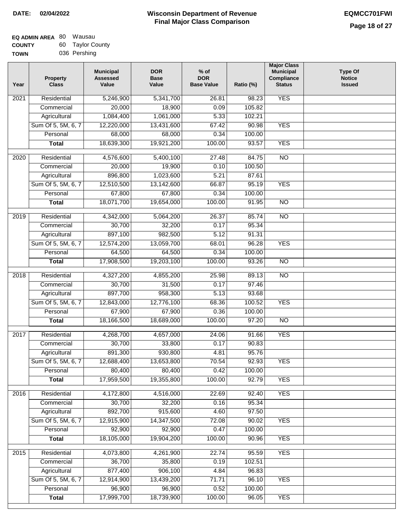| EQ ADMIN AREA 80 | Wausau           |
|------------------|------------------|
| <b>COUNTY</b>    | 60 Taylor County |
| <b>TOWN</b>      | 036 Pershing     |

| Year              | <b>Property</b><br><b>Class</b> | <b>Municipal</b><br><b>Assessed</b><br>Value | <b>DOR</b><br><b>Base</b><br>Value | $%$ of<br><b>DOR</b><br><b>Base Value</b> | Ratio (%) | <b>Major Class</b><br><b>Municipal</b><br>Compliance<br><b>Status</b> | <b>Type Of</b><br><b>Notice</b><br><b>Issued</b> |
|-------------------|---------------------------------|----------------------------------------------|------------------------------------|-------------------------------------------|-----------|-----------------------------------------------------------------------|--------------------------------------------------|
| 2021              | Residential                     | 5,246,900                                    | 5,341,700                          | 26.81                                     | 98.23     | <b>YES</b>                                                            |                                                  |
|                   | Commercial                      | 20,000                                       | 18,900                             | 0.09                                      | 105.82    |                                                                       |                                                  |
|                   | Agricultural                    | 1,084,400                                    | 1,061,000                          | 5.33                                      | 102.21    |                                                                       |                                                  |
|                   | Sum Of 5, 5M, 6, 7              | 12,220,000                                   | 13,431,600                         | 67.42                                     | 90.98     | <b>YES</b>                                                            |                                                  |
|                   | Personal                        | 68,000                                       | 68,000                             | 0.34                                      | 100.00    |                                                                       |                                                  |
|                   | <b>Total</b>                    | 18,639,300                                   | 19,921,200                         | 100.00                                    | 93.57     | <b>YES</b>                                                            |                                                  |
| $\overline{2020}$ | Residential                     | 4,576,600                                    | 5,400,100                          | 27.48                                     | 84.75     | $\overline{NO}$                                                       |                                                  |
|                   | Commercial                      | 20,000                                       | 19,900                             | 0.10                                      | 100.50    |                                                                       |                                                  |
|                   | Agricultural                    | 896,800                                      | 1,023,600                          | 5.21                                      | 87.61     |                                                                       |                                                  |
|                   | Sum Of 5, 5M, 6, 7              | 12,510,500                                   | 13,142,600                         | 66.87                                     | 95.19     | <b>YES</b>                                                            |                                                  |
|                   | Personal                        | 67,800                                       | 67,800                             | 0.34                                      | 100.00    |                                                                       |                                                  |
|                   | <b>Total</b>                    | 18,071,700                                   | 19,654,000                         | 100.00                                    | 91.95     | $\overline{NO}$                                                       |                                                  |
| 2019              | Residential                     | 4,342,000                                    | 5,064,200                          | 26.37                                     | 85.74     | $\overline{10}$                                                       |                                                  |
|                   | Commercial                      | 30,700                                       | 32,200                             | 0.17                                      | 95.34     |                                                                       |                                                  |
|                   | Agricultural                    | 897,100                                      | 982,500                            | 5.12                                      | 91.31     |                                                                       |                                                  |
|                   | Sum Of 5, 5M, 6, 7              | 12,574,200                                   | 13,059,700                         | 68.01                                     | 96.28     | <b>YES</b>                                                            |                                                  |
|                   | Personal                        | 64,500                                       | 64,500                             | 0.34                                      | 100.00    |                                                                       |                                                  |
|                   | <b>Total</b>                    | 17,908,500                                   | 19,203,100                         | 100.00                                    | 93.26     | $\overline{NO}$                                                       |                                                  |
| 2018              | Residential                     | 4,327,200                                    | 4,855,200                          | 25.98                                     | 89.13     | $\overline{NO}$                                                       |                                                  |
|                   | Commercial                      | 30,700                                       | 31,500                             | 0.17                                      | 97.46     |                                                                       |                                                  |
|                   | Agricultural                    | 897,700                                      | 958,300                            | 5.13                                      | 93.68     |                                                                       |                                                  |
|                   | Sum Of 5, 5M, 6, 7              | 12,843,000                                   | 12,776,100                         | 68.36                                     | 100.52    | <b>YES</b>                                                            |                                                  |
|                   | Personal                        | 67,900                                       | 67,900                             | 0.36                                      | 100.00    |                                                                       |                                                  |
|                   | <b>Total</b>                    | 18,166,500                                   | 18,689,000                         | 100.00                                    | 97.20     | $\overline{NO}$                                                       |                                                  |
| 2017              | Residential                     | 4,268,700                                    | 4,657,000                          | 24.06                                     | 91.66     | <b>YES</b>                                                            |                                                  |
|                   | Commercial                      | 30,700                                       | 33,800                             | 0.17                                      | 90.83     |                                                                       |                                                  |
|                   | Agricultural                    | 891,300                                      | 930,800                            | 4.81                                      | 95.76     |                                                                       |                                                  |
|                   | Sum Of 5, 5M, 6, 7              | 12,688,400                                   | 13,653,800                         | 70.54                                     | 92.93     | <b>YES</b>                                                            |                                                  |
|                   | Personal                        | 80,400                                       | 80,400                             | 0.42                                      | 100.00    |                                                                       |                                                  |
|                   | <b>Total</b>                    | 17,959,500                                   | 19,355,800                         | 100.00                                    | 92.79     | <b>YES</b>                                                            |                                                  |
| 2016              | Residential                     | 4,172,800                                    | 4,516,000                          | 22.69                                     | 92.40     | <b>YES</b>                                                            |                                                  |
|                   | Commercial                      | 30,700                                       | 32,200                             | 0.16                                      | 95.34     |                                                                       |                                                  |
|                   | Agricultural                    | 892,700                                      | 915,600                            | 4.60                                      | 97.50     |                                                                       |                                                  |
|                   | Sum Of 5, 5M, 6, 7              | 12,915,900                                   | 14,347,500                         | 72.08                                     | 90.02     | <b>YES</b>                                                            |                                                  |
|                   | Personal                        | 92,900                                       | 92,900                             | 0.47                                      | 100.00    |                                                                       |                                                  |
|                   | <b>Total</b>                    | 18,105,000                                   | 19,904,200                         | 100.00                                    | 90.96     | <b>YES</b>                                                            |                                                  |
| 2015              | Residential                     | 4,073,800                                    | 4,261,900                          | 22.74                                     | 95.59     | <b>YES</b>                                                            |                                                  |
|                   | Commercial                      | 36,700                                       | 35,800                             | 0.19                                      | 102.51    |                                                                       |                                                  |
|                   | Agricultural                    | 877,400                                      | 906,100                            | 4.84                                      | 96.83     |                                                                       |                                                  |
|                   | Sum Of 5, 5M, 6, 7              | 12,914,900                                   | 13,439,200                         | 71.71                                     | 96.10     | <b>YES</b>                                                            |                                                  |
|                   | Personal                        | 96,900                                       | 96,900                             | 0.52                                      | 100.00    |                                                                       |                                                  |
|                   | <b>Total</b>                    | 17,999,700                                   | 18,739,900                         | 100.00                                    | 96.05     | <b>YES</b>                                                            |                                                  |
|                   |                                 |                                              |                                    |                                           |           |                                                                       |                                                  |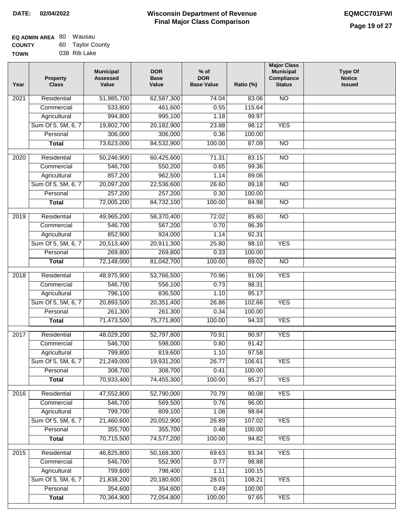| <b>EQ ADMIN AREA 80 Wausau</b> |                  |
|--------------------------------|------------------|
| <b>COUNTY</b>                  | 60 Taylor County |
| <b>TOWN</b>                    | 038 Rib Lake     |

| Year              | <b>Property</b><br><b>Class</b> | <b>Municipal</b><br><b>Assessed</b><br>Value | <b>DOR</b><br><b>Base</b><br>Value | $%$ of<br><b>DOR</b><br><b>Base Value</b> | Ratio (%) | <b>Major Class</b><br><b>Municipal</b><br>Compliance<br><b>Status</b> | Type Of<br><b>Notice</b><br><b>Issued</b> |
|-------------------|---------------------------------|----------------------------------------------|------------------------------------|-------------------------------------------|-----------|-----------------------------------------------------------------------|-------------------------------------------|
| $\overline{202}1$ | Residential                     | 51,985,700                                   | 62,587,300                         | 74.04                                     | 83.06     | $\overline{NO}$                                                       |                                           |
|                   | Commercial                      | 533,800                                      | 461,600                            | 0.55                                      | 115.64    |                                                                       |                                           |
|                   | Agricultural                    | 994,800                                      | 995,100                            | 1.18                                      | 99.97     |                                                                       |                                           |
|                   | Sum Of 5, 5M, 6, 7              | 19,802,700                                   | 20,182,900                         | 23.88                                     | 98.12     | <b>YES</b>                                                            |                                           |
|                   | Personal                        | 306,000                                      | 306,000                            | 0.36                                      | 100.00    |                                                                       |                                           |
|                   | <b>Total</b>                    | 73,623,000                                   | 84,532,900                         | 100.00                                    | 87.09     | $\overline{NO}$                                                       |                                           |
| $\overline{2020}$ | Residential                     | 50,246,900                                   | 60,425,600                         | 71.31                                     | 83.15     | $\overline{NO}$                                                       |                                           |
|                   | Commercial                      | 546,700                                      | 550,200                            | 0.65                                      | 99.36     |                                                                       |                                           |
|                   | Agricultural                    | 857,200                                      | 962,500                            | 1.14                                      | 89.06     |                                                                       |                                           |
|                   | Sum Of 5, 5M, 6, 7              | 20,097,200                                   | 22,536,600                         | 26.60                                     | 89.18     | $\overline{NO}$                                                       |                                           |
|                   | Personal                        | 257,200                                      | 257,200                            | 0.30                                      | 100.00    |                                                                       |                                           |
|                   | <b>Total</b>                    | 72,005,200                                   | 84,732,100                         | 100.00                                    | 84.98     | $\overline{NO}$                                                       |                                           |
| 2019              | Residential                     | 49,965,200                                   | 58,370,400                         | 72.02                                     | 85.60     | $\overline{NO}$                                                       |                                           |
|                   | Commercial                      | 546,700                                      | 567,200                            | 0.70                                      | 96.39     |                                                                       |                                           |
|                   | Agricultural                    | 852,900                                      | 924,000                            | 1.14                                      | 92.31     |                                                                       |                                           |
|                   | Sum Of 5, 5M, 6, 7              | 20,513,400                                   | 20,911,300                         | 25.80                                     | 98.10     | <b>YES</b>                                                            |                                           |
|                   | Personal                        | 269,800                                      | 269,800                            | 0.33                                      | 100.00    |                                                                       |                                           |
|                   | <b>Total</b>                    | 72,148,000                                   | 81,042,700                         | 100.00                                    | 89.02     | $\overline{NO}$                                                       |                                           |
| 2018              | Residential                     | 48,975,900                                   | 53,766,500                         | 70.96                                     | 91.09     | <b>YES</b>                                                            |                                           |
|                   | Commercial                      | 546,700                                      | 556,100                            | 0.73                                      | 98.31     |                                                                       |                                           |
|                   | Agricultural                    | 796,100                                      | 836,500                            | 1.10                                      | 95.17     |                                                                       |                                           |
|                   | Sum Of 5, 5M, 6, 7              | 20,893,500                                   | 20,351,400                         | 26.86                                     | 102.66    | <b>YES</b>                                                            |                                           |
|                   | Personal                        | 261,300                                      | 261,300                            | 0.34                                      | 100.00    |                                                                       |                                           |
|                   | <b>Total</b>                    | 71,473,500                                   | 75,771,800                         | 100.00                                    | 94.33     | <b>YES</b>                                                            |                                           |
|                   |                                 |                                              |                                    |                                           |           |                                                                       |                                           |
| 2017              | Residential                     | 48,029,200                                   | 52,797,800                         | 70.91                                     | 90.97     | <b>YES</b>                                                            |                                           |
|                   | Commercial                      | 546,700                                      | 598,000                            | 0.80                                      | 91.42     |                                                                       |                                           |
|                   | Agricultural                    | 799,800                                      | 819,600                            | 1.10                                      | 97.58     |                                                                       |                                           |
|                   | Sum Of 5, 5M, 6, 7              | 21,249,000                                   | 19,931,200                         | 26.77                                     | 106.61    | <b>YES</b>                                                            |                                           |
|                   | Personal                        | 308,700                                      | 308,700                            | 0.41                                      | 100.00    |                                                                       |                                           |
|                   | <b>Total</b>                    | 70,933,400                                   | 74,455,300                         | 100.00                                    | 95.27     | <b>YES</b>                                                            |                                           |
| 2016              | Residential                     | 47,552,800                                   | 52,790,000                         | 70.79                                     | 90.08     | <b>YES</b>                                                            |                                           |
|                   | Commercial                      | 546,700                                      | 569,500                            | 0.76                                      | 96.00     |                                                                       |                                           |
|                   | Agricultural                    | 799,700                                      | 809,100                            | 1.08                                      | 98.84     |                                                                       |                                           |
|                   | Sum Of 5, 5M, 6, 7              | 21,460,600                                   | 20,052,900                         | 26.89                                     | 107.02    | <b>YES</b>                                                            |                                           |
|                   | Personal                        | 355,700                                      | 355,700                            | 0.48                                      | 100.00    |                                                                       |                                           |
|                   | <b>Total</b>                    | 70,715,500                                   | 74,577,200                         | 100.00                                    | 94.82     | <b>YES</b>                                                            |                                           |
| 2015              | Residential                     | 46,825,800                                   | 50,168,300                         | 69.63                                     | 93.34     | <b>YES</b>                                                            |                                           |
|                   | Commercial                      | 546,700                                      | 552,900                            | 0.77                                      | 98.88     |                                                                       |                                           |
|                   | Agricultural                    | 799,600                                      | 798,400                            | 1.11                                      | 100.15    |                                                                       |                                           |
|                   | Sum Of 5, 5M, 6, 7              | 21,838,200                                   | 20,180,600                         | 28.01                                     | 108.21    | <b>YES</b>                                                            |                                           |
|                   | Personal                        | 354,600                                      | 354,600                            | 0.49                                      | 100.00    |                                                                       |                                           |
|                   | <b>Total</b>                    | 70,364,900                                   | 72,054,800                         | 100.00                                    | 97.65     | <b>YES</b>                                                            |                                           |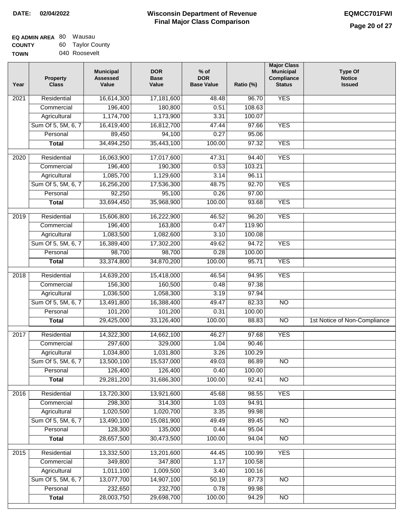| <b>EQ ADMIN AREA 80 Wausau</b> |                  |
|--------------------------------|------------------|
| <b>COUNTY</b>                  | 60 Taylor County |
| <b>TOWN</b>                    | 040 Roosevelt    |

| Year              | <b>Property</b><br><b>Class</b> | <b>Municipal</b><br><b>Assessed</b><br>Value | <b>DOR</b><br><b>Base</b><br>Value | $%$ of<br><b>DOR</b><br><b>Base Value</b> | Ratio (%)         | <b>Major Class</b><br><b>Municipal</b><br>Compliance<br><b>Status</b> | <b>Type Of</b><br><b>Notice</b><br><b>Issued</b> |
|-------------------|---------------------------------|----------------------------------------------|------------------------------------|-------------------------------------------|-------------------|-----------------------------------------------------------------------|--------------------------------------------------|
| 2021              | Residential                     | 16,614,300                                   | 17,181,600                         | 48.48                                     | $\frac{1}{96.70}$ | <b>YES</b>                                                            |                                                  |
|                   | Commercial                      | 196,400                                      | 180,800                            | 0.51                                      | 108.63            |                                                                       |                                                  |
|                   | Agricultural                    | 1,174,700                                    | 1,173,900                          | 3.31                                      | 100.07            |                                                                       |                                                  |
|                   | Sum Of 5, 5M, 6, 7              | 16,419,400                                   | 16,812,700                         | 47.44                                     | 97.66             | <b>YES</b>                                                            |                                                  |
|                   | Personal                        | 89,450                                       | 94,100                             | 0.27                                      | 95.06             |                                                                       |                                                  |
|                   | <b>Total</b>                    | 34,494,250                                   | 35,443,100                         | 100.00                                    | 97.32             | <b>YES</b>                                                            |                                                  |
| 2020              | Residential                     | 16,063,900                                   | 17,017,600                         | 47.31                                     | 94.40             | <b>YES</b>                                                            |                                                  |
|                   | Commercial                      | 196,400                                      | 190,300                            | 0.53                                      | 103.21            |                                                                       |                                                  |
|                   | Agricultural                    | 1,085,700                                    | 1,129,600                          | 3.14                                      | 96.11             |                                                                       |                                                  |
|                   | Sum Of 5, 5M, 6, 7              | 16,256,200                                   | 17,536,300                         | 48.75                                     | 92.70             | <b>YES</b>                                                            |                                                  |
|                   | Personal                        | 92,250                                       | 95,100                             | 0.26                                      | 97.00             |                                                                       |                                                  |
|                   | <b>Total</b>                    | 33,694,450                                   | 35,968,900                         | 100.00                                    | 93.68             | <b>YES</b>                                                            |                                                  |
|                   |                                 |                                              |                                    |                                           |                   |                                                                       |                                                  |
| 2019              | Residential                     | 15,606,800                                   | 16,222,900                         | 46.52                                     | 96.20             | <b>YES</b>                                                            |                                                  |
|                   | Commercial                      | 196,400                                      | 163,800                            | 0.47                                      | 119.90            |                                                                       |                                                  |
|                   | Agricultural                    | 1,083,500                                    | 1,082,600                          | 3.10                                      | 100.08            |                                                                       |                                                  |
|                   | Sum Of 5, 5M, 6, 7              | 16,389,400                                   | 17,302,200                         | 49.62                                     | 94.72             | <b>YES</b>                                                            |                                                  |
|                   | Personal                        | 98,700                                       | 98,700                             | 0.28                                      | 100.00            |                                                                       |                                                  |
|                   | <b>Total</b>                    | 33,374,800                                   | 34,870,200                         | 100.00                                    | 95.71             | <b>YES</b>                                                            |                                                  |
| 2018              | Residential                     | 14,639,200                                   | 15,418,000                         | 46.54                                     | 94.95             | <b>YES</b>                                                            |                                                  |
|                   | Commercial                      | 156,300                                      | 160,500                            | 0.48                                      | 97.38             |                                                                       |                                                  |
|                   | Agricultural                    | 1,036,500                                    | 1,058,300                          | 3.19                                      | 97.94             |                                                                       |                                                  |
|                   | Sum Of 5, 5M, 6, 7              | 13,491,800                                   | 16,388,400                         | 49.47                                     | 82.33             | <b>NO</b>                                                             |                                                  |
|                   | Personal                        | 101,200                                      | 101,200                            | 0.31                                      | 100.00            |                                                                       |                                                  |
|                   | <b>Total</b>                    | 29,425,000                                   | 33,126,400                         | 100.00                                    | 88.83             | <b>NO</b>                                                             | 1st Notice of Non-Compliance                     |
| 2017              | Residential                     | 14,322,300                                   | 14,662,100                         | 46.27                                     | 97.68             | <b>YES</b>                                                            |                                                  |
|                   | Commercial                      | 297,600                                      | 329,000                            | 1.04                                      | 90.46             |                                                                       |                                                  |
|                   | Agricultural                    | 1,034,800                                    | 1,031,800                          | 3.26                                      | 100.29            |                                                                       |                                                  |
|                   |                                 | 13,500,100                                   |                                    | 49.03                                     |                   |                                                                       |                                                  |
|                   | Sum Of 5, 5M, 6, 7<br>Personal  | 126,400                                      | 15,537,000<br>126,400              | 0.40                                      | 86.89<br>100.00   | NO                                                                    |                                                  |
|                   | <b>Total</b>                    | 29,281,200                                   | 31,686,300                         | 100.00                                    | 92.41             | $\overline{NO}$                                                       |                                                  |
|                   |                                 |                                              |                                    |                                           |                   |                                                                       |                                                  |
| 2016              | Residential                     | 13,720,300                                   | 13,921,600                         | 45.68                                     | 98.55             | <b>YES</b>                                                            |                                                  |
|                   | Commercial                      | 298,300                                      | 314,300                            | 1.03                                      | 94.91             |                                                                       |                                                  |
|                   | Agricultural                    | 1,020,500                                    | 1,020,700                          | 3.35                                      | 99.98             |                                                                       |                                                  |
|                   | Sum Of 5, 5M, 6, 7              | 13,490,100                                   | 15,081,900                         | 49.49                                     | 89.45             | $\overline{NO}$                                                       |                                                  |
|                   | Personal                        | 128,300                                      | 135,000                            | 0.44                                      | 95.04             |                                                                       |                                                  |
|                   | <b>Total</b>                    | 28,657,500                                   | 30,473,500                         | 100.00                                    | 94.04             | N <sub>O</sub>                                                        |                                                  |
| $\overline{2015}$ | Residential                     | 13,332,500                                   | 13,201,600                         | 44.45                                     | 100.99            | <b>YES</b>                                                            |                                                  |
|                   | Commercial                      | 349,800                                      | 347,800                            | 1.17                                      | 100.58            |                                                                       |                                                  |
|                   | Agricultural                    | 1,011,100                                    | 1,009,500                          | 3.40                                      | 100.16            |                                                                       |                                                  |
|                   | Sum Of 5, 5M, 6, 7              | 13,077,700                                   | 14,907,100                         | 50.19                                     | 87.73             | <b>NO</b>                                                             |                                                  |
|                   | Personal                        | 232,650                                      | 232,700                            | 0.78                                      | 99.98             |                                                                       |                                                  |
|                   | <b>Total</b>                    | 28,003,750                                   | 29,698,700                         | 100.00                                    | 94.29             | <b>NO</b>                                                             |                                                  |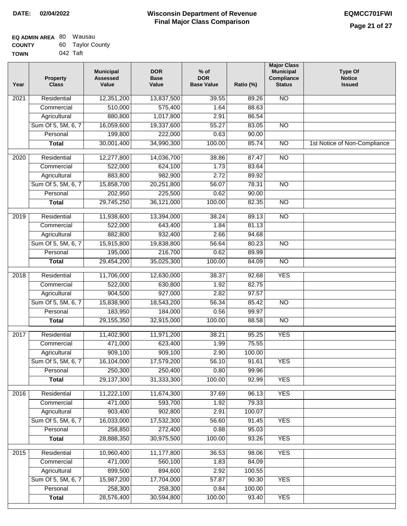| <b>EQ ADMIN AREA 80 Wausau</b> |                  |
|--------------------------------|------------------|
| <b>COUNTY</b>                  | 60 Taylor County |
| <b>TOWN</b>                    | 042 Taft         |

| Year             | <b>Property</b><br><b>Class</b> | <b>Municipal</b><br><b>Assessed</b><br>Value | <b>DOR</b><br><b>Base</b><br>Value | $%$ of<br><b>DOR</b><br><b>Base Value</b> | Ratio (%) | <b>Major Class</b><br><b>Municipal</b><br><b>Compliance</b><br><b>Status</b> | <b>Type Of</b><br><b>Notice</b><br><b>Issued</b> |
|------------------|---------------------------------|----------------------------------------------|------------------------------------|-------------------------------------------|-----------|------------------------------------------------------------------------------|--------------------------------------------------|
| 2021             | Residential                     | 12,351,200                                   | 13,837,500                         | 39.55                                     | 89.26     | <b>NO</b>                                                                    |                                                  |
|                  | Commercial                      | 510,000                                      | 575,400                            | 1.64                                      | 88.63     |                                                                              |                                                  |
|                  | Agricultural                    | 880,800                                      | 1,017,800                          | 2.91                                      | 86.54     |                                                                              |                                                  |
|                  | Sum Of 5, 5M, 6, 7              | 16,059,600                                   | 19,337,600                         | 55.27                                     | 83.05     | $\overline{NO}$                                                              |                                                  |
|                  | Personal                        | 199,800                                      | 222,000                            | 0.63                                      | 90.00     |                                                                              |                                                  |
|                  | <b>Total</b>                    | 30,001,400                                   | 34,990,300                         | 100.00                                    | 85.74     | $\overline{NO}$                                                              | 1st Notice of Non-Compliance                     |
| 2020             | Residential                     | 12,277,800                                   | 14,036,700                         | 38.86                                     | 87.47     | $\overline{NO}$                                                              |                                                  |
|                  | Commercial                      | 522,000                                      | 624,100                            | 1.73                                      | 83.64     |                                                                              |                                                  |
|                  | Agricultural                    | 883,800                                      | 982,900                            | 2.72                                      | 89.92     |                                                                              |                                                  |
|                  | Sum Of 5, 5M, 6, 7              | 15,858,700                                   | 20,251,800                         | 56.07                                     | 78.31     | <b>NO</b>                                                                    |                                                  |
|                  | Personal                        | 202,950                                      | 225,500                            | 0.62                                      | 90.00     |                                                                              |                                                  |
|                  | <b>Total</b>                    | 29,745,250                                   | 36,121,000                         | 100.00                                    | 82.35     | <b>NO</b>                                                                    |                                                  |
|                  |                                 |                                              |                                    |                                           |           |                                                                              |                                                  |
| $\frac{1}{2019}$ | Residential                     | 11,938,600                                   | 13,394,000                         | 38.24                                     | 89.13     | $\overline{NO}$                                                              |                                                  |
|                  | Commercial                      | 522,000                                      | 643,400                            | 1.84                                      | 81.13     |                                                                              |                                                  |
|                  | Agricultural                    | 882,800                                      | 932,400                            | 2.66                                      | 94.68     |                                                                              |                                                  |
|                  | Sum Of 5, 5M, 6, 7              | 15,915,800                                   | 19,838,800                         | 56.64                                     | 80.23     | $\overline{NO}$                                                              |                                                  |
|                  | Personal                        | 195,000                                      | 216,700                            | 0.62                                      | 89.99     |                                                                              |                                                  |
|                  | <b>Total</b>                    | 29,454,200                                   | 35,025,300                         | 100.00                                    | 84.09     | $\overline{NO}$                                                              |                                                  |
| 2018             | Residential                     | 11,706,000                                   | 12,630,000                         | 38.37                                     | 92.68     | <b>YES</b>                                                                   |                                                  |
|                  | Commercial                      | 522,000                                      | 630,800                            | 1.92                                      | 82.75     |                                                                              |                                                  |
|                  | Agricultural                    | 904,500                                      | 927,000                            | 2.82                                      | 97.57     |                                                                              |                                                  |
|                  | Sum Of 5, 5M, 6, 7              | 15,838,900                                   | 18,543,200                         | 56.34                                     | 85.42     | N <sub>O</sub>                                                               |                                                  |
|                  | Personal                        | 183,950                                      | 184,000                            | 0.56                                      | 99.97     |                                                                              |                                                  |
|                  | <b>Total</b>                    | 29,155,350                                   | 32,915,000                         | 100.00                                    | 88.58     | $\overline{NO}$                                                              |                                                  |
| 2017             | Residential                     | 11,402,900                                   | 11,971,200                         | 38.21                                     | 95.25     | <b>YES</b>                                                                   |                                                  |
|                  | Commercial                      | 471,000                                      | 623,400                            | 1.99                                      | 75.55     |                                                                              |                                                  |
|                  | Agricultural                    | 909,100                                      | 909,100                            | 2.90                                      | 100.00    |                                                                              |                                                  |
|                  | Sum Of 5, 5M, 6, 7              | 16,104,000                                   | 17,579,200                         | 56.10                                     | 91.61     | <b>YES</b>                                                                   |                                                  |
|                  | Personal                        | 250,300                                      | 250,400                            | 0.80                                      | 99.96     |                                                                              |                                                  |
|                  | <b>Total</b>                    | 29,137,300                                   | 31,333,300                         | 100.00                                    | 92.99     | <b>YES</b>                                                                   |                                                  |
| 2016             | Residential                     | 11,222,100                                   | 11,674,300                         | 37.69                                     | 96.13     | <b>YES</b>                                                                   |                                                  |
|                  | Commercial                      | 471,000                                      | 593,700                            | 1.92                                      | 79.33     |                                                                              |                                                  |
|                  | Agricultural                    | 903,400                                      | 902,800                            | 2.91                                      | 100.07    |                                                                              |                                                  |
|                  | Sum Of 5, 5M, 6, 7              | 16,033,000                                   | 17,532,300                         | 56.60                                     | 91.45     | <b>YES</b>                                                                   |                                                  |
|                  | Personal                        | 258,850                                      | 272,400                            | 0.88                                      | 95.03     |                                                                              |                                                  |
|                  | <b>Total</b>                    | 28,888,350                                   | 30,975,500                         | 100.00                                    | 93.26     | <b>YES</b>                                                                   |                                                  |
| 2015             | Residential                     | 10,960,400                                   | 11,177,800                         | 36.53                                     | 98.06     | <b>YES</b>                                                                   |                                                  |
|                  | Commercial                      | 471,000                                      | 560,100                            | 1.83                                      | 84.09     |                                                                              |                                                  |
|                  | Agricultural                    | 899,500                                      | 894,600                            | 2.92                                      | 100.55    |                                                                              |                                                  |
|                  | Sum Of 5, 5M, 6, 7              | 15,987,200                                   | 17,704,000                         | 57.87                                     | 90.30     | <b>YES</b>                                                                   |                                                  |
|                  | Personal                        | 258,300                                      | 258,300                            | 0.84                                      | 100.00    |                                                                              |                                                  |
|                  | <b>Total</b>                    | 28,576,400                                   | 30,594,800                         | 100.00                                    | 93.40     | <b>YES</b>                                                                   |                                                  |
|                  |                                 |                                              |                                    |                                           |           |                                                                              |                                                  |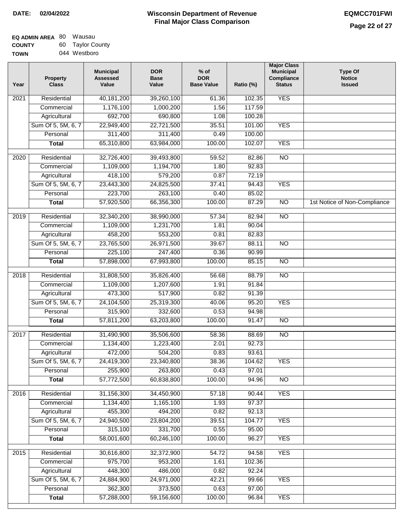| EQ ADMIN AREA 80 | Wausau           |
|------------------|------------------|
| <b>COUNTY</b>    | 60 Taylor County |
| <b>TOWN</b>      | 044 Westboro     |

| Year              | <b>Property</b><br><b>Class</b> | <b>Municipal</b><br><b>Assessed</b><br>Value | <b>DOR</b><br><b>Base</b><br>Value | $%$ of<br><b>DOR</b><br><b>Base Value</b> | Ratio (%) | <b>Major Class</b><br><b>Municipal</b><br>Compliance<br><b>Status</b> | <b>Type Of</b><br><b>Notice</b><br><b>Issued</b> |
|-------------------|---------------------------------|----------------------------------------------|------------------------------------|-------------------------------------------|-----------|-----------------------------------------------------------------------|--------------------------------------------------|
| $\overline{202}1$ | Residential                     | 40,181,200                                   | 39,260,100                         | 61.36                                     | 102.35    | <b>YES</b>                                                            |                                                  |
|                   | Commercial                      | 1,176,100                                    | 1,000,200                          | 1.56                                      | 117.59    |                                                                       |                                                  |
|                   | Agricultural                    | 692,700                                      | 690,800                            | 1.08                                      | 100.28    |                                                                       |                                                  |
|                   | Sum Of 5, 5M, 6, 7              | 22,949,400                                   | 22,721,500                         | 35.51                                     | 101.00    | <b>YES</b>                                                            |                                                  |
|                   | Personal                        | 311,400                                      | 311,400                            | 0.49                                      | 100.00    |                                                                       |                                                  |
|                   | <b>Total</b>                    | 65,310,800                                   | 63,984,000                         | 100.00                                    | 102.07    | <b>YES</b>                                                            |                                                  |
| $\overline{2020}$ | Residential                     | 32,726,400                                   | 39,493,800                         | 59.52                                     | 82.86     | $\overline{NO}$                                                       |                                                  |
|                   | Commercial                      | 1,109,000                                    | 1,194,700                          | 1.80                                      | 92.83     |                                                                       |                                                  |
|                   | Agricultural                    | 418,100                                      | 579,200                            | 0.87                                      | 72.19     |                                                                       |                                                  |
|                   | Sum Of 5, 5M, 6, 7              | 23,443,300                                   | 24,825,500                         | 37.41                                     | 94.43     | <b>YES</b>                                                            |                                                  |
|                   | Personal                        | 223,700                                      | 263,100                            | 0.40                                      | 85.02     |                                                                       |                                                  |
|                   | <b>Total</b>                    | 57,920,500                                   | 66,356,300                         | 100.00                                    | 87.29     | $\overline{NO}$                                                       | 1st Notice of Non-Compliance                     |
| 2019              | Residential                     | 32,340,200                                   | 38,990,000                         | 57.34                                     | 82.94     | $\overline{NO}$                                                       |                                                  |
|                   | Commercial                      | 1,109,000                                    | 1,231,700                          | 1.81                                      | 90.04     |                                                                       |                                                  |
|                   | Agricultural                    | 458,200                                      | 553,200                            | 0.81                                      | 82.83     |                                                                       |                                                  |
|                   | Sum Of 5, 5M, 6, 7              | 23,765,500                                   | 26,971,500                         | 39.67                                     | 88.11     | $\overline{NO}$                                                       |                                                  |
|                   | Personal                        | 225,100                                      | 247,400                            | 0.36                                      | 90.99     |                                                                       |                                                  |
|                   | <b>Total</b>                    | 57,898,000                                   | 67,993,800                         | 100.00                                    | 85.15     | $\overline{NO}$                                                       |                                                  |
| 2018              | Residential                     | 31,808,500                                   | 35,826,400                         | 56.68                                     | 88.79     | <b>NO</b>                                                             |                                                  |
|                   | Commercial                      | 1,109,000                                    | 1,207,600                          | 1.91                                      | 91.84     |                                                                       |                                                  |
|                   | Agricultural                    | 473,300                                      | 517,900                            | 0.82                                      | 91.39     |                                                                       |                                                  |
|                   | Sum Of 5, 5M, 6, 7              | 24,104,500                                   | 25,319,300                         | 40.06                                     | 95.20     | <b>YES</b>                                                            |                                                  |
|                   | Personal                        | 315,900                                      | 332,600                            | 0.53                                      | 94.98     |                                                                       |                                                  |
|                   | <b>Total</b>                    | 57,811,200                                   | 63,203,800                         | 100.00                                    | 91.47     | <b>NO</b>                                                             |                                                  |
| 2017              | Residential                     | 31,490,900                                   | 35,506,600                         | 58.36                                     | 88.69     | <b>NO</b>                                                             |                                                  |
|                   | Commercial                      | 1,134,400                                    | 1,223,400                          | 2.01                                      | 92.73     |                                                                       |                                                  |
|                   | Agricultural                    | 472,000                                      | 504,200                            | 0.83                                      | 93.61     |                                                                       |                                                  |
|                   | Sum Of 5, 5M, 6, 7              | 24,419,300                                   | 23,340,800                         | 38.36                                     | 104.62    | <b>YES</b>                                                            |                                                  |
|                   | Personal                        | 255,900                                      | 263,800                            | 0.43                                      | 97.01     |                                                                       |                                                  |
|                   | <b>Total</b>                    | 57,772,500                                   | 60,838,800                         | 100.00                                    | 94.96     | <b>NO</b>                                                             |                                                  |
| 2016              | Residential                     | 31,156,300                                   | 34,450,900                         | 57.18                                     | 90.44     | <b>YES</b>                                                            |                                                  |
|                   | Commercial                      | 1,134,400                                    | 1,165,100                          | 1.93                                      | 97.37     |                                                                       |                                                  |
|                   | Agricultural                    | 455,300                                      | 494,200                            | 0.82                                      | 92.13     |                                                                       |                                                  |
|                   | Sum Of 5, 5M, 6, 7              | 24,940,500                                   | 23,804,200                         | 39.51                                     | 104.77    | <b>YES</b>                                                            |                                                  |
|                   | Personal                        | 315,100                                      | 331,700                            | 0.55                                      | 95.00     |                                                                       |                                                  |
|                   | <b>Total</b>                    | 58,001,600                                   | 60,246,100                         | 100.00                                    | 96.27     | <b>YES</b>                                                            |                                                  |
| 2015              | Residential                     | 30,616,800                                   | 32,372,900                         | 54.72                                     | 94.58     | <b>YES</b>                                                            |                                                  |
|                   | Commercial                      | 975,700                                      | 953,200                            | 1.61                                      | 102.36    |                                                                       |                                                  |
|                   | Agricultural                    | 448,300                                      | 486,000                            | 0.82                                      | 92.24     |                                                                       |                                                  |
|                   | Sum Of 5, 5M, 6, 7              | 24,884,900                                   | 24,971,000                         | 42.21                                     | 99.66     | <b>YES</b>                                                            |                                                  |
|                   | Personal                        | 362,300                                      | 373,500                            | 0.63                                      | 97.00     |                                                                       |                                                  |
|                   | <b>Total</b>                    | 57,288,000                                   | 59,156,600                         | 100.00                                    | 96.84     | <b>YES</b>                                                            |                                                  |
|                   |                                 |                                              |                                    |                                           |           |                                                                       |                                                  |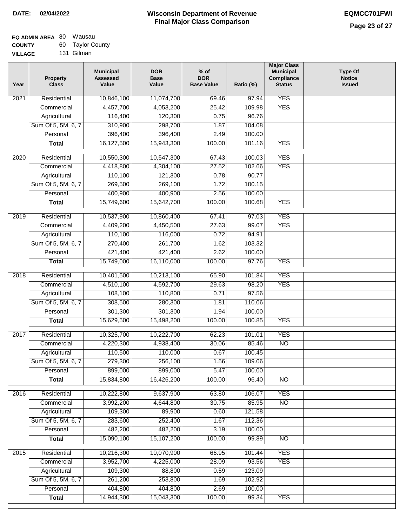| <b>EQ ADMIN AREA 80 Wausau</b> |                  |
|--------------------------------|------------------|
| <b>COUNTY</b>                  | 60 Taylor County |
| <b>VILLAGE</b>                 | 131 Gilman       |

| Year              | <b>Property</b><br><b>Class</b> | <b>Municipal</b><br><b>Assessed</b><br>Value | <b>DOR</b><br><b>Base</b><br>Value | $%$ of<br><b>DOR</b><br><b>Base Value</b> | Ratio (%) | <b>Major Class</b><br><b>Municipal</b><br>Compliance<br><b>Status</b> | <b>Type Of</b><br><b>Notice</b><br><b>Issued</b> |
|-------------------|---------------------------------|----------------------------------------------|------------------------------------|-------------------------------------------|-----------|-----------------------------------------------------------------------|--------------------------------------------------|
| $\overline{202}1$ | Residential                     | 10,846,100                                   | 11,074,700                         | 69.46                                     | 97.94     | <b>YES</b>                                                            |                                                  |
|                   | Commercial                      | 4,457,700                                    | 4,053,200                          | 25.42                                     | 109.98    | <b>YES</b>                                                            |                                                  |
|                   | Agricultural                    | 116,400                                      | 120,300                            | 0.75                                      | 96.76     |                                                                       |                                                  |
|                   | Sum Of 5, 5M, 6, 7              | 310,900                                      | 298,700                            | 1.87                                      | 104.08    |                                                                       |                                                  |
|                   | Personal                        | 396,400                                      | 396,400                            | 2.49                                      | 100.00    |                                                                       |                                                  |
|                   | <b>Total</b>                    | 16,127,500                                   | 15,943,300                         | 100.00                                    | 101.16    | <b>YES</b>                                                            |                                                  |
| $\overline{2020}$ | Residential                     | 10,550,300                                   | 10,547,300                         | 67.43                                     | 100.03    | <b>YES</b>                                                            |                                                  |
|                   | Commercial                      | 4,418,800                                    | 4,304,100                          | 27.52                                     | 102.66    | <b>YES</b>                                                            |                                                  |
|                   | Agricultural                    | 110,100                                      | 121,300                            | 0.78                                      | 90.77     |                                                                       |                                                  |
|                   | Sum Of 5, 5M, 6, 7              | 269,500                                      | 269,100                            | 1.72                                      | 100.15    |                                                                       |                                                  |
|                   | Personal                        | 400,900                                      | 400,900                            | 2.56                                      | 100.00    |                                                                       |                                                  |
|                   | <b>Total</b>                    | 15,749,600                                   | 15,642,700                         | 100.00                                    | 100.68    | <b>YES</b>                                                            |                                                  |
| 2019              | Residential                     | 10,537,900                                   | 10,860,400                         | 67.41                                     | 97.03     | <b>YES</b>                                                            |                                                  |
|                   | Commercial                      | 4,409,200                                    | 4,450,500                          | 27.63                                     | 99.07     | <b>YES</b>                                                            |                                                  |
|                   | Agricultural                    | 110,100                                      | 116,000                            | 0.72                                      | 94.91     |                                                                       |                                                  |
|                   | Sum Of 5, 5M, 6, 7              | 270,400                                      | 261,700                            | 1.62                                      | 103.32    |                                                                       |                                                  |
|                   | Personal                        | 421,400                                      | 421,400                            | 2.62                                      | 100.00    |                                                                       |                                                  |
|                   | <b>Total</b>                    | 15,749,000                                   | 16,110,000                         | 100.00                                    | 97.76     | <b>YES</b>                                                            |                                                  |
|                   |                                 |                                              |                                    |                                           |           |                                                                       |                                                  |
| 2018              | Residential                     | 10,401,500                                   | 10,213,100                         | 65.90                                     | 101.84    | <b>YES</b>                                                            |                                                  |
|                   | Commercial                      | 4,510,100                                    | 4,592,700                          | 29.63                                     | 98.20     | <b>YES</b>                                                            |                                                  |
|                   | Agricultural                    | 108,100                                      | 110,800                            | 0.71                                      | 97.56     |                                                                       |                                                  |
|                   | Sum Of 5, 5M, 6, 7              | 308,500                                      | 280,300                            | 1.81                                      | 110.06    |                                                                       |                                                  |
|                   | Personal                        | 301,300                                      | 301,300                            | 1.94                                      | 100.00    |                                                                       |                                                  |
|                   | <b>Total</b>                    | 15,629,500                                   | 15,498,200                         | 100.00                                    | 100.85    | <b>YES</b>                                                            |                                                  |
| 2017              | Residential                     | 10,325,700                                   | 10,222,700                         | 62.23                                     | 101.01    | <b>YES</b>                                                            |                                                  |
|                   | Commercial                      | 4,220,300                                    | 4,938,400                          | 30.06                                     | 85.46     | $\overline{NO}$                                                       |                                                  |
|                   | Agricultural                    | 110,500                                      | 110,000                            | 0.67                                      | 100.45    |                                                                       |                                                  |
|                   | Sum Of 5, 5M, 6, 7              | 279,300                                      | 256,100                            | 1.56                                      | 109.06    |                                                                       |                                                  |
|                   | Personal                        | 899,000                                      | 899,000                            | 5.47                                      | 100.00    |                                                                       |                                                  |
|                   | <b>Total</b>                    | 15,834,800                                   | 16,426,200                         | 100.00                                    | 96.40     | <b>NO</b>                                                             |                                                  |
| 2016              | Residential                     | 10,222,800                                   | 9,637,900                          | 63.80                                     | 106.07    | <b>YES</b>                                                            |                                                  |
|                   | Commercial                      | 3,992,200                                    | 4,644,800                          | 30.75                                     | 85.95     | N <sub>O</sub>                                                        |                                                  |
|                   | Agricultural                    | 109,300                                      | 89,900                             | 0.60                                      | 121.58    |                                                                       |                                                  |
|                   | Sum Of 5, 5M, 6, 7              | 283,600                                      | 252,400                            | 1.67                                      | 112.36    |                                                                       |                                                  |
|                   | Personal                        | 482,200                                      | 482,200                            | 3.19                                      | 100.00    |                                                                       |                                                  |
|                   | <b>Total</b>                    | 15,090,100                                   | 15,107,200                         | 100.00                                    | 99.89     | N <sub>O</sub>                                                        |                                                  |
| 2015              | Residential                     | 10,216,300                                   | 10,070,900                         | 66.95                                     | 101.44    | <b>YES</b>                                                            |                                                  |
|                   | Commercial                      | 3,952,700                                    | 4,225,000                          | 28.09                                     | 93.56     | <b>YES</b>                                                            |                                                  |
|                   | Agricultural                    | 109,300                                      | 88,800                             | 0.59                                      | 123.09    |                                                                       |                                                  |
|                   | Sum Of 5, 5M, 6, 7              | 261,200                                      | 253,800                            | 1.69                                      | 102.92    |                                                                       |                                                  |
|                   | Personal                        | 404,800                                      | 404,800                            | 2.69                                      | 100.00    |                                                                       |                                                  |
|                   | <b>Total</b>                    | 14,944,300                                   | 15,043,300                         | 100.00                                    | 99.34     | <b>YES</b>                                                            |                                                  |
|                   |                                 |                                              |                                    |                                           |           |                                                                       |                                                  |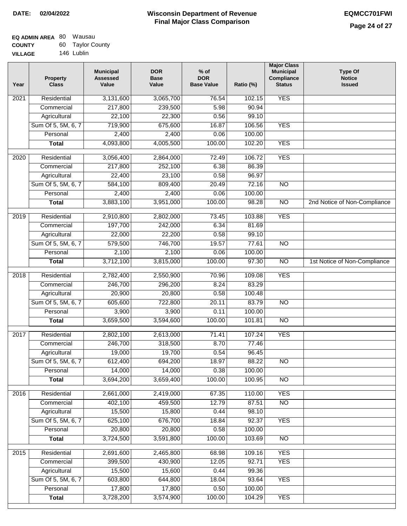| EQ ADMIN AREA 80 | Wausau           |
|------------------|------------------|
| <b>COUNTY</b>    | 60 Taylor County |
| <b>VILLAGE</b>   | 146 Lublin       |

| Year | <b>Property</b><br><b>Class</b> | <b>Municipal</b><br><b>Assessed</b><br>Value | <b>DOR</b><br><b>Base</b><br>Value | $%$ of<br><b>DOR</b><br><b>Base Value</b> | Ratio (%) | <b>Major Class</b><br><b>Municipal</b><br>Compliance<br><b>Status</b> | <b>Type Of</b><br><b>Notice</b><br><b>Issued</b> |
|------|---------------------------------|----------------------------------------------|------------------------------------|-------------------------------------------|-----------|-----------------------------------------------------------------------|--------------------------------------------------|
| 2021 | Residential                     | 3,131,600                                    | 3,065,700                          | 76.54                                     | 102.15    | <b>YES</b>                                                            |                                                  |
|      | Commercial                      | 217,800                                      | 239,500                            | 5.98                                      | 90.94     |                                                                       |                                                  |
|      | Agricultural                    | 22,100                                       | 22,300                             | 0.56                                      | 99.10     |                                                                       |                                                  |
|      | Sum Of 5, 5M, 6, 7              | 719,900                                      | 675,600                            | 16.87                                     | 106.56    | <b>YES</b>                                                            |                                                  |
|      | Personal                        | 2,400                                        | 2,400                              | 0.06                                      | 100.00    |                                                                       |                                                  |
|      | <b>Total</b>                    | 4,093,800                                    | 4,005,500                          | 100.00                                    | 102.20    | <b>YES</b>                                                            |                                                  |
| 2020 | Residential                     | 3,056,400                                    | 2,864,000                          | 72.49                                     | 106.72    | <b>YES</b>                                                            |                                                  |
|      | Commercial                      | 217,800                                      | 252,100                            | 6.38                                      | 86.39     |                                                                       |                                                  |
|      | Agricultural                    | 22,400                                       | 23,100                             | 0.58                                      | 96.97     |                                                                       |                                                  |
|      | Sum Of 5, 5M, 6, 7              | 584,100                                      | 809,400                            | 20.49                                     | 72.16     | <b>NO</b>                                                             |                                                  |
|      | Personal                        | 2,400                                        | 2,400                              | 0.06                                      | 100.00    |                                                                       |                                                  |
|      | <b>Total</b>                    | 3,883,100                                    | 3,951,000                          | 100.00                                    | 98.28     | $\overline{NO}$                                                       | 2nd Notice of Non-Compliance                     |
| 2019 | Residential                     | 2,910,800                                    | 2,802,000                          | 73.45                                     | 103.88    | <b>YES</b>                                                            |                                                  |
|      | Commercial                      | 197,700                                      | 242,000                            | 6.34                                      | 81.69     |                                                                       |                                                  |
|      | Agricultural                    | 22,000                                       | 22,200                             | 0.58                                      | 99.10     |                                                                       |                                                  |
|      | Sum Of 5, 5M, 6, 7              | 579,500                                      | 746,700                            | 19.57                                     | 77.61     | $\overline{NO}$                                                       |                                                  |
|      | Personal                        | 2,100                                        | 2,100                              | 0.06                                      | 100.00    |                                                                       |                                                  |
|      | <b>Total</b>                    | 3,712,100                                    | 3,815,000                          | 100.00                                    | 97.30     | $\overline{NO}$                                                       | 1st Notice of Non-Compliance                     |
| 2018 | Residential                     | 2,782,400                                    | 2,550,900                          | 70.96                                     | 109.08    | <b>YES</b>                                                            |                                                  |
|      | Commercial                      | 246,700                                      | 296,200                            | 8.24                                      | 83.29     |                                                                       |                                                  |
|      | Agricultural                    | 20,900                                       | 20,800                             | 0.58                                      | 100.48    |                                                                       |                                                  |
|      | Sum Of 5, 5M, 6, 7              | 605,600                                      | 722,800                            | 20.11                                     | 83.79     | $\overline{10}$                                                       |                                                  |
|      | Personal                        | 3,900                                        | 3,900                              | 0.11                                      | 100.00    |                                                                       |                                                  |
|      | <b>Total</b>                    | 3,659,500                                    | 3,594,600                          | 100.00                                    | 101.81    | <b>NO</b>                                                             |                                                  |
| 2017 | Residential                     | 2,802,100                                    | 2,613,000                          | 71.41                                     | 107.24    | <b>YES</b>                                                            |                                                  |
|      | Commercial                      | 246,700                                      | 318,500                            | 8.70                                      | 77.46     |                                                                       |                                                  |
|      | Agricultural                    | 19,000                                       | 19,700                             | 0.54                                      | 96.45     |                                                                       |                                                  |
|      | Sum Of 5, 5M, 6, 7              | 612,400                                      | 694,200                            | 18.97                                     | 88.22     | <b>NO</b>                                                             |                                                  |
|      | Personal                        | 14,000                                       | 14,000                             | 0.38                                      | 100.00    |                                                                       |                                                  |
|      | <b>Total</b>                    | 3,694,200                                    | 3,659,400                          | 100.00                                    | 100.95    | <b>NO</b>                                                             |                                                  |
| 2016 | Residential                     | 2,661,000                                    | 2,419,000                          | 67.35                                     | 110.00    | <b>YES</b>                                                            |                                                  |
|      | Commercial                      | 402,100                                      | 459,500                            | 12.79                                     | 87.51     | N <sub>O</sub>                                                        |                                                  |
|      | Agricultural                    | 15,500                                       | 15,800                             | 0.44                                      | 98.10     |                                                                       |                                                  |
|      | Sum Of 5, 5M, 6, 7              | 625,100                                      | 676,700                            | 18.84                                     | 92.37     | <b>YES</b>                                                            |                                                  |
|      | Personal                        | 20,800                                       | 20,800                             | 0.58                                      | 100.00    |                                                                       |                                                  |
|      | <b>Total</b>                    | 3,724,500                                    | 3,591,800                          | 100.00                                    | 103.69    | N <sub>O</sub>                                                        |                                                  |
| 2015 | Residential                     | 2,691,600                                    | 2,465,800                          | 68.98                                     | 109.16    | <b>YES</b>                                                            |                                                  |
|      | Commercial                      | 399,500                                      | 430,900                            | 12.05                                     | 92.71     | <b>YES</b>                                                            |                                                  |
|      | Agricultural                    | 15,500                                       | 15,600                             | 0.44                                      | 99.36     |                                                                       |                                                  |
|      | Sum Of 5, 5M, 6, 7              | 603,800                                      | 644,800                            | 18.04                                     | 93.64     | <b>YES</b>                                                            |                                                  |
|      | Personal                        | 17,800                                       | 17,800                             | 0.50                                      | 100.00    |                                                                       |                                                  |
|      | <b>Total</b>                    | 3,728,200                                    | 3,574,900                          | 100.00                                    | 104.29    | <b>YES</b>                                                            |                                                  |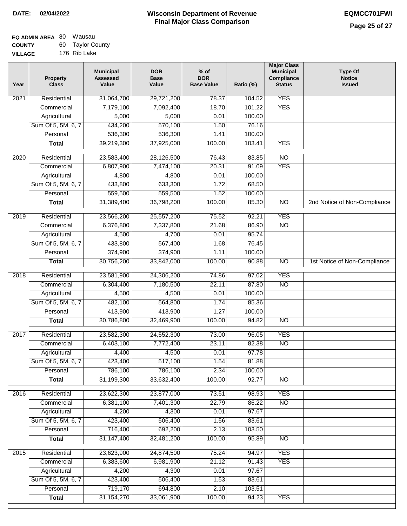| <b>EQ ADMIN AREA 80 Wausau</b> |                  |
|--------------------------------|------------------|
| <b>COUNTY</b>                  | 60 Taylor County |
| <b>VILLAGE</b>                 | 176 Rib Lake     |

| Year              | <b>Property</b><br><b>Class</b> | <b>Municipal</b><br><b>Assessed</b><br>Value | <b>DOR</b><br><b>Base</b><br>Value | $%$ of<br><b>DOR</b><br><b>Base Value</b> | Ratio (%)       | <b>Major Class</b><br><b>Municipal</b><br>Compliance<br><b>Status</b> | Type Of<br><b>Notice</b><br><b>Issued</b> |
|-------------------|---------------------------------|----------------------------------------------|------------------------------------|-------------------------------------------|-----------------|-----------------------------------------------------------------------|-------------------------------------------|
| 2021              | Residential                     | 31,064,700                                   | 29,721,200                         | 78.37                                     | 104.52          | <b>YES</b>                                                            |                                           |
|                   | Commercial                      | 7,179,100                                    | 7,092,400                          | 18.70                                     | 101.22          | <b>YES</b>                                                            |                                           |
|                   | Agricultural                    | 5,000                                        | 5,000                              | 0.01                                      | 100.00          |                                                                       |                                           |
|                   | Sum Of 5, 5M, 6, 7              | 434,200                                      | 570,100                            | 1.50                                      | 76.16           |                                                                       |                                           |
|                   | Personal                        | 536,300                                      | 536,300                            | 1.41                                      | 100.00          |                                                                       |                                           |
|                   | <b>Total</b>                    | 39,219,300                                   | 37,925,000                         | 100.00                                    | 103.41          | <b>YES</b>                                                            |                                           |
| 2020              | Residential                     | 23,583,400                                   | 28,126,500                         | 76.43                                     | 83.85           | $\overline{NO}$                                                       |                                           |
|                   | Commercial                      | 6,807,900                                    | 7,474,100                          | 20.31                                     | 91.09           | <b>YES</b>                                                            |                                           |
|                   | Agricultural                    | 4,800                                        | 4,800                              | 0.01                                      | 100.00          |                                                                       |                                           |
|                   | Sum Of 5, 5M, 6, 7              | 433,800                                      | 633,300                            | 1.72                                      | 68.50           |                                                                       |                                           |
|                   | Personal                        | 559,500                                      | 559,500                            | 1.52                                      | 100.00          |                                                                       |                                           |
|                   | <b>Total</b>                    | 31,389,400                                   | 36,798,200                         | 100.00                                    | 85.30           | $\overline{NO}$                                                       | 2nd Notice of Non-Compliance              |
| 2019              | Residential                     | 23,566,200                                   | 25,557,200                         | 75.52                                     | 92.21           | <b>YES</b>                                                            |                                           |
|                   | Commercial                      | 6,376,800                                    | 7,337,800                          | 21.68                                     | 86.90           | $\overline{NO}$                                                       |                                           |
|                   | Agricultural                    | 4,500                                        | 4,700                              | 0.01                                      | 95.74           |                                                                       |                                           |
|                   | Sum Of 5, 5M, 6, 7              | 433,800                                      | 567,400                            | 1.68                                      | 76.45           |                                                                       |                                           |
|                   | Personal                        | 374,900                                      | 374,900                            | 1.11                                      | 100.00          |                                                                       |                                           |
|                   | <b>Total</b>                    | 30,756,200                                   | 33,842,000                         | 100.00                                    | 90.88           | $\overline{NO}$                                                       | 1st Notice of Non-Compliance              |
| 2018              | Residential                     | 23,581,900                                   | 24,306,200                         | 74.86                                     | 97.02           | <b>YES</b>                                                            |                                           |
|                   | Commercial                      | 6,304,400                                    | 7,180,500                          | 22.11                                     | 87.80           | $\overline{NO}$                                                       |                                           |
|                   | Agricultural                    | 4,500                                        | 4,500                              | 0.01                                      | 100.00          |                                                                       |                                           |
|                   | Sum Of 5, 5M, 6, 7              | 482,100                                      | 564,800                            | 1.74                                      | 85.36           |                                                                       |                                           |
|                   | Personal                        | 413,900                                      | 413,900                            | 1.27                                      | 100.00          |                                                                       |                                           |
|                   | <b>Total</b>                    | 30,786,800                                   | 32,469,900                         | 100.00                                    | 94.82           | NO                                                                    |                                           |
|                   |                                 |                                              |                                    |                                           |                 |                                                                       |                                           |
| $\overline{2017}$ | Residential                     | 23,582,300                                   | 24,552,300                         | 73.00                                     | 96.05           | <b>YES</b>                                                            |                                           |
|                   | Commercial                      | 6,403,100                                    | 7,772,400                          | 23.11                                     | 82.38           | N <sub>O</sub>                                                        |                                           |
|                   | Agricultural                    | 4,400                                        | 4,500                              | 0.01                                      | 97.78           |                                                                       |                                           |
|                   | Sum Of 5, 5M, 6, 7              | 423,400                                      | 517,100                            | 1.54                                      | 81.88           |                                                                       |                                           |
|                   | Personal<br><b>Total</b>        | 786,100<br>31,199,300                        | 786,100<br>33,632,400              | 2.34<br>100.00                            | 100.00<br>92.77 | <b>NO</b>                                                             |                                           |
|                   |                                 |                                              |                                    |                                           |                 |                                                                       |                                           |
| 2016              | Residential                     | 23,622,300                                   | 23,877,000                         | 73.51                                     | 98.93           | <b>YES</b>                                                            |                                           |
|                   | Commercial                      | 6,381,100                                    | 7,401,300                          | 22.79                                     | 86.22           | $\overline{NO}$                                                       |                                           |
|                   | Agricultural                    | 4,200                                        | 4,300                              | 0.01                                      | 97.67           |                                                                       |                                           |
|                   | Sum Of 5, 5M, 6, 7              | 423,400                                      | 506,400                            | 1.56                                      | 83.61           |                                                                       |                                           |
|                   | Personal                        | 716,400                                      | 692,200                            | 2.13                                      | 103.50          |                                                                       |                                           |
|                   | <b>Total</b>                    | 31, 147, 400                                 | 32,481,200                         | 100.00                                    | 95.89           | N <sub>O</sub>                                                        |                                           |
| 2015              | Residential                     | 23,623,900                                   | 24,874,500                         | 75.24                                     | 94.97           | <b>YES</b>                                                            |                                           |
|                   | Commercial                      | 6,383,600                                    | 6,981,900                          | 21.12                                     | 91.43           | <b>YES</b>                                                            |                                           |
|                   | Agricultural                    | 4,200                                        | 4,300                              | 0.01                                      | 97.67           |                                                                       |                                           |
|                   | Sum Of 5, 5M, 6, 7              | 423,400                                      | 506,400                            | 1.53                                      | 83.61           |                                                                       |                                           |
|                   | Personal                        | 719,170                                      | 694,800                            | 2.10                                      | 103.51          |                                                                       |                                           |
|                   | <b>Total</b>                    | 31, 154, 270                                 | 33,061,900                         | 100.00                                    | 94.23           | <b>YES</b>                                                            |                                           |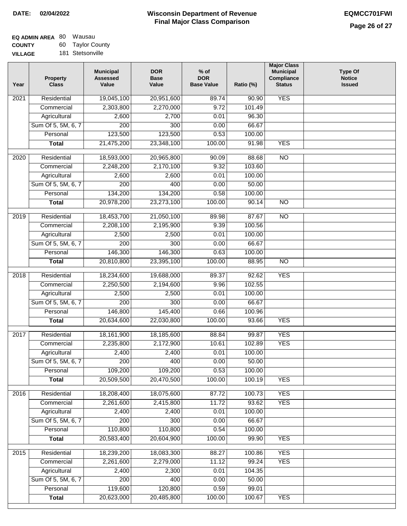| EQ ADMIN AREA 80 | Wausau           |
|------------------|------------------|
| <b>COUNTY</b>    | 60 Taylor County |
| <b>VILLAGE</b>   | 181 Stetsonville |

| Year              | <b>Property</b><br><b>Class</b>    | <b>Municipal</b><br><b>Assessed</b><br>Value | <b>DOR</b><br><b>Base</b><br>Value | $%$ of<br><b>DOR</b><br><b>Base Value</b> | Ratio (%)      | <b>Major Class</b><br><b>Municipal</b><br>Compliance<br><b>Status</b> | <b>Type Of</b><br><b>Notice</b><br><b>Issued</b> |
|-------------------|------------------------------------|----------------------------------------------|------------------------------------|-------------------------------------------|----------------|-----------------------------------------------------------------------|--------------------------------------------------|
| 2021              | Residential                        | 19,045,100                                   | 20,951,600                         | 89.74                                     | 90.90          | <b>YES</b>                                                            |                                                  |
|                   | Commercial                         | 2,303,800                                    | 2,270,000                          | 9.72                                      | 101.49         |                                                                       |                                                  |
|                   | Agricultural                       | 2,600                                        | 2,700                              | 0.01                                      | 96.30          |                                                                       |                                                  |
|                   | Sum Of 5, 5M, 6, 7                 | $\overline{200}$                             | 300                                | 0.00                                      | 66.67          |                                                                       |                                                  |
|                   | Personal                           | 123,500                                      | 123,500                            | 0.53                                      | 100.00         |                                                                       |                                                  |
|                   | <b>Total</b>                       | 21,475,200                                   | 23,348,100                         | 100.00                                    | 91.98          | <b>YES</b>                                                            |                                                  |
| $\overline{2020}$ | Residential                        | 18,593,000                                   | 20,965,800                         | 90.09                                     | 88.68          | $\overline{N}$                                                        |                                                  |
|                   | Commercial                         | 2,248,200                                    | 2,170,100                          | 9.32                                      | 103.60         |                                                                       |                                                  |
|                   | Agricultural                       | 2,600                                        | 2,600                              | 0.01                                      | 100.00         |                                                                       |                                                  |
|                   | Sum Of 5, 5M, 6, 7                 | 200                                          | 400                                | 0.00                                      | 50.00          |                                                                       |                                                  |
|                   | Personal                           | 134,200                                      | 134,200                            | 0.58                                      | 100.00         |                                                                       |                                                  |
|                   | <b>Total</b>                       | 20,978,200                                   | 23,273,100                         | 100.00                                    | 90.14          | $\overline{NO}$                                                       |                                                  |
| 2019              | Residential                        | 18,453,700                                   | 21,050,100                         | 89.98                                     | 87.67          | $\overline{10}$                                                       |                                                  |
|                   | Commercial                         | 2,208,100                                    | 2,195,900                          | 9.39                                      | 100.56         |                                                                       |                                                  |
|                   | Agricultural                       | 2,500                                        | 2,500                              | 0.01                                      | 100.00         |                                                                       |                                                  |
|                   | Sum Of 5, 5M, 6, 7                 | 200                                          | 300                                | 0.00                                      | 66.67          |                                                                       |                                                  |
|                   | Personal                           | 146,300                                      | 146,300                            | 0.63                                      | 100.00         |                                                                       |                                                  |
|                   | <b>Total</b>                       | 20,810,800                                   | 23,395,100                         | 100.00                                    | 88.95          | $\overline{NO}$                                                       |                                                  |
| 2018              | Residential                        | 18,234,600                                   | 19,688,000                         | 89.37                                     | 92.62          | <b>YES</b>                                                            |                                                  |
|                   | Commercial                         | 2,250,500                                    | 2,194,600                          | 9.96                                      | 102.55         |                                                                       |                                                  |
|                   | Agricultural                       | 2,500                                        | 2,500                              | 0.01                                      | 100.00         |                                                                       |                                                  |
|                   | Sum Of 5, 5M, 6, 7                 | 200                                          | 300                                | 0.00                                      | 66.67          |                                                                       |                                                  |
|                   | Personal                           | 146,800                                      | 145,400                            | 0.66                                      | 100.96         |                                                                       |                                                  |
|                   | <b>Total</b>                       | 20,634,600                                   | 22,030,800                         | 100.00                                    | 93.66          | <b>YES</b>                                                            |                                                  |
| 2017              | Residential                        | 18,161,900                                   | 18,185,600                         | 88.84                                     | 99.87          | <b>YES</b>                                                            |                                                  |
|                   | Commercial                         | 2,235,800                                    | 2,172,900                          | 10.61                                     | 102.89         | <b>YES</b>                                                            |                                                  |
|                   | Agricultural                       | 2,400                                        | 2,400                              | 0.01                                      | 100.00         |                                                                       |                                                  |
|                   | Sum Of 5, 5M, 6, 7                 | 200                                          | 400                                | 0.00                                      | 50.00          |                                                                       |                                                  |
|                   | Personal                           | 109,200                                      | 109,200                            | 0.53                                      | 100.00         |                                                                       |                                                  |
|                   | <b>Total</b>                       | 20,509,500                                   | 20,470,500                         | 100.00                                    | 100.19         | <b>YES</b>                                                            |                                                  |
| 2016              | Residential                        | 18,208,400                                   | 18,075,600                         | 87.72                                     | 100.73         | <b>YES</b>                                                            |                                                  |
|                   | Commercial                         | 2,261,600                                    | 2,415,800                          | 11.72                                     | 93.62          | <b>YES</b>                                                            |                                                  |
|                   | Agricultural                       | 2,400                                        | 2,400                              | 0.01                                      | 100.00         |                                                                       |                                                  |
|                   | Sum Of 5, 5M, 6, 7                 | 200                                          | 300                                | 0.00                                      | 66.67          |                                                                       |                                                  |
|                   | Personal                           | 110,800                                      | 110,800                            | 0.54                                      | 100.00         |                                                                       |                                                  |
|                   | <b>Total</b>                       | 20,583,400                                   | 20,604,900                         | 100.00                                    | 99.90          | <b>YES</b>                                                            |                                                  |
|                   |                                    |                                              |                                    |                                           |                |                                                                       |                                                  |
| 2015              | Residential                        | 18,239,200                                   | 18,083,300                         | 88.27                                     | 100.86         | <b>YES</b>                                                            |                                                  |
|                   | Commercial                         | 2,261,600                                    | 2,279,000                          | 11.12                                     | 99.24          | <b>YES</b>                                                            |                                                  |
|                   | Agricultural<br>Sum Of 5, 5M, 6, 7 | 2,400<br>$\overline{200}$                    | 2,300                              | 0.01                                      | 104.35         |                                                                       |                                                  |
|                   | Personal                           | 119,600                                      | 400<br>120,800                     | 0.00<br>0.59                              | 50.00<br>99.01 |                                                                       |                                                  |
|                   | <b>Total</b>                       | 20,623,000                                   | 20,485,800                         | 100.00                                    | 100.67         | <b>YES</b>                                                            |                                                  |
|                   |                                    |                                              |                                    |                                           |                |                                                                       |                                                  |